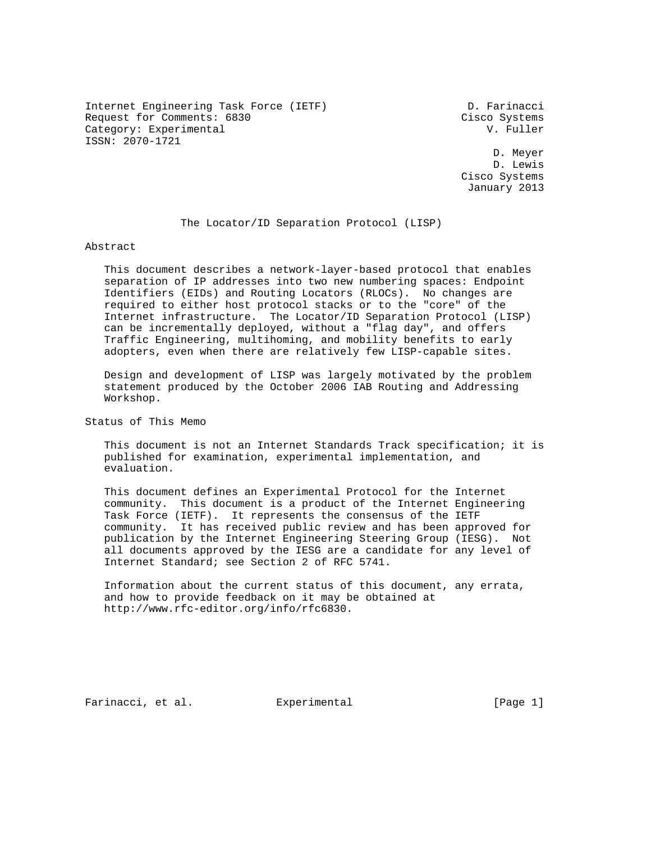Internet Engineering Task Force (IETF) D. Farinacci Request for Comments: 6830 Cisco Systems Category: Experimental V. Fuller ISSN: 2070-1721

 D. Meyer D. Lewis Cisco Systems January 2013

#### The Locator/ID Separation Protocol (LISP)

Abstract

 This document describes a network-layer-based protocol that enables separation of IP addresses into two new numbering spaces: Endpoint Identifiers (EIDs) and Routing Locators (RLOCs). No changes are required to either host protocol stacks or to the "core" of the Internet infrastructure. The Locator/ID Separation Protocol (LISP) can be incrementally deployed, without a "flag day", and offers Traffic Engineering, multihoming, and mobility benefits to early adopters, even when there are relatively few LISP-capable sites.

 Design and development of LISP was largely motivated by the problem statement produced by the October 2006 IAB Routing and Addressing Workshop.

Status of This Memo

 This document is not an Internet Standards Track specification; it is published for examination, experimental implementation, and evaluation.

 This document defines an Experimental Protocol for the Internet community. This document is a product of the Internet Engineering Task Force (IETF). It represents the consensus of the IETF community. It has received public review and has been approved for publication by the Internet Engineering Steering Group (IESG). Not all documents approved by the IESG are a candidate for any level of Internet Standard; see Section 2 of RFC 5741.

 Information about the current status of this document, any errata, and how to provide feedback on it may be obtained at http://www.rfc-editor.org/info/rfc6830.

Farinacci, et al. Experimental [Page 1]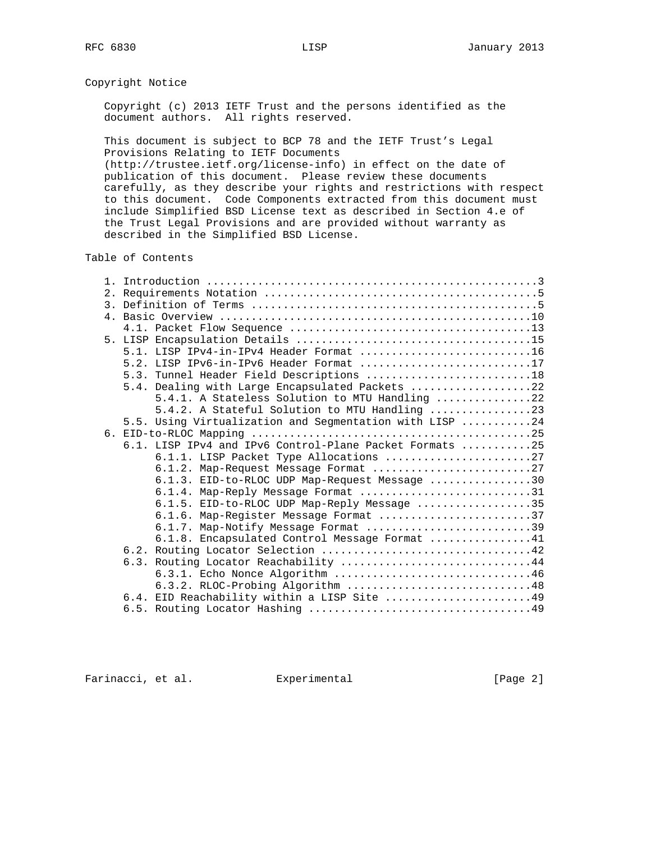#### Copyright Notice

 Copyright (c) 2013 IETF Trust and the persons identified as the document authors. All rights reserved.

 This document is subject to BCP 78 and the IETF Trust's Legal Provisions Relating to IETF Documents

 (http://trustee.ietf.org/license-info) in effect on the date of publication of this document. Please review these documents carefully, as they describe your rights and restrictions with respect to this document. Code Components extracted from this document must include Simplified BSD License text as described in Section 4.e of the Trust Legal Provisions and are provided without warranty as described in the Simplified BSD License.

### Table of Contents

|  | 5.1. LISP IPv4-in-IPv4 Header Format 16                 |
|--|---------------------------------------------------------|
|  | 5.2. LISP IPv6-in-IPv6 Header Format 17                 |
|  | 5.3. Tunnel Header Field Descriptions 18                |
|  | 5.4. Dealing with Large Encapsulated Packets 22         |
|  | 5.4.1. A Stateless Solution to MTU Handling 22          |
|  | 5.4.2. A Stateful Solution to MTU Handling 23           |
|  | 5.5. Using Virtualization and Segmentation with LISP 24 |
|  |                                                         |
|  | 6.1. LISP IPv4 and IPv6 Control-Plane Packet Formats 25 |
|  | 6.1.1. LISP Packet Type Allocations 27                  |
|  | 6.1.2. Map-Request Message Format 27                    |
|  | 6.1.3. EID-to-RLOC UDP Map-Request Message 30           |
|  | $6.1.4$ . Map-Reply Message Format 31                   |
|  | 6.1.5. EID-to-RLOC UDP Map-Reply Message 35             |
|  | 6.1.6. Map-Register Message Format 37                   |
|  | 6.1.7. Map-Notify Message Format 39                     |
|  | 6.1.8. Encapsulated Control Message Format 41           |
|  |                                                         |
|  | 6.3. Routing Locator Reachability 44                    |
|  | 6.3.1. Echo Nonce Algorithm 46                          |
|  | 6.3.2. RLOC-Probing Algorithm 48                        |
|  | 6.4. EID Reachability within a LISP Site 49             |
|  |                                                         |

Farinacci, et al. Experimental [Page 2]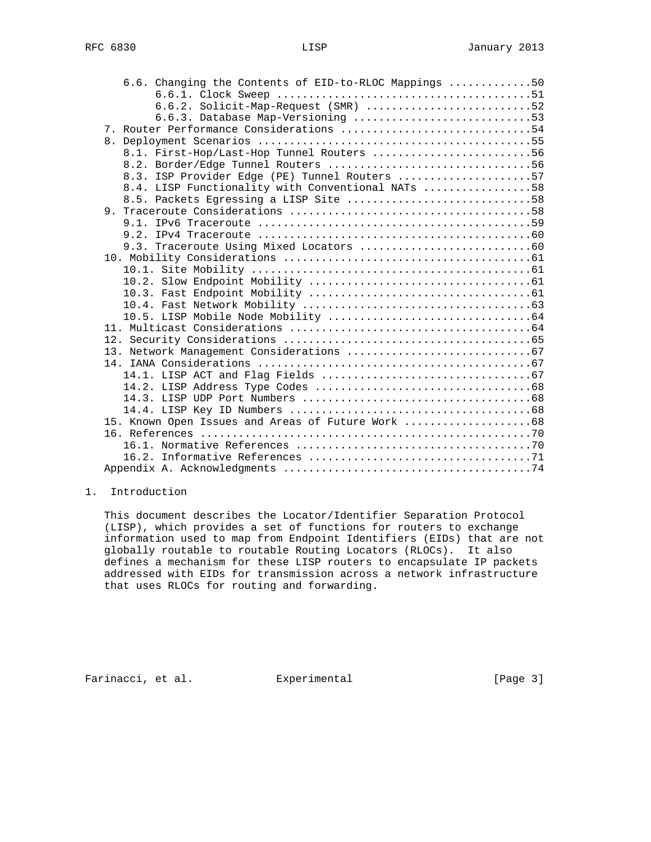|  | 6.6. Changing the Contents of EID-to-RLOC Mappings 50 |  |
|--|-------------------------------------------------------|--|
|  |                                                       |  |
|  | $6.6.2.$ Solicit-Map-Request (SMR) 52                 |  |
|  | 6.6.3. Database Map-Versioning 53                     |  |
|  | 7. Router Performance Considerations 54               |  |
|  |                                                       |  |
|  | 8.1. First-Hop/Last-Hop Tunnel Routers 56             |  |
|  |                                                       |  |
|  | 8.3. ISP Provider Edge (PE) Tunnel Routers 57         |  |
|  | 8.4. LISP Functionality with Conventional NATs 58     |  |
|  | 8.5. Packets Egressing a LISP Site 58                 |  |
|  |                                                       |  |
|  |                                                       |  |
|  |                                                       |  |
|  |                                                       |  |
|  |                                                       |  |
|  |                                                       |  |
|  |                                                       |  |
|  |                                                       |  |
|  |                                                       |  |
|  |                                                       |  |
|  |                                                       |  |
|  |                                                       |  |
|  |                                                       |  |
|  |                                                       |  |
|  |                                                       |  |
|  |                                                       |  |
|  |                                                       |  |
|  |                                                       |  |
|  | 15. Known Open Issues and Areas of Future Work 68     |  |
|  |                                                       |  |
|  |                                                       |  |
|  |                                                       |  |
|  |                                                       |  |

## 1. Introduction

 This document describes the Locator/Identifier Separation Protocol (LISP), which provides a set of functions for routers to exchange information used to map from Endpoint Identifiers (EIDs) that are not globally routable to routable Routing Locators (RLOCs). It also defines a mechanism for these LISP routers to encapsulate IP packets addressed with EIDs for transmission across a network infrastructure that uses RLOCs for routing and forwarding.

Farinacci, et al. Experimental [Page 3]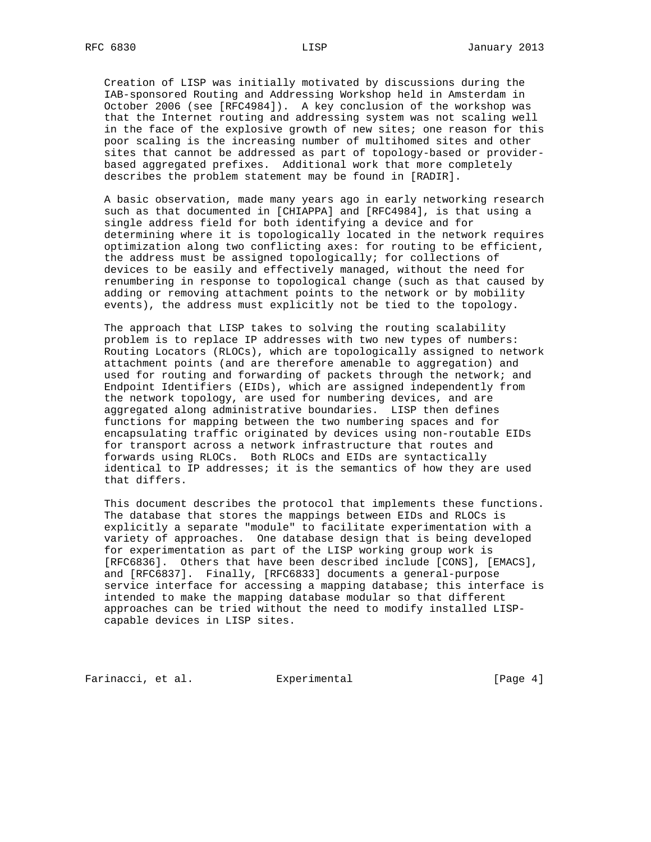Creation of LISP was initially motivated by discussions during the IAB-sponsored Routing and Addressing Workshop held in Amsterdam in October 2006 (see [RFC4984]). A key conclusion of the workshop was that the Internet routing and addressing system was not scaling well in the face of the explosive growth of new sites; one reason for this poor scaling is the increasing number of multihomed sites and other sites that cannot be addressed as part of topology-based or provider based aggregated prefixes. Additional work that more completely describes the problem statement may be found in [RADIR].

 A basic observation, made many years ago in early networking research such as that documented in [CHIAPPA] and [RFC4984], is that using a single address field for both identifying a device and for determining where it is topologically located in the network requires optimization along two conflicting axes: for routing to be efficient, the address must be assigned topologically; for collections of devices to be easily and effectively managed, without the need for renumbering in response to topological change (such as that caused by adding or removing attachment points to the network or by mobility events), the address must explicitly not be tied to the topology.

 The approach that LISP takes to solving the routing scalability problem is to replace IP addresses with two new types of numbers: Routing Locators (RLOCs), which are topologically assigned to network attachment points (and are therefore amenable to aggregation) and used for routing and forwarding of packets through the network; and Endpoint Identifiers (EIDs), which are assigned independently from the network topology, are used for numbering devices, and are aggregated along administrative boundaries. LISP then defines functions for mapping between the two numbering spaces and for encapsulating traffic originated by devices using non-routable EIDs for transport across a network infrastructure that routes and forwards using RLOCs. Both RLOCs and EIDs are syntactically identical to IP addresses; it is the semantics of how they are used that differs.

 This document describes the protocol that implements these functions. The database that stores the mappings between EIDs and RLOCs is explicitly a separate "module" to facilitate experimentation with a variety of approaches. One database design that is being developed for experimentation as part of the LISP working group work is [RFC6836]. Others that have been described include [CONS], [EMACS], and [RFC6837]. Finally, [RFC6833] documents a general-purpose service interface for accessing a mapping database; this interface is intended to make the mapping database modular so that different approaches can be tried without the need to modify installed LISP capable devices in LISP sites.

Farinacci, et al. Experimental [Page 4]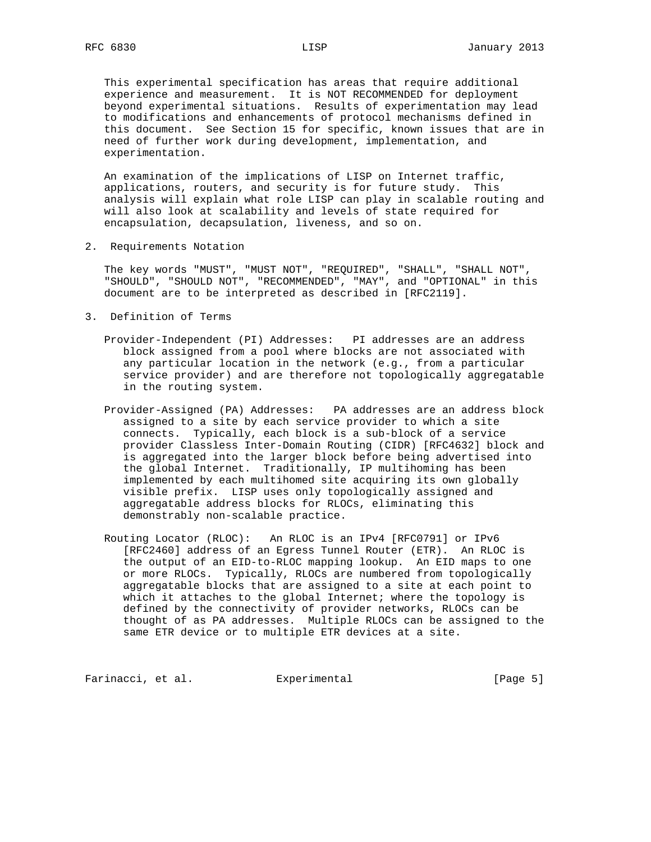This experimental specification has areas that require additional experience and measurement. It is NOT RECOMMENDED for deployment beyond experimental situations. Results of experimentation may lead to modifications and enhancements of protocol mechanisms defined in this document. See Section 15 for specific, known issues that are in need of further work during development, implementation, and experimentation.

 An examination of the implications of LISP on Internet traffic, applications, routers, and security is for future study. This analysis will explain what role LISP can play in scalable routing and will also look at scalability and levels of state required for encapsulation, decapsulation, liveness, and so on.

2. Requirements Notation

 The key words "MUST", "MUST NOT", "REQUIRED", "SHALL", "SHALL NOT", "SHOULD", "SHOULD NOT", "RECOMMENDED", "MAY", and "OPTIONAL" in this document are to be interpreted as described in [RFC2119].

- 3. Definition of Terms
	- Provider-Independent (PI) Addresses: PI addresses are an address block assigned from a pool where blocks are not associated with any particular location in the network (e.g., from a particular service provider) and are therefore not topologically aggregatable in the routing system.
	- Provider-Assigned (PA) Addresses: PA addresses are an address block assigned to a site by each service provider to which a site connects. Typically, each block is a sub-block of a service provider Classless Inter-Domain Routing (CIDR) [RFC4632] block and is aggregated into the larger block before being advertised into the global Internet. Traditionally, IP multihoming has been implemented by each multihomed site acquiring its own globally visible prefix. LISP uses only topologically assigned and aggregatable address blocks for RLOCs, eliminating this demonstrably non-scalable practice.
	- Routing Locator (RLOC): An RLOC is an IPv4 [RFC0791] or IPv6 [RFC2460] address of an Egress Tunnel Router (ETR). An RLOC is the output of an EID-to-RLOC mapping lookup. An EID maps to one or more RLOCs. Typically, RLOCs are numbered from topologically aggregatable blocks that are assigned to a site at each point to which it attaches to the global Internet; where the topology is defined by the connectivity of provider networks, RLOCs can be thought of as PA addresses. Multiple RLOCs can be assigned to the same ETR device or to multiple ETR devices at a site.

Farinacci, et al. Experimental Farinacci [Page 5]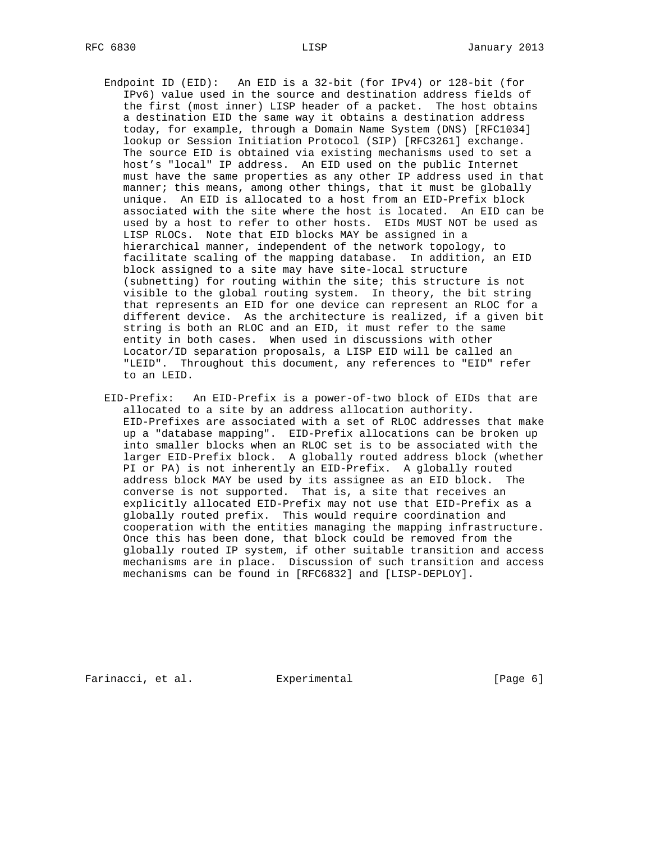- Endpoint ID (EID): An EID is a 32-bit (for IPv4) or 128-bit (for IPv6) value used in the source and destination address fields of the first (most inner) LISP header of a packet. The host obtains a destination EID the same way it obtains a destination address today, for example, through a Domain Name System (DNS) [RFC1034] lookup or Session Initiation Protocol (SIP) [RFC3261] exchange. The source EID is obtained via existing mechanisms used to set a host's "local" IP address. An EID used on the public Internet must have the same properties as any other IP address used in that manner; this means, among other things, that it must be globally unique. An EID is allocated to a host from an EID-Prefix block associated with the site where the host is located. An EID can be used by a host to refer to other hosts. EIDs MUST NOT be used as LISP RLOCs. Note that EID blocks MAY be assigned in a hierarchical manner, independent of the network topology, to facilitate scaling of the mapping database. In addition, an EID block assigned to a site may have site-local structure (subnetting) for routing within the site; this structure is not visible to the global routing system. In theory, the bit string that represents an EID for one device can represent an RLOC for a different device. As the architecture is realized, if a given bit string is both an RLOC and an EID, it must refer to the same entity in both cases. When used in discussions with other Locator/ID separation proposals, a LISP EID will be called an "LEID". Throughout this document, any references to "EID" refer to an LEID.
- EID-Prefix: An EID-Prefix is a power-of-two block of EIDs that are allocated to a site by an address allocation authority. EID-Prefixes are associated with a set of RLOC addresses that make up a "database mapping". EID-Prefix allocations can be broken up into smaller blocks when an RLOC set is to be associated with the larger EID-Prefix block. A globally routed address block (whether PI or PA) is not inherently an EID-Prefix. A globally routed address block MAY be used by its assignee as an EID block. The converse is not supported. That is, a site that receives an explicitly allocated EID-Prefix may not use that EID-Prefix as a globally routed prefix. This would require coordination and cooperation with the entities managing the mapping infrastructure. Once this has been done, that block could be removed from the globally routed IP system, if other suitable transition and access mechanisms are in place. Discussion of such transition and access mechanisms can be found in [RFC6832] and [LISP-DEPLOY].

Farinacci, et al. Experimental [Page 6]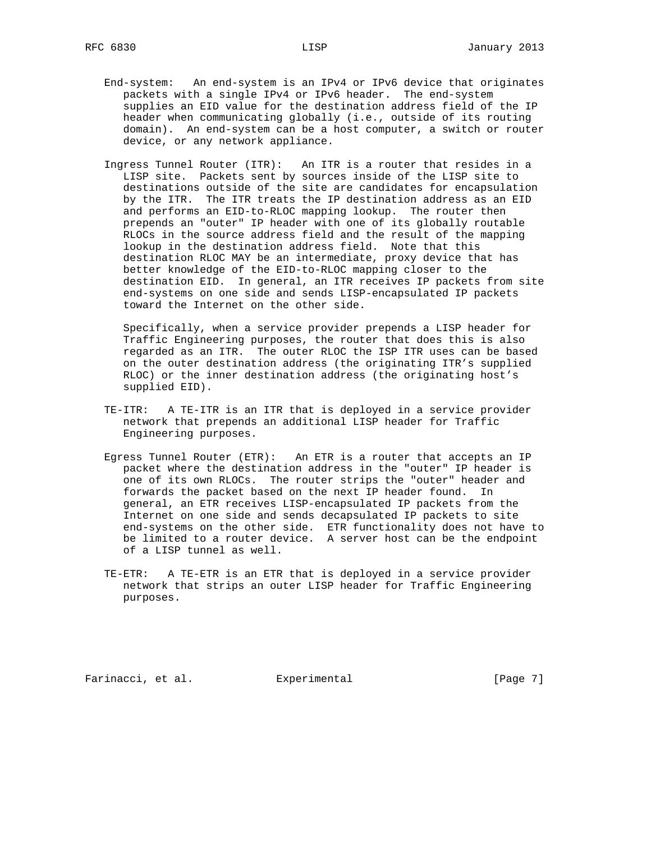- End-system: An end-system is an IPv4 or IPv6 device that originates packets with a single IPv4 or IPv6 header. The end-system supplies an EID value for the destination address field of the IP header when communicating globally (i.e., outside of its routing domain). An end-system can be a host computer, a switch or router device, or any network appliance.
- Ingress Tunnel Router (ITR): An ITR is a router that resides in a LISP site. Packets sent by sources inside of the LISP site to destinations outside of the site are candidates for encapsulation by the ITR. The ITR treats the IP destination address as an EID and performs an EID-to-RLOC mapping lookup. The router then prepends an "outer" IP header with one of its globally routable RLOCs in the source address field and the result of the mapping lookup in the destination address field. Note that this destination RLOC MAY be an intermediate, proxy device that has better knowledge of the EID-to-RLOC mapping closer to the destination EID. In general, an ITR receives IP packets from site end-systems on one side and sends LISP-encapsulated IP packets toward the Internet on the other side.

 Specifically, when a service provider prepends a LISP header for Traffic Engineering purposes, the router that does this is also regarded as an ITR. The outer RLOC the ISP ITR uses can be based on the outer destination address (the originating ITR's supplied RLOC) or the inner destination address (the originating host's supplied EID).

- TE-ITR: A TE-ITR is an ITR that is deployed in a service provider network that prepends an additional LISP header for Traffic Engineering purposes.
- Egress Tunnel Router (ETR): An ETR is a router that accepts an IP packet where the destination address in the "outer" IP header is one of its own RLOCs. The router strips the "outer" header and forwards the packet based on the next IP header found. In general, an ETR receives LISP-encapsulated IP packets from the Internet on one side and sends decapsulated IP packets to site end-systems on the other side. ETR functionality does not have to be limited to a router device. A server host can be the endpoint of a LISP tunnel as well.
	- TE-ETR: A TE-ETR is an ETR that is deployed in a service provider network that strips an outer LISP header for Traffic Engineering purposes.

Farinacci, et al. Experimental [Page 7]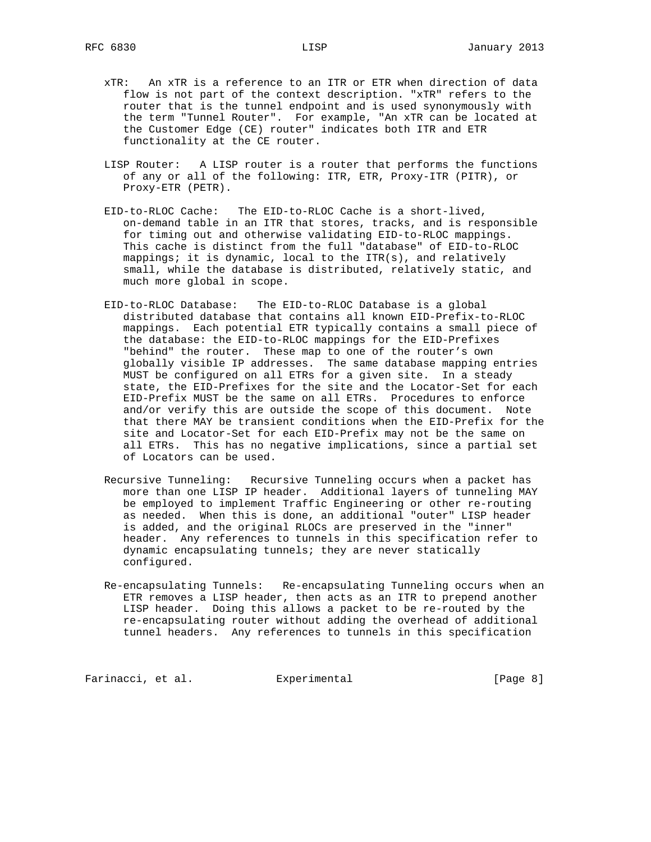- xTR: An xTR is a reference to an ITR or ETR when direction of data flow is not part of the context description. "xTR" refers to the router that is the tunnel endpoint and is used synonymously with the term "Tunnel Router". For example, "An xTR can be located at the Customer Edge (CE) router" indicates both ITR and ETR functionality at the CE router.
- LISP Router: A LISP router is a router that performs the functions of any or all of the following: ITR, ETR, Proxy-ITR (PITR), or Proxy-ETR (PETR).
- EID-to-RLOC Cache: The EID-to-RLOC Cache is a short-lived, on-demand table in an ITR that stores, tracks, and is responsible for timing out and otherwise validating EID-to-RLOC mappings. This cache is distinct from the full "database" of EID-to-RLOC mappings; it is dynamic, local to the ITR(s), and relatively small, while the database is distributed, relatively static, and much more global in scope.
- EID-to-RLOC Database: The EID-to-RLOC Database is a global distributed database that contains all known EID-Prefix-to-RLOC mappings. Each potential ETR typically contains a small piece of the database: the EID-to-RLOC mappings for the EID-Prefixes "behind" the router. These map to one of the router's own globally visible IP addresses. The same database mapping entries MUST be configured on all ETRs for a given site. In a steady state, the EID-Prefixes for the site and the Locator-Set for each EID-Prefix MUST be the same on all ETRs. Procedures to enforce and/or verify this are outside the scope of this document. Note that there MAY be transient conditions when the EID-Prefix for the site and Locator-Set for each EID-Prefix may not be the same on all ETRs. This has no negative implications, since a partial set of Locators can be used.
- Recursive Tunneling: Recursive Tunneling occurs when a packet has more than one LISP IP header. Additional layers of tunneling MAY be employed to implement Traffic Engineering or other re-routing as needed. When this is done, an additional "outer" LISP header is added, and the original RLOCs are preserved in the "inner" header. Any references to tunnels in this specification refer to dynamic encapsulating tunnels; they are never statically configured.
- Re-encapsulating Tunnels: Re-encapsulating Tunneling occurs when an ETR removes a LISP header, then acts as an ITR to prepend another LISP header. Doing this allows a packet to be re-routed by the re-encapsulating router without adding the overhead of additional tunnel headers. Any references to tunnels in this specification

Farinacci, et al. Experimental Farinacci [Page 8]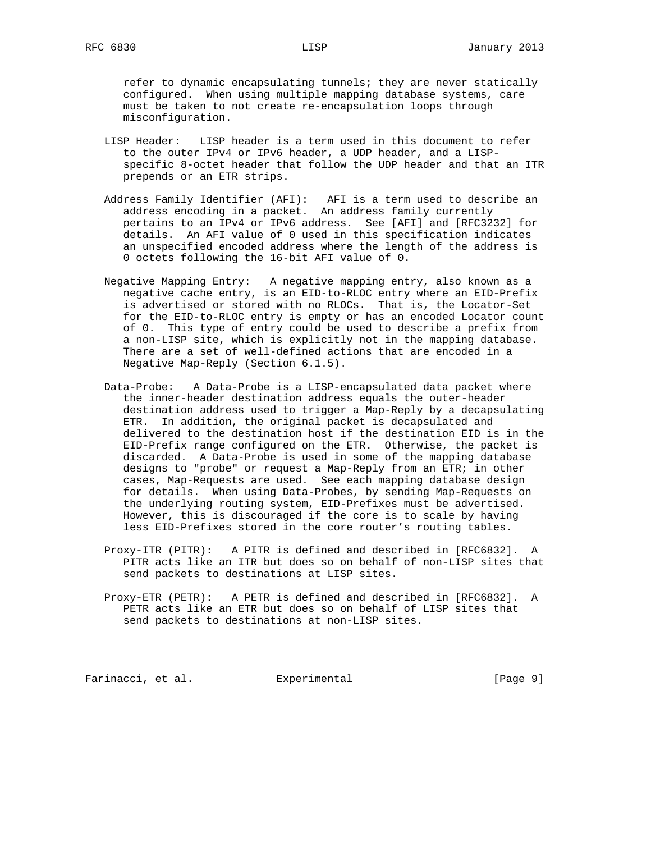refer to dynamic encapsulating tunnels; they are never statically configured. When using multiple mapping database systems, care must be taken to not create re-encapsulation loops through misconfiguration.

- LISP Header: LISP header is a term used in this document to refer to the outer IPv4 or IPv6 header, a UDP header, and a LISP specific 8-octet header that follow the UDP header and that an ITR prepends or an ETR strips.
- Address Family Identifier (AFI): AFI is a term used to describe an address encoding in a packet. An address family currently pertains to an IPv4 or IPv6 address. See [AFI] and [RFC3232] for details. An AFI value of 0 used in this specification indicates an unspecified encoded address where the length of the address is 0 octets following the 16-bit AFI value of 0.
- Negative Mapping Entry: A negative mapping entry, also known as a negative cache entry, is an EID-to-RLOC entry where an EID-Prefix is advertised or stored with no RLOCs. That is, the Locator-Set for the EID-to-RLOC entry is empty or has an encoded Locator count of 0. This type of entry could be used to describe a prefix from a non-LISP site, which is explicitly not in the mapping database. There are a set of well-defined actions that are encoded in a Negative Map-Reply (Section 6.1.5).
- Data-Probe: A Data-Probe is a LISP-encapsulated data packet where the inner-header destination address equals the outer-header destination address used to trigger a Map-Reply by a decapsulating ETR. In addition, the original packet is decapsulated and delivered to the destination host if the destination EID is in the EID-Prefix range configured on the ETR. Otherwise, the packet is discarded. A Data-Probe is used in some of the mapping database designs to "probe" or request a Map-Reply from an ETR; in other cases, Map-Requests are used. See each mapping database design for details. When using Data-Probes, by sending Map-Requests on the underlying routing system, EID-Prefixes must be advertised. However, this is discouraged if the core is to scale by having less EID-Prefixes stored in the core router's routing tables.
- Proxy-ITR (PITR): A PITR is defined and described in [RFC6832]. A PITR acts like an ITR but does so on behalf of non-LISP sites that send packets to destinations at LISP sites.
- Proxy-ETR (PETR): A PETR is defined and described in [RFC6832]. A PETR acts like an ETR but does so on behalf of LISP sites that send packets to destinations at non-LISP sites.

Farinacci, et al. Experimental Farinacci [Page 9]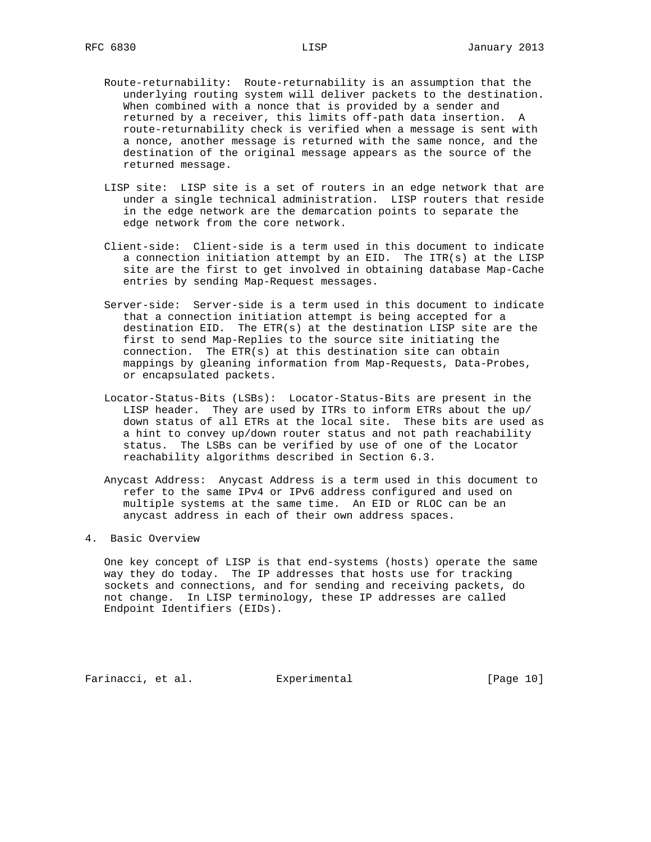- Route-returnability: Route-returnability is an assumption that the underlying routing system will deliver packets to the destination. When combined with a nonce that is provided by a sender and returned by a receiver, this limits off-path data insertion. A route-returnability check is verified when a message is sent with a nonce, another message is returned with the same nonce, and the destination of the original message appears as the source of the returned message.
- LISP site: LISP site is a set of routers in an edge network that are under a single technical administration. LISP routers that reside in the edge network are the demarcation points to separate the edge network from the core network.
- Client-side: Client-side is a term used in this document to indicate a connection initiation attempt by an EID. The ITR(s) at the LISP site are the first to get involved in obtaining database Map-Cache entries by sending Map-Request messages.
- Server-side: Server-side is a term used in this document to indicate that a connection initiation attempt is being accepted for a destination EID. The ETR(s) at the destination LISP site are the first to send Map-Replies to the source site initiating the connection. The ETR(s) at this destination site can obtain mappings by gleaning information from Map-Requests, Data-Probes, or encapsulated packets.
- Locator-Status-Bits (LSBs): Locator-Status-Bits are present in the LISP header. They are used by ITRs to inform ETRs about the up/ down status of all ETRs at the local site. These bits are used as a hint to convey up/down router status and not path reachability status. The LSBs can be verified by use of one of the Locator reachability algorithms described in Section 6.3.
- Anycast Address: Anycast Address is a term used in this document to refer to the same IPv4 or IPv6 address configured and used on multiple systems at the same time. An EID or RLOC can be an anycast address in each of their own address spaces.

#### 4. Basic Overview

 One key concept of LISP is that end-systems (hosts) operate the same way they do today. The IP addresses that hosts use for tracking sockets and connections, and for sending and receiving packets, do not change. In LISP terminology, these IP addresses are called Endpoint Identifiers (EIDs).

Farinacci, et al. Experimental [Page 10]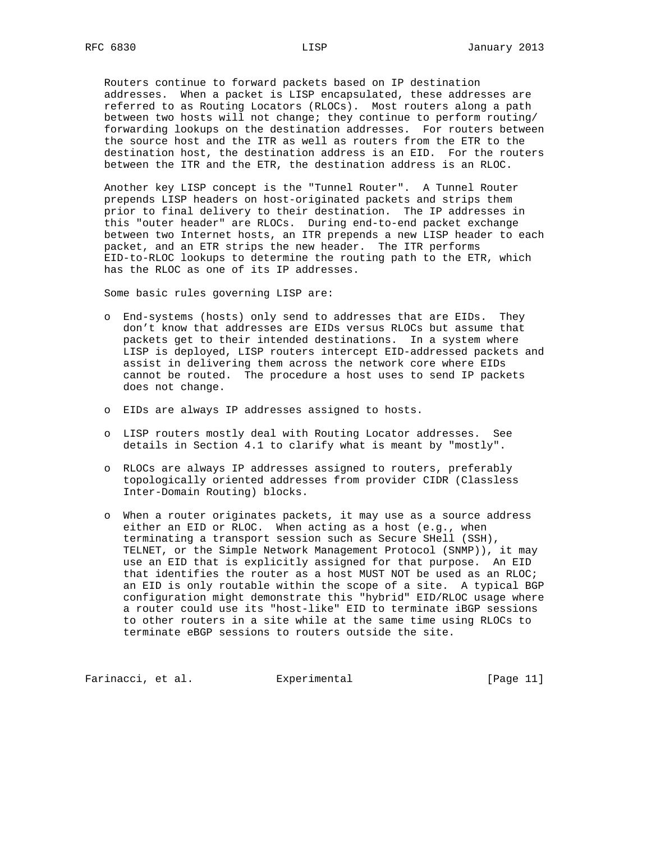Routers continue to forward packets based on IP destination addresses. When a packet is LISP encapsulated, these addresses are referred to as Routing Locators (RLOCs). Most routers along a path between two hosts will not change; they continue to perform routing/ forwarding lookups on the destination addresses. For routers between the source host and the ITR as well as routers from the ETR to the destination host, the destination address is an EID. For the routers between the ITR and the ETR, the destination address is an RLOC.

 Another key LISP concept is the "Tunnel Router". A Tunnel Router prepends LISP headers on host-originated packets and strips them prior to final delivery to their destination. The IP addresses in this "outer header" are RLOCs. During end-to-end packet exchange between two Internet hosts, an ITR prepends a new LISP header to each packet, and an ETR strips the new header. The ITR performs EID-to-RLOC lookups to determine the routing path to the ETR, which has the RLOC as one of its IP addresses.

Some basic rules governing LISP are:

- o End-systems (hosts) only send to addresses that are EIDs. They don't know that addresses are EIDs versus RLOCs but assume that packets get to their intended destinations. In a system where LISP is deployed, LISP routers intercept EID-addressed packets and assist in delivering them across the network core where EIDs cannot be routed. The procedure a host uses to send IP packets does not change.
- o EIDs are always IP addresses assigned to hosts.
- o LISP routers mostly deal with Routing Locator addresses. See details in Section 4.1 to clarify what is meant by "mostly".
- o RLOCs are always IP addresses assigned to routers, preferably topologically oriented addresses from provider CIDR (Classless Inter-Domain Routing) blocks.
- o When a router originates packets, it may use as a source address either an EID or RLOC. When acting as a host (e.g., when terminating a transport session such as Secure SHell (SSH), TELNET, or the Simple Network Management Protocol (SNMP)), it may use an EID that is explicitly assigned for that purpose. An EID that identifies the router as a host MUST NOT be used as an RLOC; an EID is only routable within the scope of a site. A typical BGP configuration might demonstrate this "hybrid" EID/RLOC usage where a router could use its "host-like" EID to terminate iBGP sessions to other routers in a site while at the same time using RLOCs to terminate eBGP sessions to routers outside the site.

Farinacci, et al. Experimental [Page 11]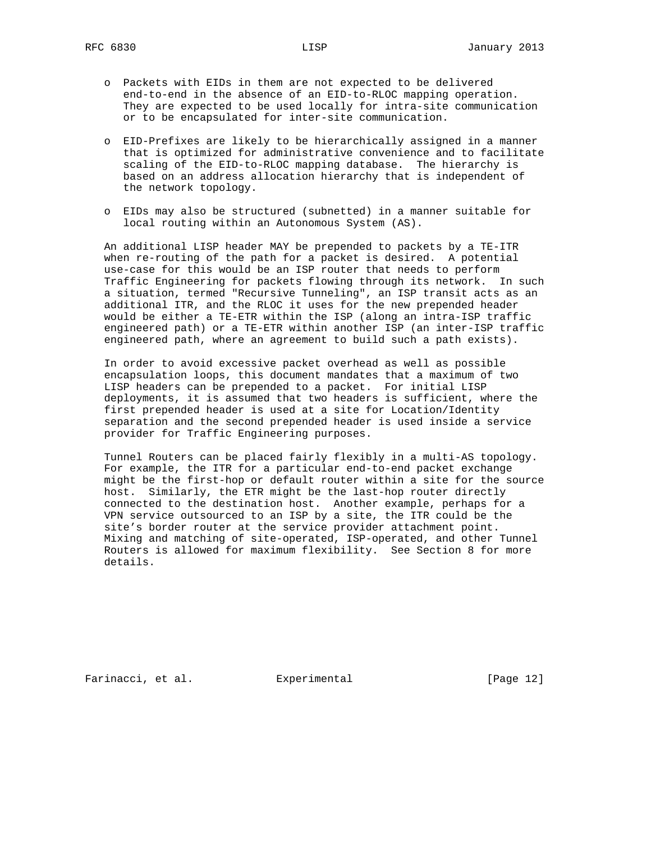- o Packets with EIDs in them are not expected to be delivered end-to-end in the absence of an EID-to-RLOC mapping operation. They are expected to be used locally for intra-site communication or to be encapsulated for inter-site communication.
- o EID-Prefixes are likely to be hierarchically assigned in a manner that is optimized for administrative convenience and to facilitate scaling of the EID-to-RLOC mapping database. The hierarchy is based on an address allocation hierarchy that is independent of the network topology.
- o EIDs may also be structured (subnetted) in a manner suitable for local routing within an Autonomous System (AS).

 An additional LISP header MAY be prepended to packets by a TE-ITR when re-routing of the path for a packet is desired. A potential use-case for this would be an ISP router that needs to perform Traffic Engineering for packets flowing through its network. In such a situation, termed "Recursive Tunneling", an ISP transit acts as an additional ITR, and the RLOC it uses for the new prepended header would be either a TE-ETR within the ISP (along an intra-ISP traffic engineered path) or a TE-ETR within another ISP (an inter-ISP traffic engineered path, where an agreement to build such a path exists).

 In order to avoid excessive packet overhead as well as possible encapsulation loops, this document mandates that a maximum of two LISP headers can be prepended to a packet. For initial LISP deployments, it is assumed that two headers is sufficient, where the first prepended header is used at a site for Location/Identity separation and the second prepended header is used inside a service provider for Traffic Engineering purposes.

 Tunnel Routers can be placed fairly flexibly in a multi-AS topology. For example, the ITR for a particular end-to-end packet exchange might be the first-hop or default router within a site for the source host. Similarly, the ETR might be the last-hop router directly connected to the destination host. Another example, perhaps for a VPN service outsourced to an ISP by a site, the ITR could be the site's border router at the service provider attachment point. Mixing and matching of site-operated, ISP-operated, and other Tunnel Routers is allowed for maximum flexibility. See Section 8 for more details.

Farinacci, et al. Experimental [Page 12]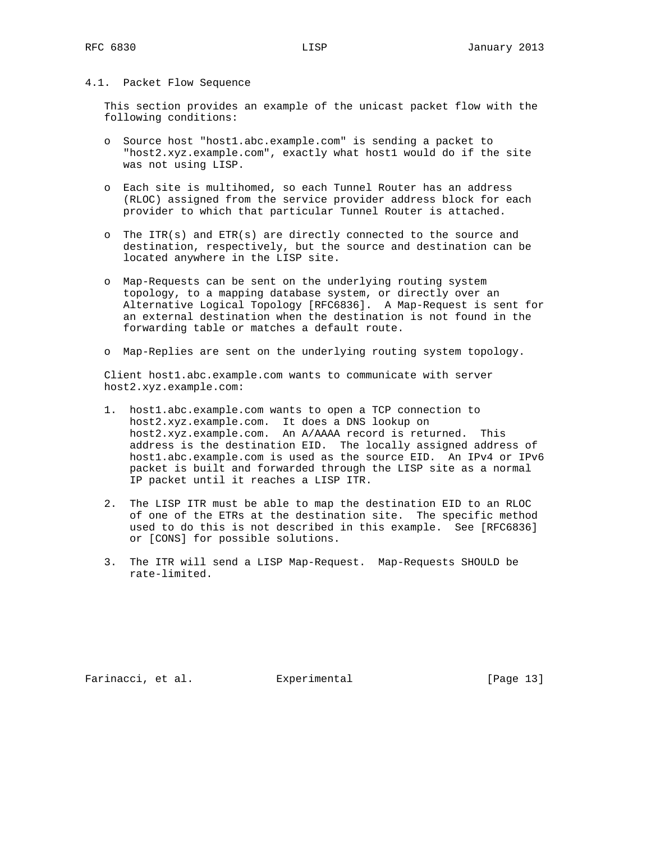#### 4.1. Packet Flow Sequence

 This section provides an example of the unicast packet flow with the following conditions:

- o Source host "host1.abc.example.com" is sending a packet to "host2.xyz.example.com", exactly what host1 would do if the site was not using LISP.
- o Each site is multihomed, so each Tunnel Router has an address (RLOC) assigned from the service provider address block for each provider to which that particular Tunnel Router is attached.
- o The ITR(s) and ETR(s) are directly connected to the source and destination, respectively, but the source and destination can be located anywhere in the LISP site.
- o Map-Requests can be sent on the underlying routing system topology, to a mapping database system, or directly over an Alternative Logical Topology [RFC6836]. A Map-Request is sent for an external destination when the destination is not found in the forwarding table or matches a default route.
- o Map-Replies are sent on the underlying routing system topology.

 Client host1.abc.example.com wants to communicate with server host2.xyz.example.com:

- 1. host1.abc.example.com wants to open a TCP connection to host2.xyz.example.com. It does a DNS lookup on host2.xyz.example.com. An A/AAAA record is returned. This address is the destination EID. The locally assigned address of host1.abc.example.com is used as the source EID. An IPv4 or IPv6 packet is built and forwarded through the LISP site as a normal IP packet until it reaches a LISP ITR.
- 2. The LISP ITR must be able to map the destination EID to an RLOC of one of the ETRs at the destination site. The specific method used to do this is not described in this example. See [RFC6836] or [CONS] for possible solutions.
- 3. The ITR will send a LISP Map-Request. Map-Requests SHOULD be rate-limited.

Farinacci, et al. Experimental [Page 13]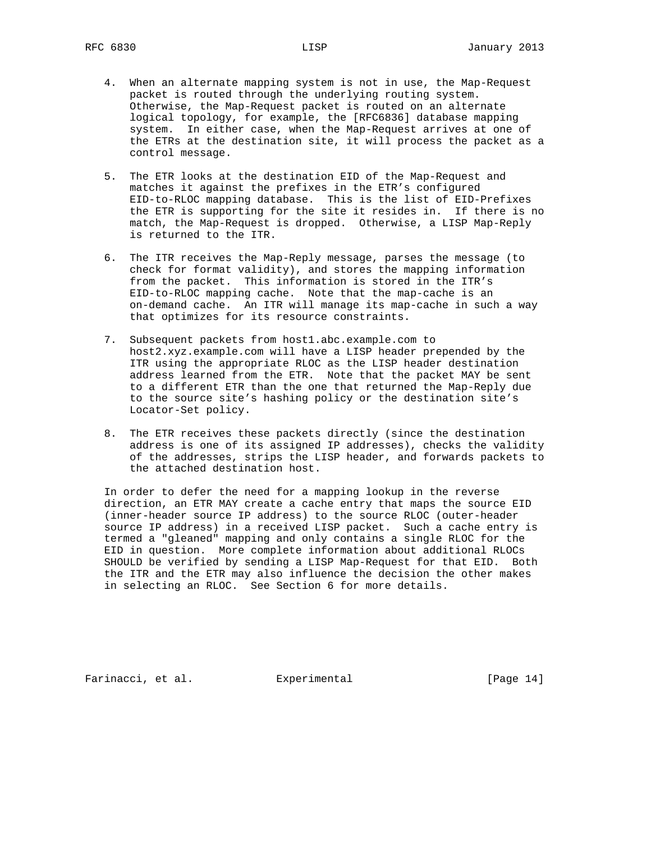- 4. When an alternate mapping system is not in use, the Map-Request packet is routed through the underlying routing system. Otherwise, the Map-Request packet is routed on an alternate logical topology, for example, the [RFC6836] database mapping system. In either case, when the Map-Request arrives at one of the ETRs at the destination site, it will process the packet as a control message.
- 5. The ETR looks at the destination EID of the Map-Request and matches it against the prefixes in the ETR's configured EID-to-RLOC mapping database. This is the list of EID-Prefixes the ETR is supporting for the site it resides in. If there is no match, the Map-Request is dropped. Otherwise, a LISP Map-Reply is returned to the ITR.
- 6. The ITR receives the Map-Reply message, parses the message (to check for format validity), and stores the mapping information from the packet. This information is stored in the ITR's EID-to-RLOC mapping cache. Note that the map-cache is an on-demand cache. An ITR will manage its map-cache in such a way that optimizes for its resource constraints.
- 7. Subsequent packets from host1.abc.example.com to host2.xyz.example.com will have a LISP header prepended by the ITR using the appropriate RLOC as the LISP header destination address learned from the ETR. Note that the packet MAY be sent to a different ETR than the one that returned the Map-Reply due to the source site's hashing policy or the destination site's Locator-Set policy.
- 8. The ETR receives these packets directly (since the destination address is one of its assigned IP addresses), checks the validity of the addresses, strips the LISP header, and forwards packets to the attached destination host.

 In order to defer the need for a mapping lookup in the reverse direction, an ETR MAY create a cache entry that maps the source EID (inner-header source IP address) to the source RLOC (outer-header source IP address) in a received LISP packet. Such a cache entry is termed a "gleaned" mapping and only contains a single RLOC for the EID in question. More complete information about additional RLOCs SHOULD be verified by sending a LISP Map-Request for that EID. Both the ITR and the ETR may also influence the decision the other makes in selecting an RLOC. See Section 6 for more details.

Farinacci, et al. Experimental [Page 14]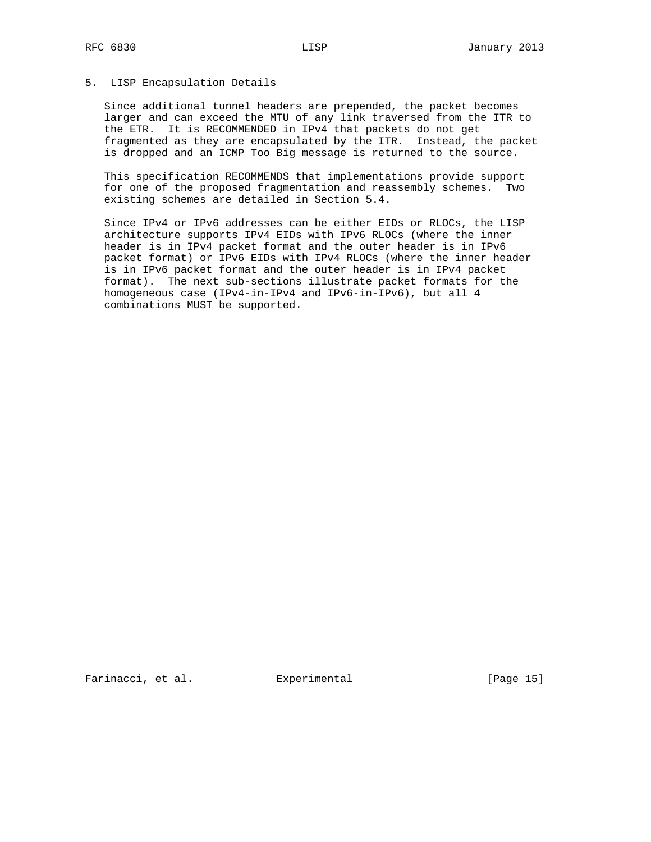#### 5. LISP Encapsulation Details

 Since additional tunnel headers are prepended, the packet becomes larger and can exceed the MTU of any link traversed from the ITR to the ETR. It is RECOMMENDED in IPv4 that packets do not get fragmented as they are encapsulated by the ITR. Instead, the packet is dropped and an ICMP Too Big message is returned to the source.

 This specification RECOMMENDS that implementations provide support for one of the proposed fragmentation and reassembly schemes. Two existing schemes are detailed in Section 5.4.

 Since IPv4 or IPv6 addresses can be either EIDs or RLOCs, the LISP architecture supports IPv4 EIDs with IPv6 RLOCs (where the inner header is in IPv4 packet format and the outer header is in IPv6 packet format) or IPv6 EIDs with IPv4 RLOCs (where the inner header is in IPv6 packet format and the outer header is in IPv4 packet format). The next sub-sections illustrate packet formats for the homogeneous case (IPv4-in-IPv4 and IPv6-in-IPv6), but all 4 combinations MUST be supported.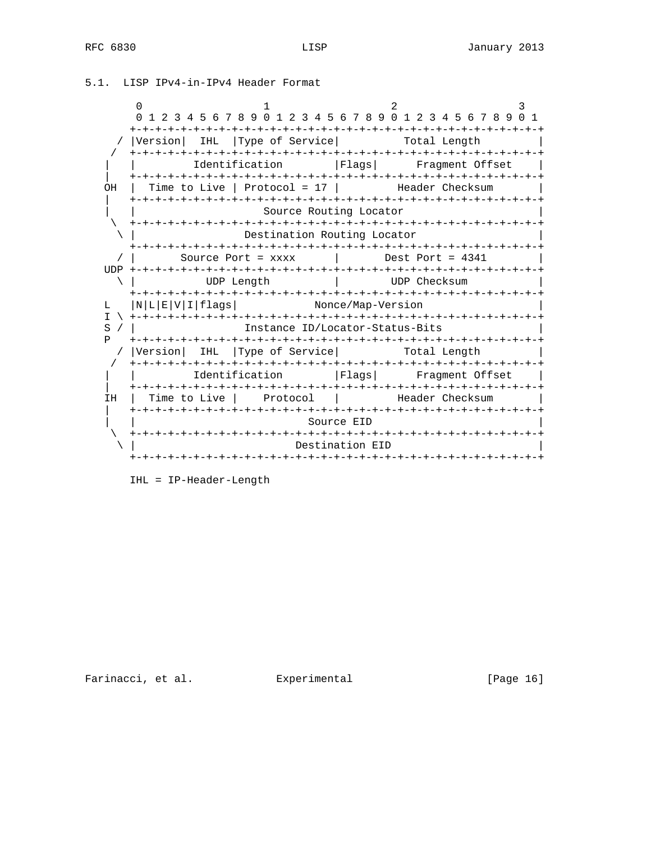```
0 1 2 3
     0 1 2 3 4 5 6 7 8 9 0 1 2 3 4 5 6 7 8 9 0 1 2 3 4 5 6 7 8 9 0 1
     +-+-+-+-+-+-+-+-+-+-+-+-+-+-+-+-+-+-+-+-+-+-+-+-+-+-+-+-+-+-+-+-+
  / |Version| IHL |Type of Service| Total Length
  / +-+-+-+-+-+-+-+-+-+-+-+-+-+-+-+-+-+-+-+-+-+-+-+-+-+-+-+-+-+-+-+-+
            | | Identification |Flags| Fragment Offset |
  | +-+-+-+-+-+-+-+-+-+-+-+-+-+-+-+-+-+-+-+-+-+-+-+-+-+-+-+-+-+-+-+-+
 OH | Time to Live | Protocol = 17 | Header Checksum |
    | +-+-+-+-+-+-+-+-+-+-+-+-+-+-+-+-+-+-+-+-+-+-+-+-+-+-+-+-+-+-+-+-+
                      Source Routing Locator
    \ +-+-+-+-+-+-+-+-+-+-+-+-+-+-+-+-+-+-+-+-+-+-+-+-+-+-+-+-+-+-+-+-+
                   \ | Destination Routing Locator |
     +-+-+-+-+-+-+-+-+-+-+-+-+-+-+-+-+-+-+-+-+-+-+-+-+-+-+-+-+-+-+-+-+
  \frac{1}{2} Source Port = xxxx \frac{1}{2} UDP +-+-+-+-+-+-+-+-+-+-+-+-+-+-+-+-+-+-+-+-+-+-+-+-+-+-+-+-+-+-+-+-+
  \ | UDP Length | UDP Checksum |
    +-+-+-+-+-+-+-+-+-+-+-+-+-+-+-+-+-+-+-+-+-+-+-+-+-+-+-+-+-+-+-+-+
 L |N|L|E|V|I|flags| Nonce/Map-Version |
 I \ +-+-+-+-+-+-+-+-+-+-+-+-+-+-+-+-+-+-+-+-+-+-+-+-+-+-+-+-+-+-+-+-+
S / | Instance ID/Locator-Status-Bits
 P +-+-+-+-+-+-+-+-+-+-+-+-+-+-+-+-+-+-+-+-+-+-+-+-+-+-+-+-+-+-+-+-+
  / |Version| IHL |Type of Service| Total Length
  / +-+-+-+-+-+-+-+-+-+-+-+-+-+-+-+-+-+-+-+-+-+-+-+-+-+-+-+-+-+-+-+-+
     | | Identification |Flags| Fragment Offset |
  | +-+-+-+-+-+-+-+-+-+-+-+-+-+-+-+-+-+-+-+-+-+-+-+-+-+-+-+-+-+-+-+-+
IH | Time to Live | Protocol | Header Checksum
   | +-+-+-+-+-+-+-+-+-+-+-+-+-+-+-+-+-+-+-+-+-+-+-+-+-+-+-+-+-+-+-+-+
                            Source EID
    \ +-+-+-+-+-+-+-+-+-+-+-+-+-+-+-+-+-+-+-+-+-+-+-+-+-+-+-+-+-+-+-+-+
   \ | Destination EID |
     +-+-+-+-+-+-+-+-+-+-+-+-+-+-+-+-+-+-+-+-+-+-+-+-+-+-+-+-+-+-+-+-+
```
IHL = IP-Header-Length

5.1. LISP IPv4-in-IPv4 Header Format

Farinacci, et al. Experimental [Page 16]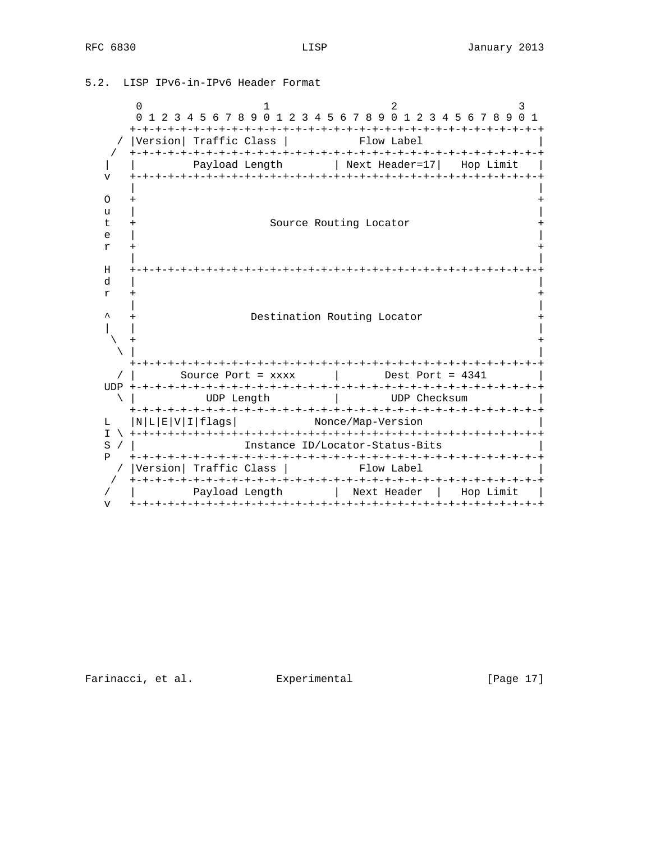$0$  1 2 3 0 1 2 3 4 5 6 7 8 9 0 1 2 3 4 5 6 7 8 9 0 1 2 3 4 5 6 7 8 9 0 1 +-+-+-+-+-+-+-+-+-+-+-+-+-+-+-+-+-+-+-+-+-+-+-+-+-+-+-+-+-+-+-+-+ / |Version| Traffic Class | Flow Label / +-+-+-+-+-+-+-+-+-+-+-+-+-+-+-+-+-+-+-+-+-+-+-+-+-+-+-+-+-+-+-+-+ | | Payload Length | Next Header=17| Hop Limit | v +-+-+-+-+-+-+-+-+-+-+-+-+-+-+-+-+-+-+-+-+-+-+-+-+-+-+-+-+-+-+-+-+ | |  $\circ$  + u |  $\blacksquare$  t + Source Routing Locator + e |  $\blacksquare$  $r$  +  $+$  | | H +-+-+-+-+-+-+-+-+-+-+-+-+-+-+-+-+-+-+-+-+-+-+-+-+-+-+-+-+-+-+-+-+ d  $|$  $r +$  | | ^ + Destination Routing Locator + | | |  $\setminus$  +  $\qquad \qquad \setminus$  |  $\qquad \qquad$  +-+-+-+-+-+-+-+-+-+-+-+-+-+-+-+-+-+-+-+-+-+-+-+-+-+-+-+-+-+-+-+-+ / | Source Port = xxxx | Dest Port = 4341 | UDP +-+-+-+-+-+-+-+-+-+-+-+-+-+-+-+-+-+-+-+-+-+-+-+-+-+-+-+-+-+-+-+-+ \ | UDP Length | UDP Checksum | +-+-+-+-+-+-+-+-+-+-+-+-+-+-+-+-+-+-+-+-+-+-+-+-+-+-+-+-+-+-+-+-+ L |N|L|E|V|I|flags| Nonce/Map-Version | I \ +-+-+-+-+-+-+-+-+-+-+-+-+-+-+-+-+-+-+-+-+-+-+-+-+-+-+-+-+-+-+-+-+ S / | Instance ID/Locator-Status-Bits P +-+-+-+-+-+-+-+-+-+-+-+-+-+-+-+-+-+-+-+-+-+-+-+-+-+-+-+-+-+-+-+-+ / |Version| Traffic Class | Flow Label / +-+-+-+-+-+-+-+-+-+-+-+-+-+-+-+-+-+-+-+-+-+-+-+-+-+-+-+-+-+-+-+-+ / | Payload Length | Next Header | Hop Limit | v +-+-+-+-+-+-+-+-+-+-+-+-+-+-+-+-+-+-+-+-+-+-+-+-+-+-+-+-+-+-+-+-+

5.2. LISP IPv6-in-IPv6 Header Format

Farinacci, et al. Experimental [Page 17]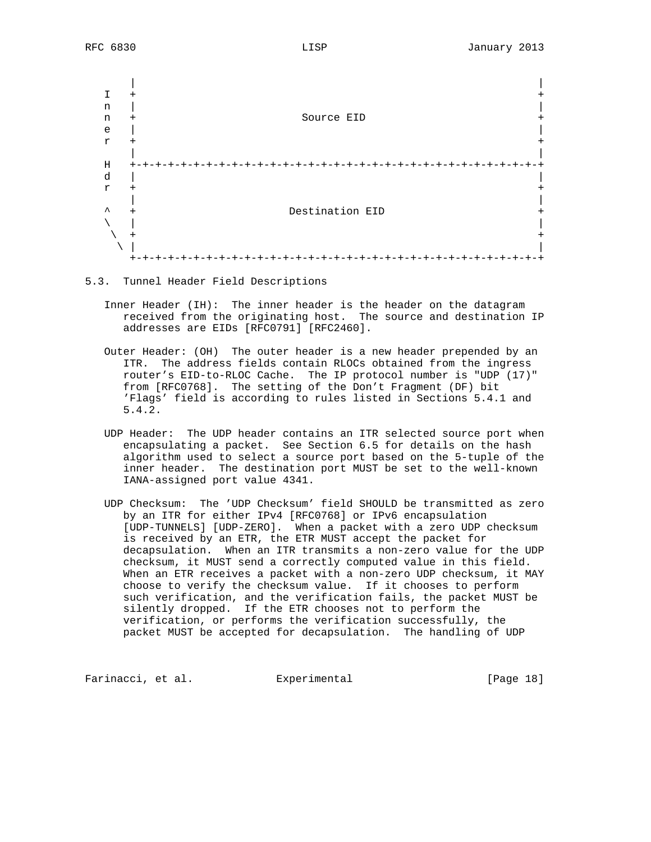

5.3. Tunnel Header Field Descriptions

- Inner Header (IH): The inner header is the header on the datagram received from the originating host. The source and destination IP addresses are EIDs [RFC0791] [RFC2460].
- Outer Header: (OH) The outer header is a new header prepended by an ITR. The address fields contain RLOCs obtained from the ingress router's EID-to-RLOC Cache. The IP protocol number is "UDP (17)" from [RFC0768]. The setting of the Don't Fragment (DF) bit 'Flags' field is according to rules listed in Sections 5.4.1 and 5.4.2.
	- UDP Header: The UDP header contains an ITR selected source port when encapsulating a packet. See Section 6.5 for details on the hash algorithm used to select a source port based on the 5-tuple of the inner header. The destination port MUST be set to the well-known IANA-assigned port value 4341.
	- UDP Checksum: The 'UDP Checksum' field SHOULD be transmitted as zero by an ITR for either IPv4 [RFC0768] or IPv6 encapsulation [UDP-TUNNELS] [UDP-ZERO]. When a packet with a zero UDP checksum is received by an ETR, the ETR MUST accept the packet for decapsulation. When an ITR transmits a non-zero value for the UDP checksum, it MUST send a correctly computed value in this field. When an ETR receives a packet with a non-zero UDP checksum, it MAY choose to verify the checksum value. If it chooses to perform such verification, and the verification fails, the packet MUST be silently dropped. If the ETR chooses not to perform the verification, or performs the verification successfully, the packet MUST be accepted for decapsulation. The handling of UDP

Farinacci, et al. Experimental [Page 18]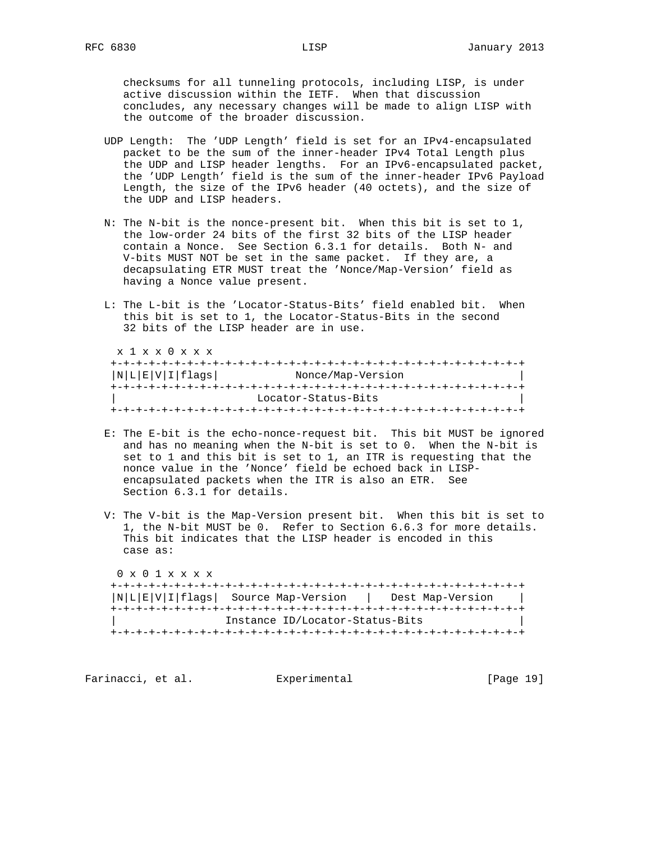checksums for all tunneling protocols, including LISP, is under active discussion within the IETF. When that discussion concludes, any necessary changes will be made to align LISP with the outcome of the broader discussion.

- UDP Length: The 'UDP Length' field is set for an IPv4-encapsulated packet to be the sum of the inner-header IPv4 Total Length plus the UDP and LISP header lengths. For an IPv6-encapsulated packet, the 'UDP Length' field is the sum of the inner-header IPv6 Payload Length, the size of the IPv6 header (40 octets), and the size of the UDP and LISP headers.
- N: The N-bit is the nonce-present bit. When this bit is set to 1, the low-order 24 bits of the first 32 bits of the LISP header contain a Nonce. See Section 6.3.1 for details. Both N- and V-bits MUST NOT be set in the same packet. If they are, a decapsulating ETR MUST treat the 'Nonce/Map-Version' field as having a Nonce value present.
- L: The L-bit is the 'Locator-Status-Bits' field enabled bit. When this bit is set to 1, the Locator-Status-Bits in the second 32 bits of the LISP header are in use.

| x 1 x x 0 x x x |                     |
|-----------------|---------------------|
|                 |                     |
| N L E V I flags | Nonce/Map-Version   |
|                 |                     |
|                 | Locator-Status-Bits |
|                 |                     |

- E: The E-bit is the echo-nonce-request bit. This bit MUST be ignored and has no meaning when the N-bit is set to 0. When the N-bit is set to 1 and this bit is set to 1, an ITR is requesting that the nonce value in the 'Nonce' field be echoed back in LISP encapsulated packets when the ITR is also an ETR. See Section 6.3.1 for details.
- V: The V-bit is the Map-Version present bit. When this bit is set to 1, the N-bit MUST be 0. Refer to Section 6.6.3 for more details. This bit indicates that the LISP header is encoded in this case as:

| $0 \times 0$ 1 $\times$ $\times$ $\times$ |                                        |                  |
|-------------------------------------------|----------------------------------------|------------------|
|                                           |                                        |                  |
|                                           | $ N L E V I flags $ Source Map-Version | Dest Map-Version |
|                                           |                                        |                  |
|                                           | Instance ID/Locator-Status-Bits        |                  |
|                                           |                                        |                  |

Farinacci, et al. Experimental [Page 19]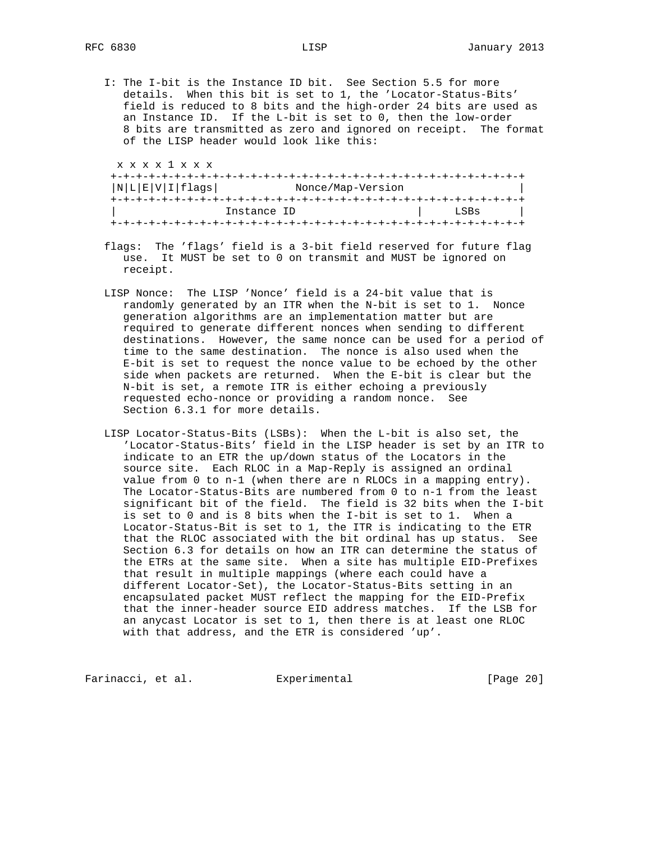I: The I-bit is the Instance ID bit. See Section 5.5 for more details. When this bit is set to 1, the 'Locator-Status-Bits' field is reduced to 8 bits and the high-order 24 bits are used as an Instance ID. If the L-bit is set to 0, then the low-order 8 bits are transmitted as zero and ignored on receipt. The format of the LISP header would look like this:

| N L E V I flags |             | Nonce/Map-Version |
|-----------------|-------------|-------------------|
|                 |             |                   |
|                 | Instance ID | LSBs              |

- flags: The 'flags' field is a 3-bit field reserved for future flag use. It MUST be set to 0 on transmit and MUST be ignored on receipt.
- LISP Nonce: The LISP 'Nonce' field is a 24-bit value that is randomly generated by an ITR when the N-bit is set to 1. Nonce generation algorithms are an implementation matter but are required to generate different nonces when sending to different destinations. However, the same nonce can be used for a period of time to the same destination. The nonce is also used when the E-bit is set to request the nonce value to be echoed by the other side when packets are returned. When the E-bit is clear but the N-bit is set, a remote ITR is either echoing a previously requested echo-nonce or providing a random nonce. See Section 6.3.1 for more details.
- LISP Locator-Status-Bits (LSBs): When the L-bit is also set, the 'Locator-Status-Bits' field in the LISP header is set by an ITR to indicate to an ETR the up/down status of the Locators in the source site. Each RLOC in a Map-Reply is assigned an ordinal value from 0 to n-1 (when there are n RLOCs in a mapping entry). The Locator-Status-Bits are numbered from 0 to n-1 from the least significant bit of the field. The field is 32 bits when the I-bit is set to 0 and is 8 bits when the I-bit is set to 1. When a Locator-Status-Bit is set to 1, the ITR is indicating to the ETR that the RLOC associated with the bit ordinal has up status. See Section 6.3 for details on how an ITR can determine the status of the ETRs at the same site. When a site has multiple EID-Prefixes that result in multiple mappings (where each could have a different Locator-Set), the Locator-Status-Bits setting in an encapsulated packet MUST reflect the mapping for the EID-Prefix that the inner-header source EID address matches. If the LSB for an anycast Locator is set to 1, then there is at least one RLOC with that address, and the ETR is considered 'up'.

Farinacci, et al. Experimental [Page 20]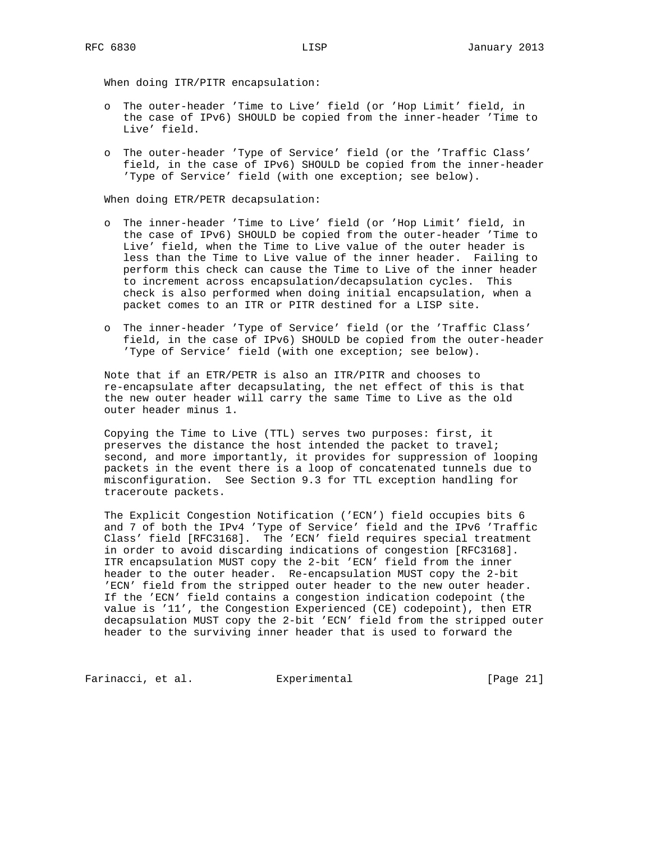When doing ITR/PITR encapsulation:

- o The outer-header 'Time to Live' field (or 'Hop Limit' field, in the case of IPv6) SHOULD be copied from the inner-header 'Time to Live' field.
- o The outer-header 'Type of Service' field (or the 'Traffic Class' field, in the case of IPv6) SHOULD be copied from the inner-header 'Type of Service' field (with one exception; see below).

When doing ETR/PETR decapsulation:

- o The inner-header 'Time to Live' field (or 'Hop Limit' field, in the case of IPv6) SHOULD be copied from the outer-header 'Time to Live' field, when the Time to Live value of the outer header is less than the Time to Live value of the inner header. Failing to perform this check can cause the Time to Live of the inner header to increment across encapsulation/decapsulation cycles. This check is also performed when doing initial encapsulation, when a packet comes to an ITR or PITR destined for a LISP site.
- o The inner-header 'Type of Service' field (or the 'Traffic Class' field, in the case of IPv6) SHOULD be copied from the outer-header 'Type of Service' field (with one exception; see below).

 Note that if an ETR/PETR is also an ITR/PITR and chooses to re-encapsulate after decapsulating, the net effect of this is that the new outer header will carry the same Time to Live as the old outer header minus 1.

 Copying the Time to Live (TTL) serves two purposes: first, it preserves the distance the host intended the packet to travel; second, and more importantly, it provides for suppression of looping packets in the event there is a loop of concatenated tunnels due to misconfiguration. See Section 9.3 for TTL exception handling for traceroute packets.

 The Explicit Congestion Notification ('ECN') field occupies bits 6 and 7 of both the IPv4 'Type of Service' field and the IPv6 'Traffic Class' field [RFC3168]. The 'ECN' field requires special treatment in order to avoid discarding indications of congestion [RFC3168]. ITR encapsulation MUST copy the 2-bit 'ECN' field from the inner header to the outer header. Re-encapsulation MUST copy the 2-bit 'ECN' field from the stripped outer header to the new outer header. If the 'ECN' field contains a congestion indication codepoint (the value is '11', the Congestion Experienced (CE) codepoint), then ETR decapsulation MUST copy the 2-bit 'ECN' field from the stripped outer header to the surviving inner header that is used to forward the

Farinacci, et al. Experimental [Page 21]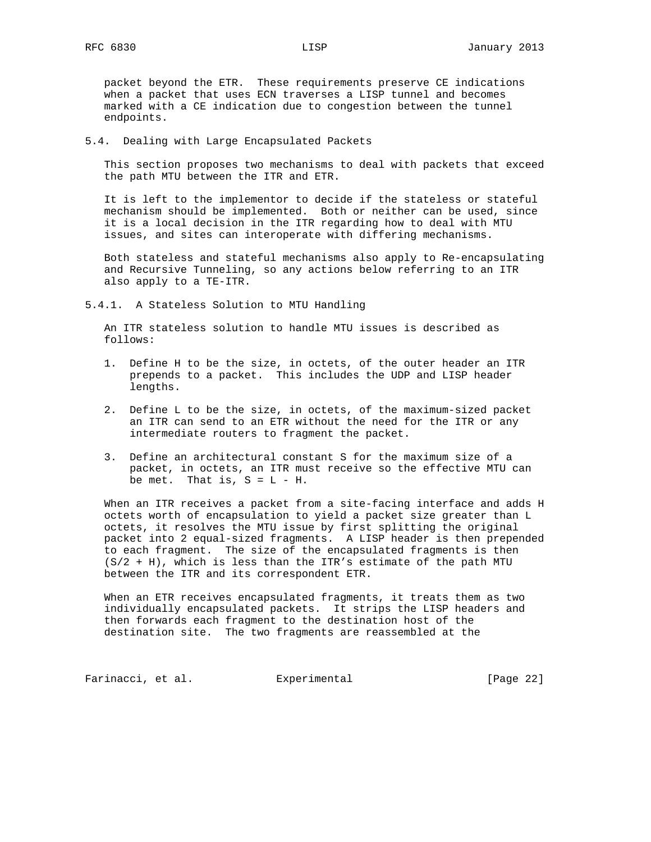packet beyond the ETR. These requirements preserve CE indications when a packet that uses ECN traverses a LISP tunnel and becomes marked with a CE indication due to congestion between the tunnel endpoints.

5.4. Dealing with Large Encapsulated Packets

 This section proposes two mechanisms to deal with packets that exceed the path MTU between the ITR and ETR.

 It is left to the implementor to decide if the stateless or stateful mechanism should be implemented. Both or neither can be used, since it is a local decision in the ITR regarding how to deal with MTU issues, and sites can interoperate with differing mechanisms.

 Both stateless and stateful mechanisms also apply to Re-encapsulating and Recursive Tunneling, so any actions below referring to an ITR also apply to a TE-ITR.

5.4.1. A Stateless Solution to MTU Handling

 An ITR stateless solution to handle MTU issues is described as follows:

- 1. Define H to be the size, in octets, of the outer header an ITR prepends to a packet. This includes the UDP and LISP header lengths.
- 2. Define L to be the size, in octets, of the maximum-sized packet an ITR can send to an ETR without the need for the ITR or any intermediate routers to fragment the packet.
- 3. Define an architectural constant S for the maximum size of a packet, in octets, an ITR must receive so the effective MTU can be met. That is,  $S = L - H$ .

 When an ITR receives a packet from a site-facing interface and adds H octets worth of encapsulation to yield a packet size greater than L octets, it resolves the MTU issue by first splitting the original packet into 2 equal-sized fragments. A LISP header is then prepended to each fragment. The size of the encapsulated fragments is then  $(S/2 + H)$ , which is less than the ITR's estimate of the path MTU between the ITR and its correspondent ETR.

 When an ETR receives encapsulated fragments, it treats them as two individually encapsulated packets. It strips the LISP headers and then forwards each fragment to the destination host of the destination site. The two fragments are reassembled at the

Farinacci, et al. Experimental [Page 22]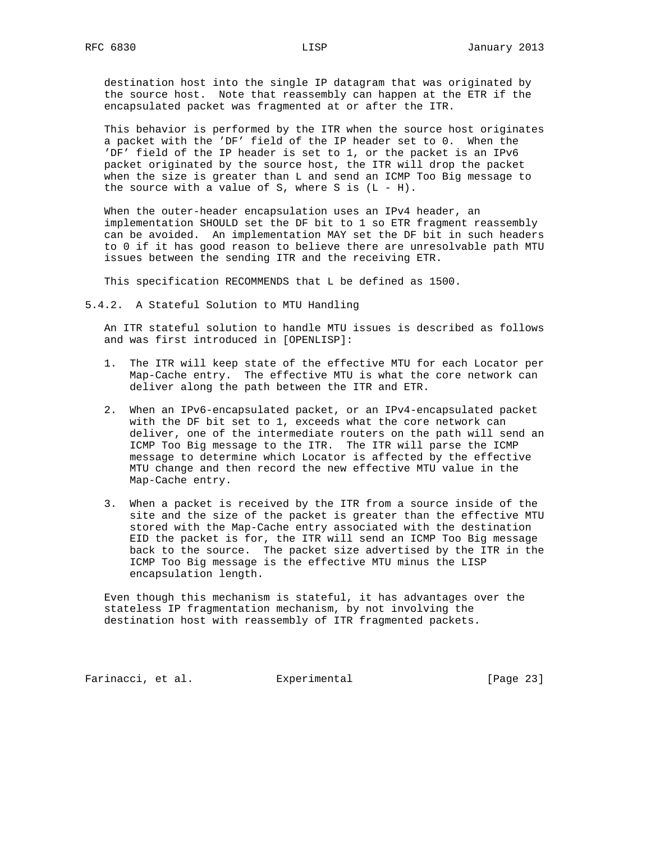destination host into the single IP datagram that was originated by the source host. Note that reassembly can happen at the ETR if the encapsulated packet was fragmented at or after the ITR.

 This behavior is performed by the ITR when the source host originates a packet with the 'DF' field of the IP header set to 0. When the 'DF' field of the IP header is set to 1, or the packet is an IPv6 packet originated by the source host, the ITR will drop the packet when the size is greater than L and send an ICMP Too Big message to the source with a value of S, where S is  $(L - H)$ .

 When the outer-header encapsulation uses an IPv4 header, an implementation SHOULD set the DF bit to 1 so ETR fragment reassembly can be avoided. An implementation MAY set the DF bit in such headers to 0 if it has good reason to believe there are unresolvable path MTU issues between the sending ITR and the receiving ETR.

This specification RECOMMENDS that L be defined as 1500.

5.4.2. A Stateful Solution to MTU Handling

 An ITR stateful solution to handle MTU issues is described as follows and was first introduced in [OPENLISP]:

- 1. The ITR will keep state of the effective MTU for each Locator per Map-Cache entry. The effective MTU is what the core network can deliver along the path between the ITR and ETR.
- 2. When an IPv6-encapsulated packet, or an IPv4-encapsulated packet with the DF bit set to 1, exceeds what the core network can deliver, one of the intermediate routers on the path will send an ICMP Too Big message to the ITR. The ITR will parse the ICMP message to determine which Locator is affected by the effective MTU change and then record the new effective MTU value in the Map-Cache entry.
- 3. When a packet is received by the ITR from a source inside of the site and the size of the packet is greater than the effective MTU stored with the Map-Cache entry associated with the destination EID the packet is for, the ITR will send an ICMP Too Big message back to the source. The packet size advertised by the ITR in the ICMP Too Big message is the effective MTU minus the LISP encapsulation length.

 Even though this mechanism is stateful, it has advantages over the stateless IP fragmentation mechanism, by not involving the destination host with reassembly of ITR fragmented packets.

Farinacci, et al. Experimental [Page 23]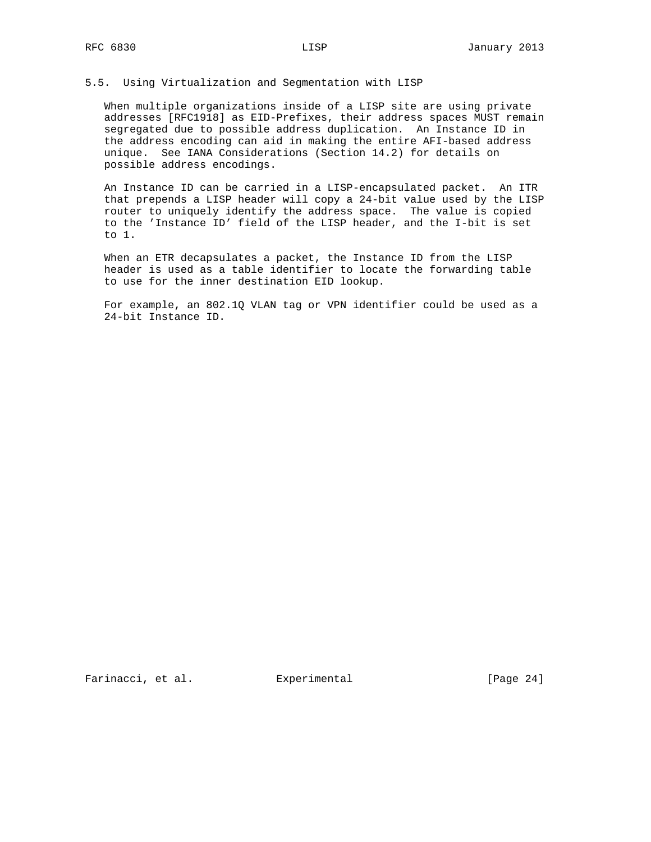#### 5.5. Using Virtualization and Segmentation with LISP

 When multiple organizations inside of a LISP site are using private addresses [RFC1918] as EID-Prefixes, their address spaces MUST remain segregated due to possible address duplication. An Instance ID in the address encoding can aid in making the entire AFI-based address unique. See IANA Considerations (Section 14.2) for details on possible address encodings.

 An Instance ID can be carried in a LISP-encapsulated packet. An ITR that prepends a LISP header will copy a 24-bit value used by the LISP router to uniquely identify the address space. The value is copied to the 'Instance ID' field of the LISP header, and the I-bit is set to 1.

 When an ETR decapsulates a packet, the Instance ID from the LISP header is used as a table identifier to locate the forwarding table to use for the inner destination EID lookup.

 For example, an 802.1Q VLAN tag or VPN identifier could be used as a 24-bit Instance ID.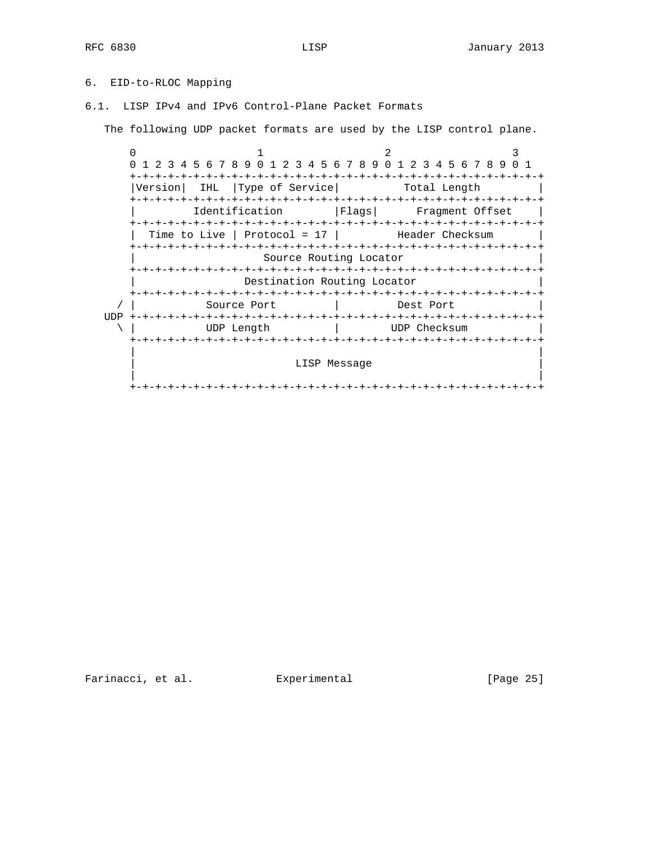# 6. EID-to-RLOC Mapping

6.1. LISP IPv4 and IPv6 Control-Plane Packet Formats

The following UDP packet formats are used by the LISP control plane.

 $0$  1 2 3 0 1 2 3 4 5 6 7 8 9 0 1 2 3 4 5 6 7 8 9 0 1 2 3 4 5 6 7 8 9 0 1 +-+-+-+-+-+-+-+-+-+-+-+-+-+-+-+-+-+-+-+-+-+-+-+-+-+-+-+-+-+-+-+-+ |Version| IHL |Type of Service| Total Length +-+-+-+-+-+-+-+-+-+-+-+-+-+-+-+-+-+-+-+-+-+-+-+-+-+-+-+-+-+-+-+-+ Identification | Flags| Fragment Offset +-+-+-+-+-+-+-+-+-+-+-+-+-+-+-+-+-+-+-+-+-+-+-+-+-+-+-+-+-+-+-+-+ Time to Live | Protocol =  $17$  | Header Checksum +-+-+-+-+-+-+-+-+-+-+-+-+-+-+-+-+-+-+-+-+-+-+-+-+-+-+-+-+-+-+-+-+ Source Routing Locator +-+-+-+-+-+-+-+-+-+-+-+-+-+-+-+-+-+-+-+-+-+-+-+-+-+-+-+-+-+-+-+-+ Destination Routing Locator +-+-+-+-+-+-+-+-+-+-+-+-+-+-+-+-+-+-+-+-+-+-+-+-+-+-+-+-+-+-+-+-+ / | Source Port | Dest Port | UDP +-+-+-+-+-+-+-+-+-+-+-+-+-+-+-+-+-+-+-+-+-+-+-+-+-+-+-+-+-+-+-+-+ \ | UDP Length | UDP Checksum | +-+-+-+-+-+-+-+-+-+-+-+-+-+-+-+-+-+-+-+-+-+-+-+-+-+-+-+-+-+-+-+-+ | | LISP Message | | +-+-+-+-+-+-+-+-+-+-+-+-+-+-+-+-+-+-+-+-+-+-+-+-+-+-+-+-+-+-+-+-+

Farinacci, et al. Experimental [Page 25]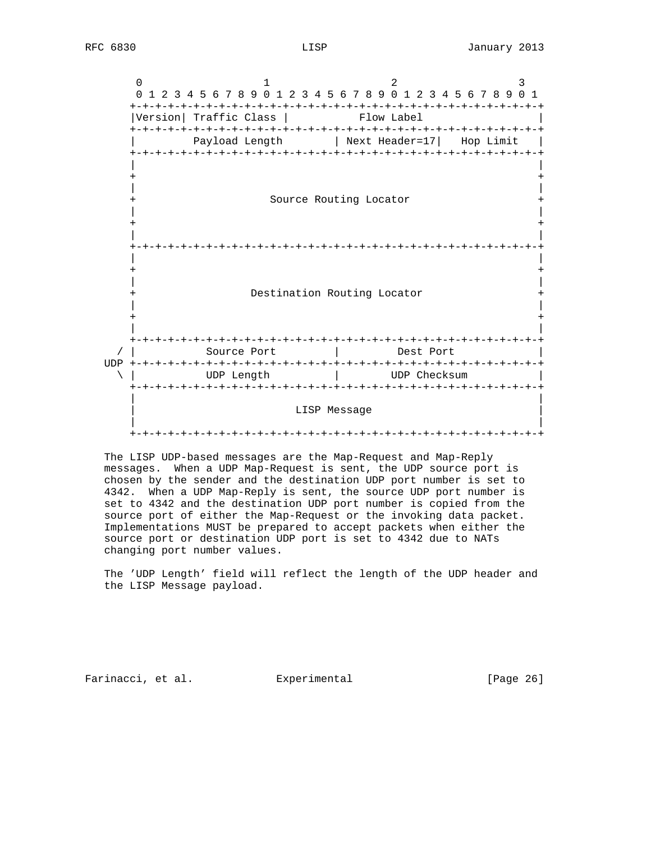$0$  1 2 3 0 1 2 3 4 5 6 7 8 9 0 1 2 3 4 5 6 7 8 9 0 1 2 3 4 5 6 7 8 9 0 1 +-+-+-+-+-+-+-+-+-+-+-+-+-+-+-+-+-+-+-+-+-+-+-+-+-+-+-+-+-+-+-+-+ |Version| Traffic Class | Flow Label +-+-+-+-+-+-+-+-+-+-+-+-+-+-+-+-+-+-+-+-+-+-+-+-+-+-+-+-+-+-+-+-+ Payload Length | Next Header=17| Hop Limit | +-+-+-+-+-+-+-+-+-+-+-+-+-+-+-+-+-+-+-+-+-+-+-+-+-+-+-+-+-+-+-+-+ | | + + | | + Source Routing Locator + | | + + | | +-+-+-+-+-+-+-+-+-+-+-+-+-+-+-+-+-+-+-+-+-+-+-+-+-+-+-+-+-+-+-+-+ | | + + | | + Destination Routing Locator + | | + + | | +-+-+-+-+-+-+-+-+-+-+-+-+-+-+-+-+-+-+-+-+-+-+-+-+-+-+-+-+-+-+-+-+ / | Source Port | Dest Port | UDP +-+-+-+-+-+-+-+-+-+-+-+-+-+-+-+-+-+-+-+-+-+-+-+-+-+-+-+-+-+-+-+-+ \ | UDP Length | UDP Checksum | +-+-+-+-+-+-+-+-+-+-+-+-+-+-+-+-+-+-+-+-+-+-+-+-+-+-+-+-+-+-+-+-+ | | LISP Message | | +-+-+-+-+-+-+-+-+-+-+-+-+-+-+-+-+-+-+-+-+-+-+-+-+-+-+-+-+-+-+-+-+

 The LISP UDP-based messages are the Map-Request and Map-Reply messages. When a UDP Map-Request is sent, the UDP source port is chosen by the sender and the destination UDP port number is set to 4342. When a UDP Map-Reply is sent, the source UDP port number is set to 4342 and the destination UDP port number is copied from the source port of either the Map-Request or the invoking data packet. Implementations MUST be prepared to accept packets when either the source port or destination UDP port is set to 4342 due to NATs changing port number values.

 The 'UDP Length' field will reflect the length of the UDP header and the LISP Message payload.

Farinacci, et al. Experimental [Page 26]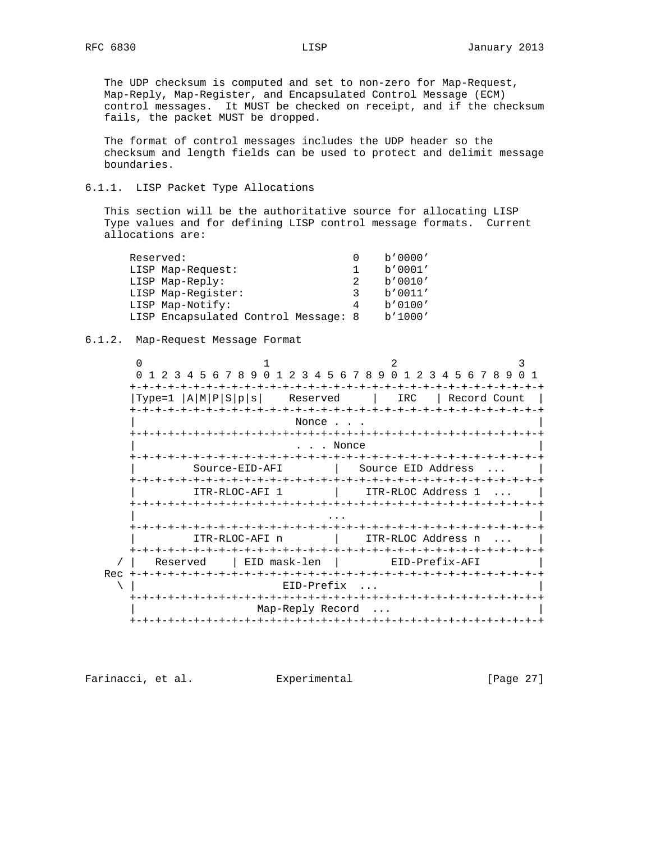The UDP checksum is computed and set to non-zero for Map-Request, Map-Reply, Map-Register, and Encapsulated Control Message (ECM) control messages. It MUST be checked on receipt, and if the checksum fails, the packet MUST be dropped.

 The format of control messages includes the UDP header so the checksum and length fields can be used to protect and delimit message boundaries.

### 6.1.1. LISP Packet Type Allocations

 This section will be the authoritative source for allocating LISP Type values and for defining LISP control message formats. Current allocations are:

| Reserved:                            |   | b'0000' |
|--------------------------------------|---|---------|
| LISP Map-Request:                    |   | b'0001' |
| LISP Map-Reply:                      |   | b'0010' |
| LISP Map-Register:                   | ર | b'0011' |
| LISP Map-Notify:                     | 4 | b'0100' |
| LISP Encapsulated Control Message: 8 |   | b'1000' |

#### 6.1.2. Map-Request Message Format

 $0$  1 2 3 0 1 2 3 4 5 6 7 8 9 0 1 2 3 4 5 6 7 8 9 0 1 2 3 4 5 6 7 8 9 0 1 +-+-+-+-+-+-+-+-+-+-+-+-+-+-+-+-+-+-+-+-+-+-+-+-+-+-+-+-+-+-+-+-+ |Type=1 |A|M|P|S|p|s| Reserved | IRC | Record Count | +-+-+-+-+-+-+-+-+-+-+-+-+-+-+-+-+-+-+-+-+-+-+-+-+-+-+-+-+-+-+-+-+ Nonce . . . +-+-+-+-+-+-+-+-+-+-+-+-+-+-+-+-+-+-+-+-+-+-+-+-+-+-+-+-+-+-+-+-+ . . . Nonce +-+-+-+-+-+-+-+-+-+-+-+-+-+-+-+-+-+-+-+-+-+-+-+-+-+-+-+-+-+-+-+-+ | Source-EID-AFI | Source EID Address ... | +-+-+-+-+-+-+-+-+-+-+-+-+-+-+-+-+-+-+-+-+-+-+-+-+-+-+-+-+-+-+-+-+ ITR-RLOC-AFI 1 | ITR-RLOC Address 1 ... +-+-+-+-+-+-+-+-+-+-+-+-+-+-+-+-+-+-+-+-+-+-+-+-+-+-+-+-+-+-+-+-+ | ... | ... | ... | ... | ... | ... | ... | ... | ... | ... | ... | ... | ... | ... | ... | ... | ... | ... | +-+-+-+-+-+-+-+-+-+-+-+-+-+-+-+-+-+-+-+-+-+-+-+-+-+-+-+-+-+-+-+-+ | ITR-RLOC-AFI n | ITR-RLOC Address n ... | +-+-+-+-+-+-+-+-+-+-+-+-+-+-+-+-+-+-+-+-+-+-+-+-+-+-+-+-+-+-+-+-+ / | Reserved | EID mask-len | EID-Prefix-AFI Rec +-+-+-+-+-+-+-+-+-+-+-+-+-+-+-+-+-+-+-+-+-+-+-+-+-+-+-+-+-+-+-+-+  $\setminus$  | EID-Prefix ... +-+-+-+-+-+-+-+-+-+-+-+-+-+-+-+-+-+-+-+-+-+-+-+-+-+-+-+-+-+-+-+-+ | Map-Reply Record ... | +-+-+-+-+-+-+-+-+-+-+-+-+-+-+-+-+-+-+-+-+-+-+-+-+-+-+-+-+-+-+-+-+

Farinacci, et al. Experimental [Page 27]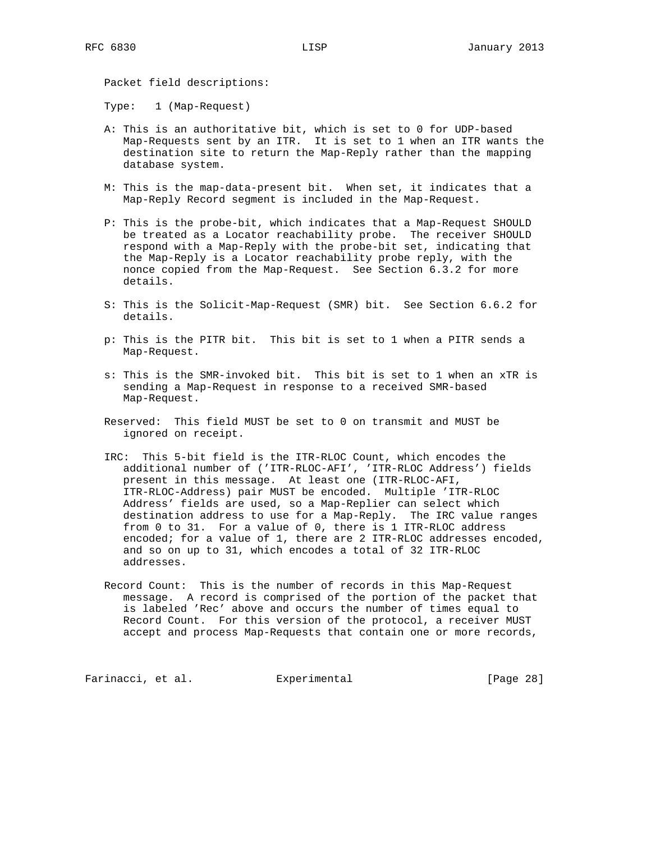Packet field descriptions:

Type: 1 (Map-Request)

- A: This is an authoritative bit, which is set to 0 for UDP-based Map-Requests sent by an ITR. It is set to 1 when an ITR wants the destination site to return the Map-Reply rather than the mapping database system.
- M: This is the map-data-present bit. When set, it indicates that a Map-Reply Record segment is included in the Map-Request.
- P: This is the probe-bit, which indicates that a Map-Request SHOULD be treated as a Locator reachability probe. The receiver SHOULD respond with a Map-Reply with the probe-bit set, indicating that the Map-Reply is a Locator reachability probe reply, with the nonce copied from the Map-Request. See Section 6.3.2 for more details.
- S: This is the Solicit-Map-Request (SMR) bit. See Section 6.6.2 for details.
- p: This is the PITR bit. This bit is set to 1 when a PITR sends a Map-Request.
- s: This is the SMR-invoked bit. This bit is set to 1 when an xTR is sending a Map-Request in response to a received SMR-based Map-Request.
- Reserved: This field MUST be set to 0 on transmit and MUST be ignored on receipt.
- IRC: This 5-bit field is the ITR-RLOC Count, which encodes the additional number of ('ITR-RLOC-AFI', 'ITR-RLOC Address') fields present in this message. At least one (ITR-RLOC-AFI, ITR-RLOC-Address) pair MUST be encoded. Multiple 'ITR-RLOC Address' fields are used, so a Map-Replier can select which destination address to use for a Map-Reply. The IRC value ranges from 0 to 31. For a value of 0, there is 1 ITR-RLOC address encoded; for a value of 1, there are 2 ITR-RLOC addresses encoded, and so on up to 31, which encodes a total of 32 ITR-RLOC addresses.
- Record Count: This is the number of records in this Map-Request message. A record is comprised of the portion of the packet that is labeled 'Rec' above and occurs the number of times equal to Record Count. For this version of the protocol, a receiver MUST accept and process Map-Requests that contain one or more records,

Farinacci, et al. Experimental [Page 28]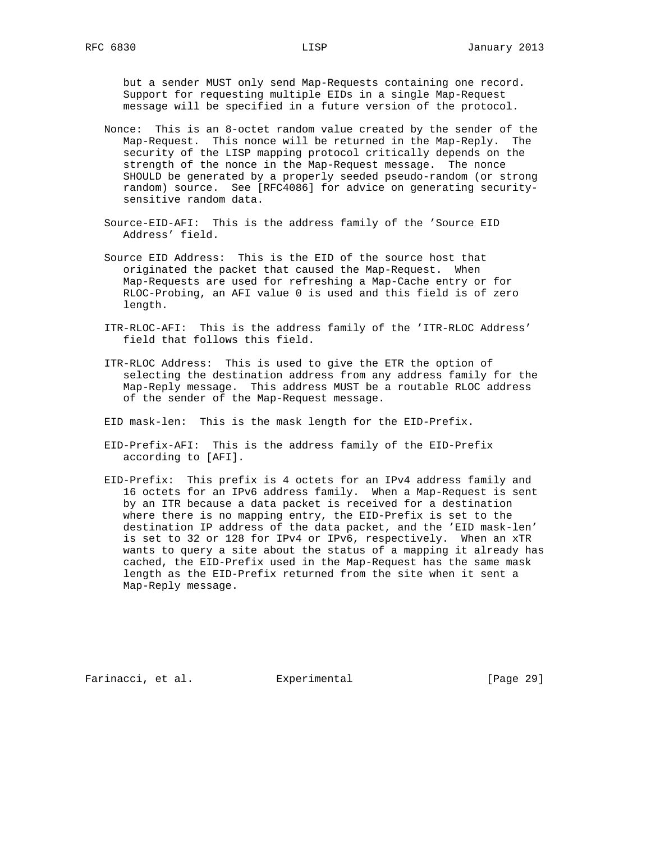but a sender MUST only send Map-Requests containing one record. Support for requesting multiple EIDs in a single Map-Request message will be specified in a future version of the protocol.

- Nonce: This is an 8-octet random value created by the sender of the Map-Request. This nonce will be returned in the Map-Reply. The security of the LISP mapping protocol critically depends on the strength of the nonce in the Map-Request message. The nonce SHOULD be generated by a properly seeded pseudo-random (or strong random) source. See [RFC4086] for advice on generating security sensitive random data.
- Source-EID-AFI: This is the address family of the 'Source EID Address' field.
- Source EID Address: This is the EID of the source host that originated the packet that caused the Map-Request. When Map-Requests are used for refreshing a Map-Cache entry or for RLOC-Probing, an AFI value 0 is used and this field is of zero length.
- ITR-RLOC-AFI: This is the address family of the 'ITR-RLOC Address' field that follows this field.
- ITR-RLOC Address: This is used to give the ETR the option of selecting the destination address from any address family for the Map-Reply message. This address MUST be a routable RLOC address of the sender of the Map-Request message.
- EID mask-len: This is the mask length for the EID-Prefix.
- EID-Prefix-AFI: This is the address family of the EID-Prefix according to [AFI].
- EID-Prefix: This prefix is 4 octets for an IPv4 address family and 16 octets for an IPv6 address family. When a Map-Request is sent by an ITR because a data packet is received for a destination where there is no mapping entry, the EID-Prefix is set to the destination IP address of the data packet, and the 'EID mask-len' is set to 32 or 128 for IPv4 or IPv6, respectively. When an xTR wants to query a site about the status of a mapping it already has cached, the EID-Prefix used in the Map-Request has the same mask length as the EID-Prefix returned from the site when it sent a Map-Reply message.

Farinacci, et al. Experimental [Page 29]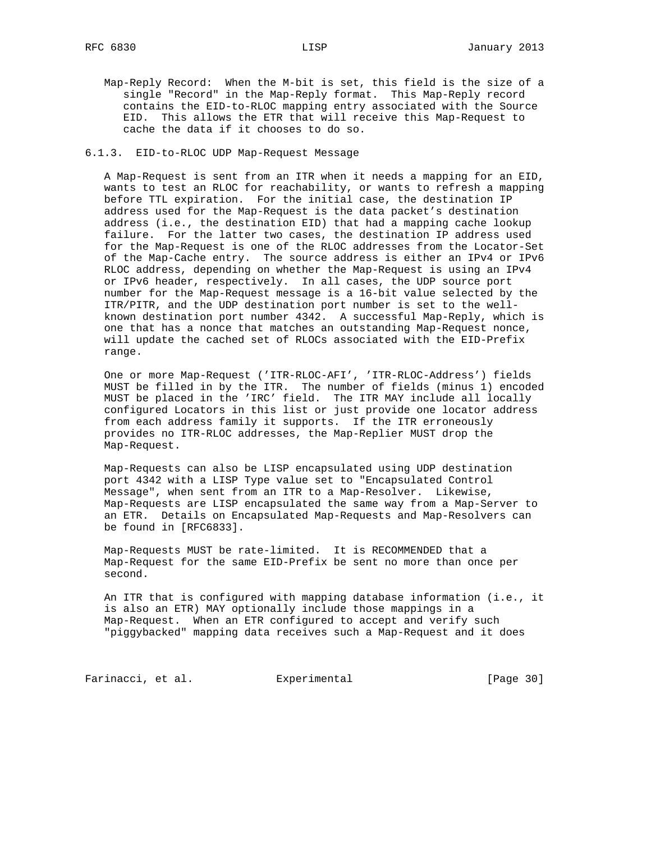Map-Reply Record: When the M-bit is set, this field is the size of a single "Record" in the Map-Reply format. This Map-Reply record contains the EID-to-RLOC mapping entry associated with the Source EID. This allows the ETR that will receive this Map-Request to cache the data if it chooses to do so.

#### 6.1.3. EID-to-RLOC UDP Map-Request Message

 A Map-Request is sent from an ITR when it needs a mapping for an EID, wants to test an RLOC for reachability, or wants to refresh a mapping before TTL expiration. For the initial case, the destination IP address used for the Map-Request is the data packet's destination address (i.e., the destination EID) that had a mapping cache lookup failure. For the latter two cases, the destination IP address used for the Map-Request is one of the RLOC addresses from the Locator-Set of the Map-Cache entry. The source address is either an IPv4 or IPv6 RLOC address, depending on whether the Map-Request is using an IPv4 or IPv6 header, respectively. In all cases, the UDP source port number for the Map-Request message is a 16-bit value selected by the ITR/PITR, and the UDP destination port number is set to the well known destination port number 4342. A successful Map-Reply, which is one that has a nonce that matches an outstanding Map-Request nonce, will update the cached set of RLOCs associated with the EID-Prefix range.

 One or more Map-Request ('ITR-RLOC-AFI', 'ITR-RLOC-Address') fields MUST be filled in by the ITR. The number of fields (minus 1) encoded MUST be placed in the 'IRC' field. The ITR MAY include all locally configured Locators in this list or just provide one locator address from each address family it supports. If the ITR erroneously provides no ITR-RLOC addresses, the Map-Replier MUST drop the Map-Request.

 Map-Requests can also be LISP encapsulated using UDP destination port 4342 with a LISP Type value set to "Encapsulated Control Message", when sent from an ITR to a Map-Resolver. Likewise, Map-Requests are LISP encapsulated the same way from a Map-Server to an ETR. Details on Encapsulated Map-Requests and Map-Resolvers can be found in [RFC6833].

 Map-Requests MUST be rate-limited. It is RECOMMENDED that a Map-Request for the same EID-Prefix be sent no more than once per second.

 An ITR that is configured with mapping database information (i.e., it is also an ETR) MAY optionally include those mappings in a Map-Request. When an ETR configured to accept and verify such "piggybacked" mapping data receives such a Map-Request and it does

Farinacci, et al. Experimental [Page 30]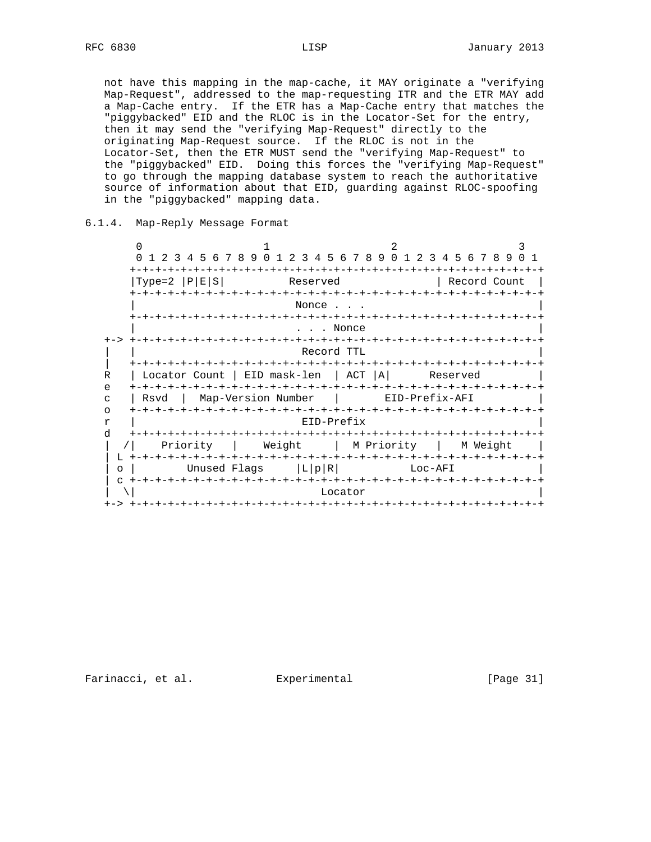not have this mapping in the map-cache, it MAY originate a "verifying Map-Request", addressed to the map-requesting ITR and the ETR MAY add a Map-Cache entry. If the ETR has a Map-Cache entry that matches the "piggybacked" EID and the RLOC is in the Locator-Set for the entry, then it may send the "verifying Map-Request" directly to the originating Map-Request source. If the RLOC is not in the Locator-Set, then the ETR MUST send the "verifying Map-Request" to the "piggybacked" EID. Doing this forces the "verifying Map-Request" to go through the mapping database system to reach the authoritative source of information about that EID, guarding against RLOC-spoofing in the "piggybacked" mapping data.

#### 6.1.4. Map-Reply Message Format

 $0$  1 2 3 0 1 2 3 4 5 6 7 8 9 0 1 2 3 4 5 6 7 8 9 0 1 2 3 4 5 6 7 8 9 0 1 +-+-+-+-+-+-+-+-+-+-+-+-+-+-+-+-+-+-+-+-+-+-+-+-+-+-+-+-+-+-+-+-+ |Type=2 |P|E|S| Reserved | Record Count | +-+-+-+-+-+-+-+-+-+-+-+-+-+-+-+-+-+-+-+-+-+-+-+-+-+-+-+-+-+-+-+-+ Nonce . . . +-+-+-+-+-+-+-+-+-+-+-+-+-+-+-+-+-+-+-+-+-+-+-+-+-+-+-+-+-+-+-+-+ . . . Nonce +-> +-+-+-+-+-+-+-+-+-+-+-+-+-+-+-+-+-+-+-+-+-+-+-+-+-+-+-+-+-+-+-+-+  $\verb|Record TTL|$  | +-+-+-+-+-+-+-+-+-+-+-+-+-+-+-+-+-+-+-+-+-+-+-+-+-+-+-+-+-+-+-+-+ R | Locator Count | EID mask-len | ACT | A| Reserved e +-+-+-+-+-+-+-+-+-+-+-+-+-+-+-+-+-+-+-+-+-+-+-+-+-+-+-+-+-+-+-+-+ c | Rsvd | Map-Version Number | EID-Prefix-AFI | o +-+-+-+-+-+-+-+-+-+-+-+-+-+-+-+-+-+-+-+-+-+-+-+-+-+-+-+-+-+-+-+-+ r | EID-Prefix | d +-+-+-+-+-+-+-+-+-+-+-+-+-+-+-+-+-+-+-+-+-+-+-+-+-+-+-+-+-+-+-+-+ | /| Priority | Weight | M Priority | M Weight | | L +-+-+-+-+-+-+-+-+-+-+-+-+-+-+-+-+-+-+-+-+-+-+-+-+-+-+-+-+-+-+-+-+ | o | Unused Flags |L|p|R| Loc-AFI | | c +-+-+-+-+-+-+-+-+-+-+-+-+-+-+-+-+-+-+-+-+-+-+-+-+-+-+-+-+-+-+-+-+  $\setminus$  | Locator | Locator | Locator | Locator | Locator | Locator | Locator | Locator | Locator | Locator | Locator | Locator | Locator | Locator | Locator | Locator | Locator | Locator | Locator | Locator | Locator | Loc +-> +-+-+-+-+-+-+-+-+-+-+-+-+-+-+-+-+-+-+-+-+-+-+-+-+-+-+-+-+-+-+-+-+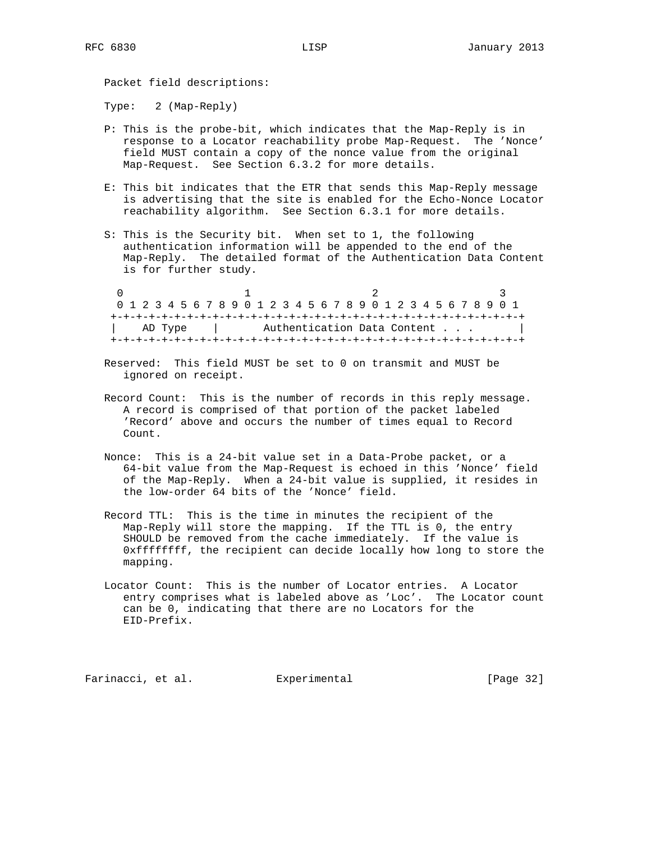Packet field descriptions:

Type: 2 (Map-Reply)

- P: This is the probe-bit, which indicates that the Map-Reply is in response to a Locator reachability probe Map-Request. The 'Nonce' field MUST contain a copy of the nonce value from the original Map-Request. See Section 6.3.2 for more details.
- E: This bit indicates that the ETR that sends this Map-Reply message is advertising that the site is enabled for the Echo-Nonce Locator reachability algorithm. See Section 6.3.1 for more details.
- S: This is the Security bit. When set to 1, the following authentication information will be appended to the end of the Map-Reply. The detailed format of the Authentication Data Content is for further study.

 $0$  1 2 3 0 1 2 3 4 5 6 7 8 9 0 1 2 3 4 5 6 7 8 9 0 1 2 3 4 5 6 7 8 9 0 1 +-+-+-+-+-+-+-+-+-+-+-+-+-+-+-+-+-+-+-+-+-+-+-+-+-+-+-+-+-+-+-+-+ | AD Type | Authentication Data Content . . . | +-+-+-+-+-+-+-+-+-+-+-+-+-+-+-+-+-+-+-+-+-+-+-+-+-+-+-+-+-+-+-+-+

- Reserved: This field MUST be set to 0 on transmit and MUST be ignored on receipt.
- Record Count: This is the number of records in this reply message. A record is comprised of that portion of the packet labeled 'Record' above and occurs the number of times equal to Record Count.
- Nonce: This is a 24-bit value set in a Data-Probe packet, or a 64-bit value from the Map-Request is echoed in this 'Nonce' field of the Map-Reply. When a 24-bit value is supplied, it resides in the low-order 64 bits of the 'Nonce' field.
- Record TTL: This is the time in minutes the recipient of the Map-Reply will store the mapping. If the TTL is 0, the entry SHOULD be removed from the cache immediately. If the value is 0xffffffff, the recipient can decide locally how long to store the mapping.
- Locator Count: This is the number of Locator entries. A Locator entry comprises what is labeled above as 'Loc'. The Locator count can be 0, indicating that there are no Locators for the EID-Prefix.

Farinacci, et al. Experimental [Page 32]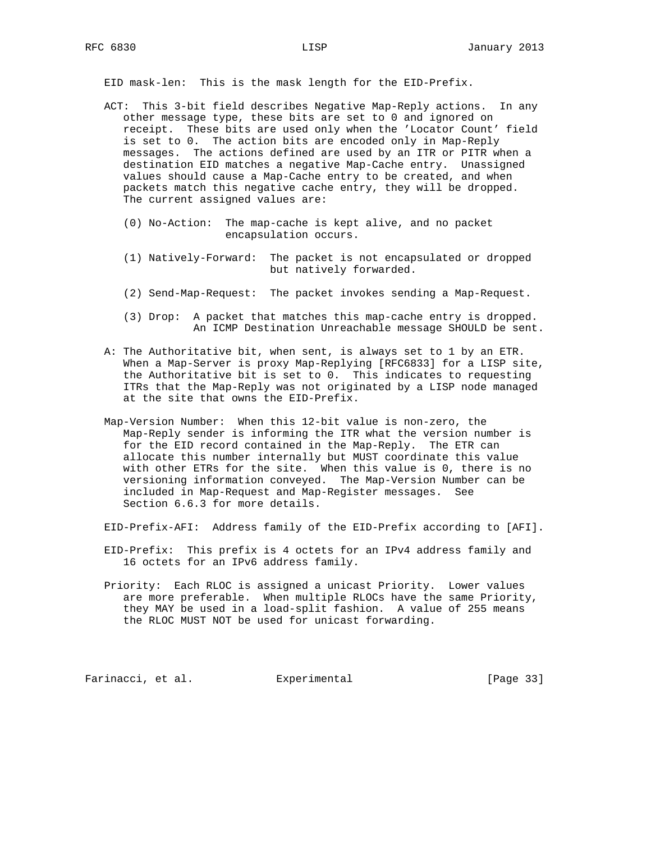EID mask-len: This is the mask length for the EID-Prefix.

- ACT: This 3-bit field describes Negative Map-Reply actions. In any other message type, these bits are set to 0 and ignored on receipt. These bits are used only when the 'Locator Count' field is set to 0. The action bits are encoded only in Map-Reply messages. The actions defined are used by an ITR or PITR when a destination EID matches a negative Map-Cache entry. Unassigned values should cause a Map-Cache entry to be created, and when packets match this negative cache entry, they will be dropped. The current assigned values are:
	- (0) No-Action: The map-cache is kept alive, and no packet encapsulation occurs.
	- (1) Natively-Forward: The packet is not encapsulated or dropped but natively forwarded.
	- (2) Send-Map-Request: The packet invokes sending a Map-Request.
	- (3) Drop: A packet that matches this map-cache entry is dropped. An ICMP Destination Unreachable message SHOULD be sent.
- A: The Authoritative bit, when sent, is always set to 1 by an ETR. When a Map-Server is proxy Map-Replying [RFC6833] for a LISP site, the Authoritative bit is set to 0. This indicates to requesting ITRs that the Map-Reply was not originated by a LISP node managed at the site that owns the EID-Prefix.
- Map-Version Number: When this 12-bit value is non-zero, the Map-Reply sender is informing the ITR what the version number is for the EID record contained in the Map-Reply. The ETR can allocate this number internally but MUST coordinate this value with other ETRs for the site. When this value is 0, there is no versioning information conveyed. The Map-Version Number can be included in Map-Request and Map-Register messages. See Section 6.6.3 for more details.
- EID-Prefix-AFI: Address family of the EID-Prefix according to [AFI].
- EID-Prefix: This prefix is 4 octets for an IPv4 address family and 16 octets for an IPv6 address family.
- Priority: Each RLOC is assigned a unicast Priority. Lower values are more preferable. When multiple RLOCs have the same Priority, they MAY be used in a load-split fashion. A value of 255 means the RLOC MUST NOT be used for unicast forwarding.

Farinacci, et al. Experimental [Page 33]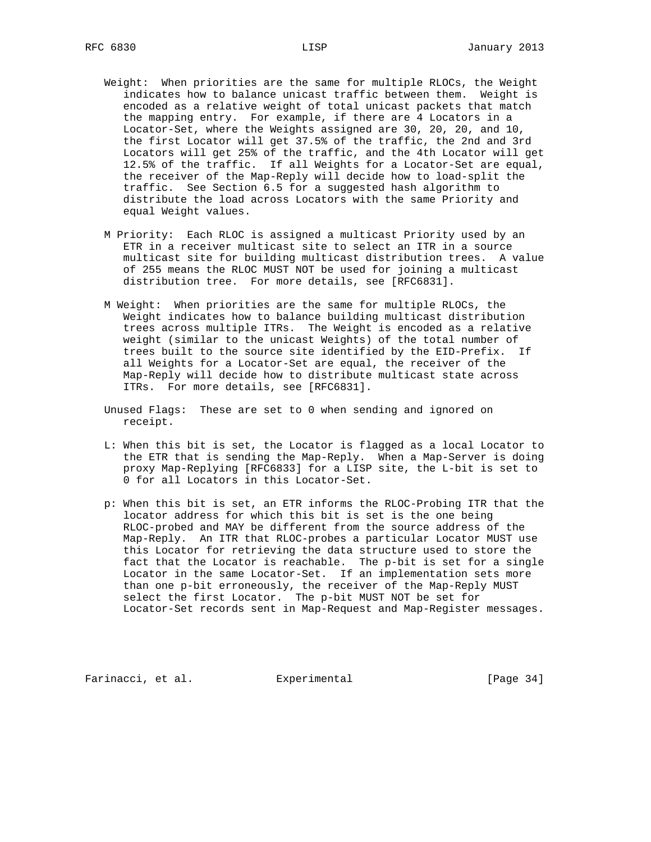- Weight: When priorities are the same for multiple RLOCs, the Weight indicates how to balance unicast traffic between them. Weight is encoded as a relative weight of total unicast packets that match the mapping entry. For example, if there are 4 Locators in a Locator-Set, where the Weights assigned are 30, 20, 20, and 10, the first Locator will get 37.5% of the traffic, the 2nd and 3rd Locators will get 25% of the traffic, and the 4th Locator will get 12.5% of the traffic. If all Weights for a Locator-Set are equal, the receiver of the Map-Reply will decide how to load-split the traffic. See Section 6.5 for a suggested hash algorithm to distribute the load across Locators with the same Priority and equal Weight values.
- M Priority: Each RLOC is assigned a multicast Priority used by an ETR in a receiver multicast site to select an ITR in a source multicast site for building multicast distribution trees. A value of 255 means the RLOC MUST NOT be used for joining a multicast distribution tree. For more details, see [RFC6831].
- M Weight: When priorities are the same for multiple RLOCs, the Weight indicates how to balance building multicast distribution trees across multiple ITRs. The Weight is encoded as a relative weight (similar to the unicast Weights) of the total number of trees built to the source site identified by the EID-Prefix. If all Weights for a Locator-Set are equal, the receiver of the Map-Reply will decide how to distribute multicast state across ITRs. For more details, see [RFC6831].
- Unused Flags: These are set to 0 when sending and ignored on receipt.
- L: When this bit is set, the Locator is flagged as a local Locator to the ETR that is sending the Map-Reply. When a Map-Server is doing proxy Map-Replying [RFC6833] for a LISP site, the L-bit is set to 0 for all Locators in this Locator-Set.
- p: When this bit is set, an ETR informs the RLOC-Probing ITR that the locator address for which this bit is set is the one being RLOC-probed and MAY be different from the source address of the Map-Reply. An ITR that RLOC-probes a particular Locator MUST use this Locator for retrieving the data structure used to store the fact that the Locator is reachable. The p-bit is set for a single Locator in the same Locator-Set. If an implementation sets more than one p-bit erroneously, the receiver of the Map-Reply MUST select the first Locator. The p-bit MUST NOT be set for Locator-Set records sent in Map-Request and Map-Register messages.

Farinacci, et al. Experimental [Page 34]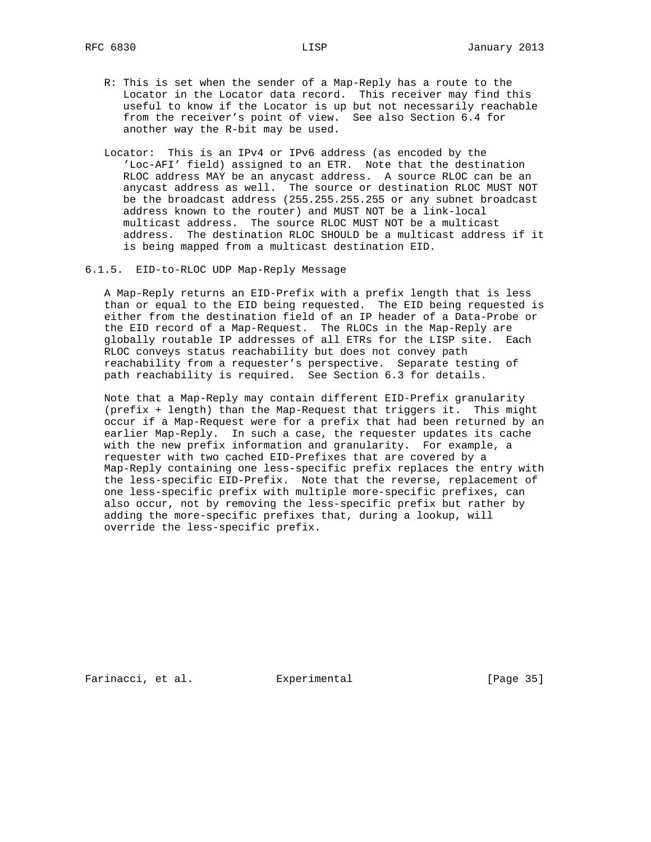- R: This is set when the sender of a Map-Reply has a route to the Locator in the Locator data record. This receiver may find this useful to know if the Locator is up but not necessarily reachable from the receiver's point of view. See also Section 6.4 for another way the R-bit may be used.
- Locator: This is an IPv4 or IPv6 address (as encoded by the 'Loc-AFI' field) assigned to an ETR. Note that the destination RLOC address MAY be an anycast address. A source RLOC can be an anycast address as well. The source or destination RLOC MUST NOT be the broadcast address (255.255.255.255 or any subnet broadcast address known to the router) and MUST NOT be a link-local multicast address. The source RLOC MUST NOT be a multicast address. The destination RLOC SHOULD be a multicast address if it is being mapped from a multicast destination EID.
- 6.1.5. EID-to-RLOC UDP Map-Reply Message

 A Map-Reply returns an EID-Prefix with a prefix length that is less than or equal to the EID being requested. The EID being requested is either from the destination field of an IP header of a Data-Probe or the EID record of a Map-Request. The RLOCs in the Map-Reply are globally routable IP addresses of all ETRs for the LISP site. Each RLOC conveys status reachability but does not convey path reachability from a requester's perspective. Separate testing of path reachability is required. See Section 6.3 for details.

 Note that a Map-Reply may contain different EID-Prefix granularity (prefix + length) than the Map-Request that triggers it. This might occur if a Map-Request were for a prefix that had been returned by an earlier Map-Reply. In such a case, the requester updates its cache with the new prefix information and granularity. For example, a requester with two cached EID-Prefixes that are covered by a Map-Reply containing one less-specific prefix replaces the entry with the less-specific EID-Prefix. Note that the reverse, replacement of one less-specific prefix with multiple more-specific prefixes, can also occur, not by removing the less-specific prefix but rather by adding the more-specific prefixes that, during a lookup, will override the less-specific prefix.

Farinacci, et al. Experimental [Page 35]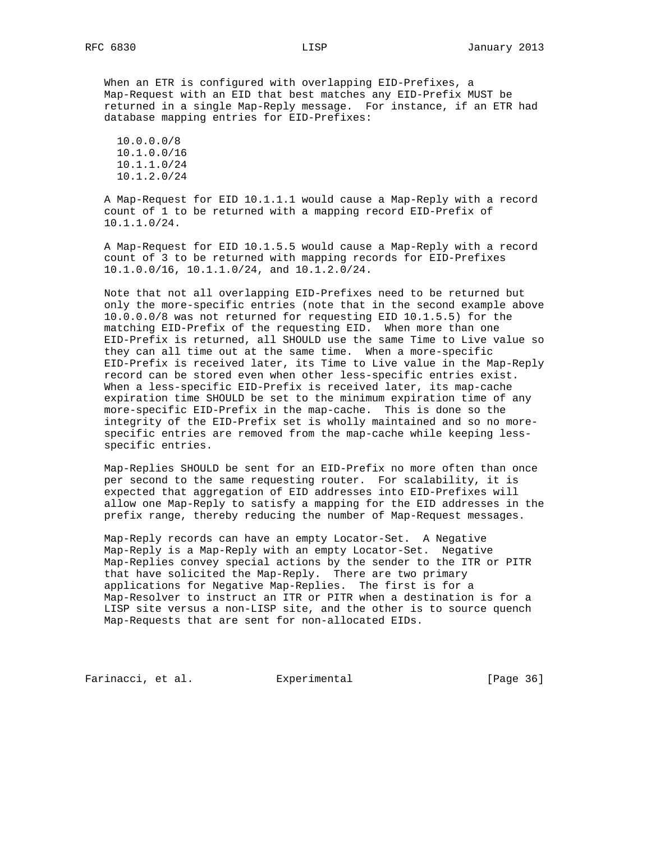When an ETR is configured with overlapping EID-Prefixes, a Map-Request with an EID that best matches any EID-Prefix MUST be returned in a single Map-Reply message. For instance, if an ETR had database mapping entries for EID-Prefixes:

 10.0.0.0/8 10.1.0.0/16 10.1.1.0/24 10.1.2.0/24

 A Map-Request for EID 10.1.1.1 would cause a Map-Reply with a record count of 1 to be returned with a mapping record EID-Prefix of 10.1.1.0/24.

 A Map-Request for EID 10.1.5.5 would cause a Map-Reply with a record count of 3 to be returned with mapping records for EID-Prefixes 10.1.0.0/16, 10.1.1.0/24, and 10.1.2.0/24.

 Note that not all overlapping EID-Prefixes need to be returned but only the more-specific entries (note that in the second example above 10.0.0.0/8 was not returned for requesting EID 10.1.5.5) for the matching EID-Prefix of the requesting EID. When more than one EID-Prefix is returned, all SHOULD use the same Time to Live value so they can all time out at the same time. When a more-specific EID-Prefix is received later, its Time to Live value in the Map-Reply record can be stored even when other less-specific entries exist. When a less-specific EID-Prefix is received later, its map-cache expiration time SHOULD be set to the minimum expiration time of any more-specific EID-Prefix in the map-cache. This is done so the integrity of the EID-Prefix set is wholly maintained and so no more specific entries are removed from the map-cache while keeping less specific entries.

 Map-Replies SHOULD be sent for an EID-Prefix no more often than once per second to the same requesting router. For scalability, it is expected that aggregation of EID addresses into EID-Prefixes will allow one Map-Reply to satisfy a mapping for the EID addresses in the prefix range, thereby reducing the number of Map-Request messages.

 Map-Reply records can have an empty Locator-Set. A Negative Map-Reply is a Map-Reply with an empty Locator-Set. Negative Map-Replies convey special actions by the sender to the ITR or PITR that have solicited the Map-Reply. There are two primary applications for Negative Map-Replies. The first is for a Map-Resolver to instruct an ITR or PITR when a destination is for a LISP site versus a non-LISP site, and the other is to source quench Map-Requests that are sent for non-allocated EIDs.

Farinacci, et al. Experimental [Page 36]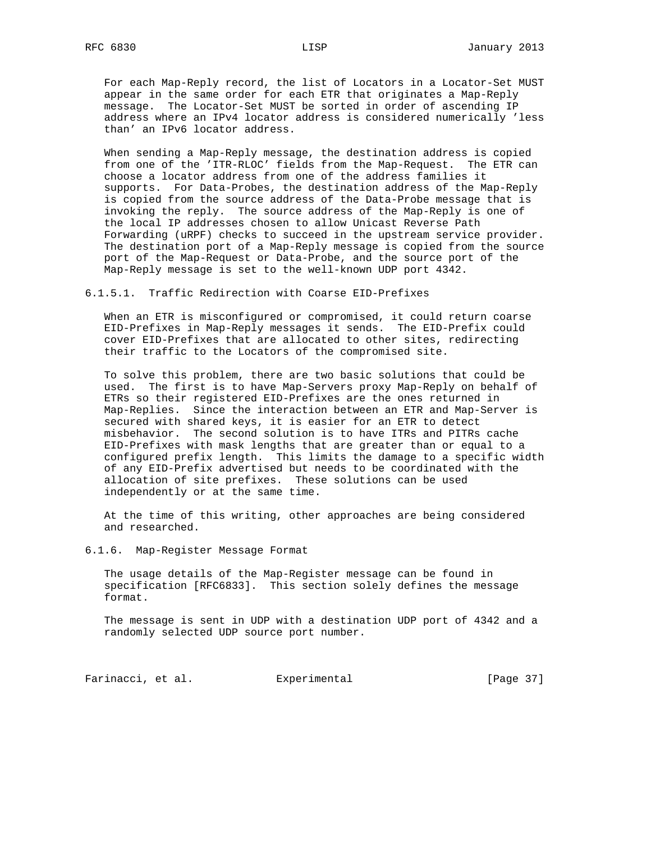For each Map-Reply record, the list of Locators in a Locator-Set MUST appear in the same order for each ETR that originates a Map-Reply message. The Locator-Set MUST be sorted in order of ascending IP address where an IPv4 locator address is considered numerically 'less than' an IPv6 locator address.

 When sending a Map-Reply message, the destination address is copied from one of the 'ITR-RLOC' fields from the Map-Request. The ETR can choose a locator address from one of the address families it supports. For Data-Probes, the destination address of the Map-Reply is copied from the source address of the Data-Probe message that is invoking the reply. The source address of the Map-Reply is one of the local IP addresses chosen to allow Unicast Reverse Path Forwarding (uRPF) checks to succeed in the upstream service provider. The destination port of a Map-Reply message is copied from the source port of the Map-Request or Data-Probe, and the source port of the Map-Reply message is set to the well-known UDP port 4342.

6.1.5.1. Traffic Redirection with Coarse EID-Prefixes

 When an ETR is misconfigured or compromised, it could return coarse EID-Prefixes in Map-Reply messages it sends. The EID-Prefix could cover EID-Prefixes that are allocated to other sites, redirecting their traffic to the Locators of the compromised site.

 To solve this problem, there are two basic solutions that could be used. The first is to have Map-Servers proxy Map-Reply on behalf of ETRs so their registered EID-Prefixes are the ones returned in Map-Replies. Since the interaction between an ETR and Map-Server is secured with shared keys, it is easier for an ETR to detect misbehavior. The second solution is to have ITRs and PITRs cache EID-Prefixes with mask lengths that are greater than or equal to a configured prefix length. This limits the damage to a specific width of any EID-Prefix advertised but needs to be coordinated with the allocation of site prefixes. These solutions can be used independently or at the same time.

 At the time of this writing, other approaches are being considered and researched.

6.1.6. Map-Register Message Format

 The usage details of the Map-Register message can be found in specification [RFC6833]. This section solely defines the message format.

 The message is sent in UDP with a destination UDP port of 4342 and a randomly selected UDP source port number.

Farinacci, et al. Experimental [Page 37]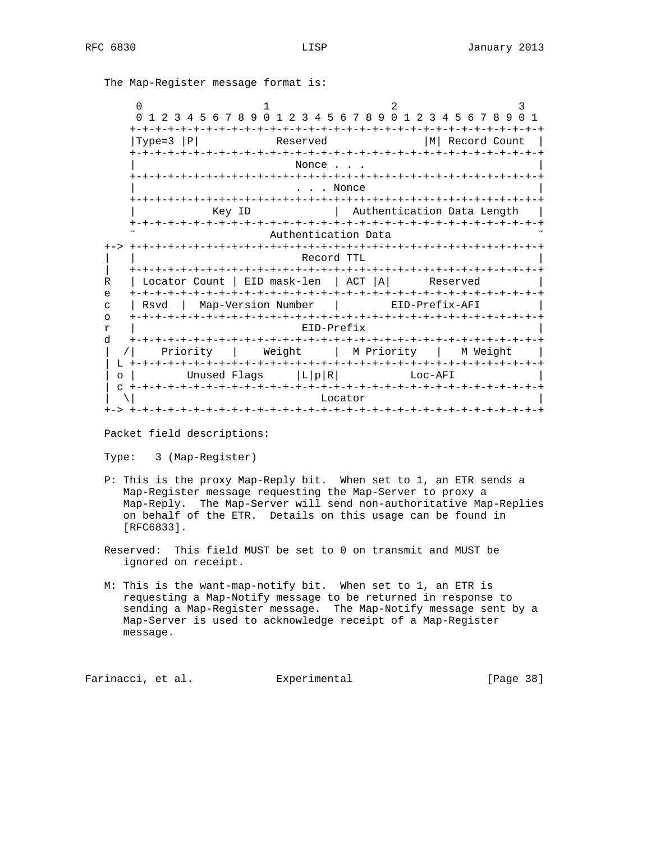The Map-Register message format is:

| <sup>0</sup><br>1 2 3 4 5 6 7 8 9 0 1<br>$\Omega$<br>2               | 2<br>3<br>3 4 5 6 7 8 9 0 1 2 3 4 5 6 7 8 9 0 1 |  |  |  |
|----------------------------------------------------------------------|-------------------------------------------------|--|--|--|
|                                                                      |                                                 |  |  |  |
| $Type=3$<br> P <br>Reserved                                          | мI<br>Record Count                              |  |  |  |
|                                                                      |                                                 |  |  |  |
| Nonce                                                                |                                                 |  |  |  |
| $-+ - + - + - +$<br>$-+ - + - + - + - +$                             |                                                 |  |  |  |
| . Nonce                                                              |                                                 |  |  |  |
| +-+-+-+-+-+                                                          |                                                 |  |  |  |
| Key ID                                                               | Authentication Data Length                      |  |  |  |
|                                                                      |                                                 |  |  |  |
| Authentication Data                                                  |                                                 |  |  |  |
|                                                                      |                                                 |  |  |  |
| Record TTL<br>-+-+-+-+-+<br>- + - + - + - + - +<br>-+-+-+-+          |                                                 |  |  |  |
| EID mask-len<br>$\mathbb{R}$<br>Locator Count                        | ACT  A <br>Reserved                             |  |  |  |
| e<br>+-+-+-+-+-+-+-+-+-+-<br>+-+-+-+-+-+-+-+-+-+-+<br>-+-+-+-+-+-+-+ |                                                 |  |  |  |
| Map-Version Number<br>$\mathsf{C}$<br>Rsvd                           | EID-Prefix-AFI                                  |  |  |  |
| $\Omega$                                                             |                                                 |  |  |  |
| EID-Prefix<br>$\mathtt{r}$                                           |                                                 |  |  |  |
| d<br>-+-+-+                                                          | -+-+-+-+-+-+-+-+-+-+-+-+-+-+-+                  |  |  |  |
| Weight<br>Priority                                                   | M Priority<br>  M Weight                        |  |  |  |
| L                                                                    |                                                 |  |  |  |
| L p R <br>Unused Flags<br>$\Omega$                                   | Loc-AFI                                         |  |  |  |
| $- + - + - + -$                                                      |                                                 |  |  |  |
| Locator                                                              |                                                 |  |  |  |
|                                                                      |                                                 |  |  |  |

Packet field descriptions:

Type: 3 (Map-Register)

- P: This is the proxy Map-Reply bit. When set to 1, an ETR sends a Map-Register message requesting the Map-Server to proxy a Map-Reply. The Map-Server will send non-authoritative Map-Replies on behalf of the ETR. Details on this usage can be found in [RFC6833].
- Reserved: This field MUST be set to 0 on transmit and MUST be ignored on receipt.
- M: This is the want-map-notify bit. When set to 1, an ETR is requesting a Map-Notify message to be returned in response to sending a Map-Register message. The Map-Notify message sent by a Map-Server is used to acknowledge receipt of a Map-Register message.

Farinacci, et al. Experimental [Page 38]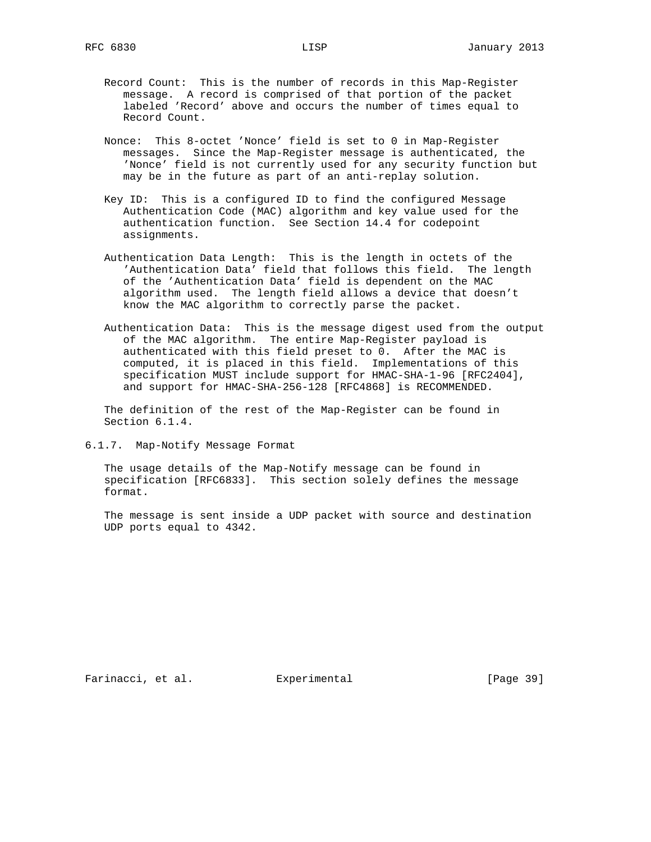- Record Count: This is the number of records in this Map-Register message. A record is comprised of that portion of the packet labeled 'Record' above and occurs the number of times equal to Record Count.
- Nonce: This 8-octet 'Nonce' field is set to 0 in Map-Register messages. Since the Map-Register message is authenticated, the 'Nonce' field is not currently used for any security function but may be in the future as part of an anti-replay solution.
- Key ID: This is a configured ID to find the configured Message Authentication Code (MAC) algorithm and key value used for the authentication function. See Section 14.4 for codepoint assignments.
- Authentication Data Length: This is the length in octets of the 'Authentication Data' field that follows this field. The length of the 'Authentication Data' field is dependent on the MAC algorithm used. The length field allows a device that doesn't know the MAC algorithm to correctly parse the packet.
- Authentication Data: This is the message digest used from the output of the MAC algorithm. The entire Map-Register payload is authenticated with this field preset to 0. After the MAC is computed, it is placed in this field. Implementations of this specification MUST include support for HMAC-SHA-1-96 [RFC2404], and support for HMAC-SHA-256-128 [RFC4868] is RECOMMENDED.

 The definition of the rest of the Map-Register can be found in Section 6.1.4.

6.1.7. Map-Notify Message Format

 The usage details of the Map-Notify message can be found in specification [RFC6833]. This section solely defines the message format.

 The message is sent inside a UDP packet with source and destination UDP ports equal to 4342.

Farinacci, et al. Experimental [Page 39]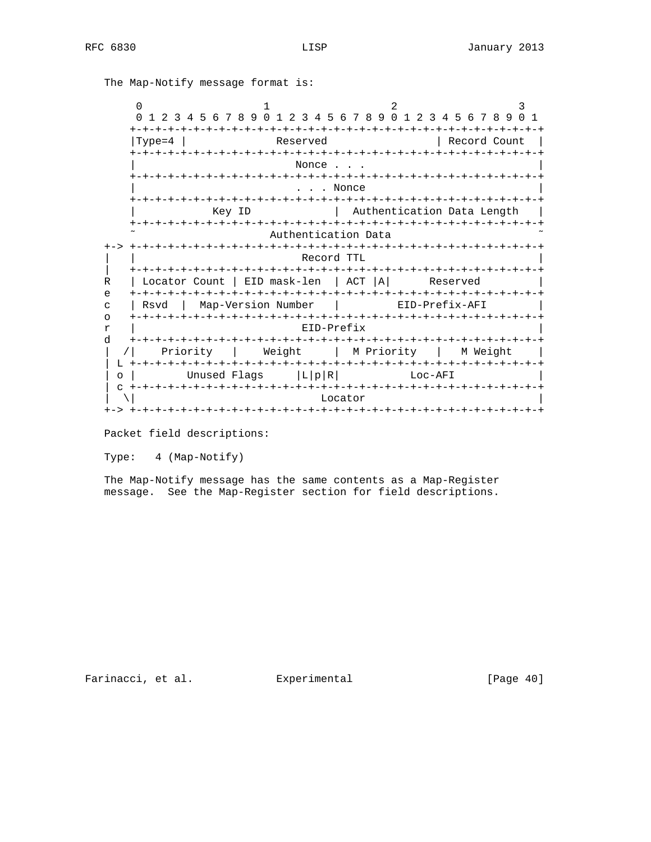The Map-Notify message format is:

| O                                                                                          | 2<br>3                                                                 |  |  |  |
|--------------------------------------------------------------------------------------------|------------------------------------------------------------------------|--|--|--|
| 9 N<br>$\Omega$<br>$5\phantom{.0}$<br>- 6<br>- 8<br>-5<br>2<br>4<br>7<br>2.<br>3<br>3<br>4 | 89<br>$\Omega$<br>4 5 6 7 8<br>$\cap$<br>6<br>-7<br>2<br>3<br>-9<br>-1 |  |  |  |
| Reserved                                                                                   | Record Count                                                           |  |  |  |
| Type=4                                                                                     |                                                                        |  |  |  |
| Nonce                                                                                      |                                                                        |  |  |  |
| $+ - + - + -$                                                                              |                                                                        |  |  |  |
| . Nonce                                                                                    |                                                                        |  |  |  |
|                                                                                            |                                                                        |  |  |  |
| Key ID                                                                                     | Authentication Data Length                                             |  |  |  |
| -+-+-+-+-+-+-+<br>$+ \cdot$<br>-+-+-+-+-+-+-+-+-+-+                                        |                                                                        |  |  |  |
| Authentication Data                                                                        |                                                                        |  |  |  |
| Record TTL                                                                                 |                                                                        |  |  |  |
|                                                                                            |                                                                        |  |  |  |
| EID mask-len<br>$\mathbb{R}$<br>Locator Count                                              | ACT<br>ΙA<br>Reserved                                                  |  |  |  |
| e<br>Map-Version Number<br>Rsvd<br>$\mathsf{C}$                                            | EID-Prefix-AFI                                                         |  |  |  |
| $\Omega$                                                                                   |                                                                        |  |  |  |
| EID-Prefix<br>$\mathtt{r}$                                                                 |                                                                        |  |  |  |
| d                                                                                          |                                                                        |  |  |  |
| Weight<br>Priority                                                                         | M Priority<br>M Weight                                                 |  |  |  |
| L<br>-+-+-+-+-+<br>-+-+-+-+-+-+-+                                                          | ーナーナーナーナーナーナ<br>-+-+-+-+-+-+-+-+-+-+                                   |  |  |  |
| Unused Flags<br>L p R <br>$\circ$                                                          | Loc-AFI                                                                |  |  |  |
| C<br>Locator                                                                               |                                                                        |  |  |  |
|                                                                                            |                                                                        |  |  |  |

Packet field descriptions:

Type: 4 (Map-Notify)

 The Map-Notify message has the same contents as a Map-Register message. See the Map-Register section for field descriptions.

Farinacci, et al. Experimental [Page 40]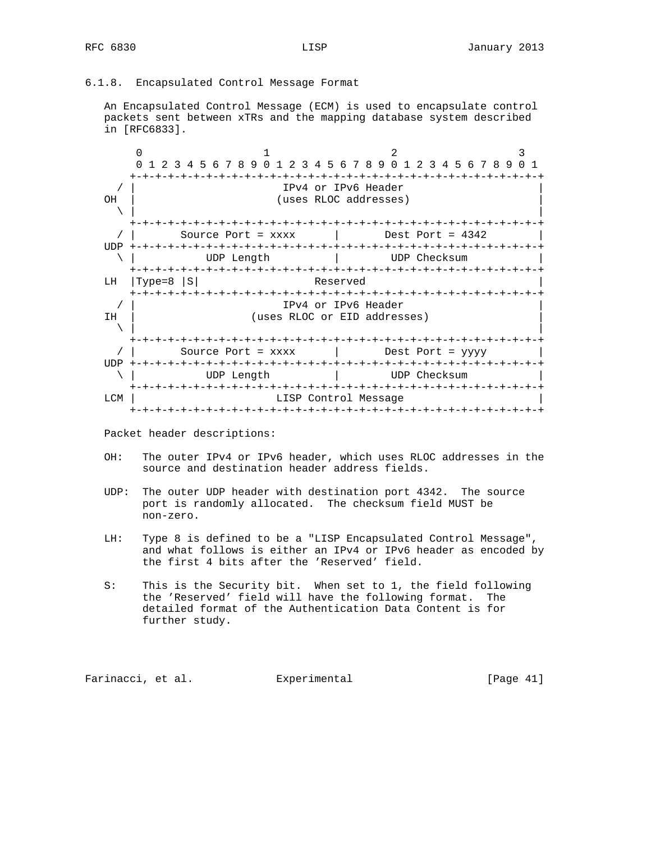# 6.1.8. Encapsulated Control Message Format

 An Encapsulated Control Message (ECM) is used to encapsulate control packets sent between xTRs and the mapping database system described in [RFC6833].



Packet header descriptions:

- OH: The outer IPv4 or IPv6 header, which uses RLOC addresses in the source and destination header address fields.
- UDP: The outer UDP header with destination port 4342. The source port is randomly allocated. The checksum field MUST be non-zero.
- LH: Type 8 is defined to be a "LISP Encapsulated Control Message", and what follows is either an IPv4 or IPv6 header as encoded by the first 4 bits after the 'Reserved' field.
- S: This is the Security bit. When set to 1, the field following the 'Reserved' field will have the following format. The detailed format of the Authentication Data Content is for further study.

Farinacci, et al. Experimental [Page 41]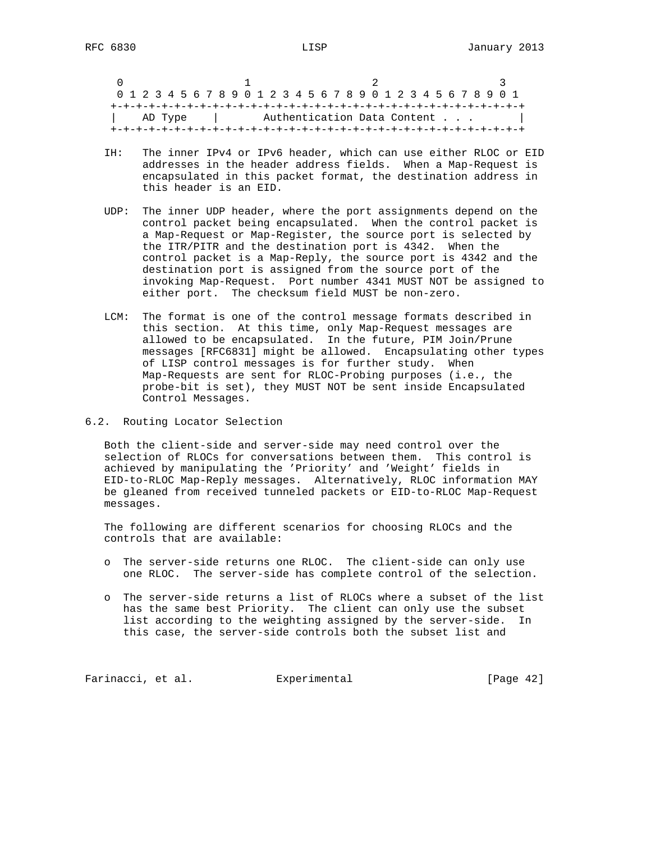$0$  1 2 3 0 1 2 3 4 5 6 7 8 9 0 1 2 3 4 5 6 7 8 9 0 1 2 3 4 5 6 7 8 9 0 1 +-+-+-+-+-+-+-+-+-+-+-+-+-+-+-+-+-+-+-+-+-+-+-+-+-+-+-+-+-+-+-+-+ | AD Type | Authentication Data Content . . . +-+-+-+-+-+-+-+-+-+-+-+-+-+-+-+-+-+-+-+-+-+-+-+-+-+-+-+-+-+-+-+-+

- IH: The inner IPv4 or IPv6 header, which can use either RLOC or EID addresses in the header address fields. When a Map-Request is encapsulated in this packet format, the destination address in this header is an EID.
- UDP: The inner UDP header, where the port assignments depend on the control packet being encapsulated. When the control packet is a Map-Request or Map-Register, the source port is selected by the ITR/PITR and the destination port is 4342. When the control packet is a Map-Reply, the source port is 4342 and the destination port is assigned from the source port of the invoking Map-Request. Port number 4341 MUST NOT be assigned to either port. The checksum field MUST be non-zero.
- LCM: The format is one of the control message formats described in this section. At this time, only Map-Request messages are allowed to be encapsulated. In the future, PIM Join/Prune messages [RFC6831] might be allowed. Encapsulating other types of LISP control messages is for further study. When Map-Requests are sent for RLOC-Probing purposes (i.e., the probe-bit is set), they MUST NOT be sent inside Encapsulated Control Messages.
- 6.2. Routing Locator Selection

 Both the client-side and server-side may need control over the selection of RLOCs for conversations between them. This control is achieved by manipulating the 'Priority' and 'Weight' fields in EID-to-RLOC Map-Reply messages. Alternatively, RLOC information MAY be gleaned from received tunneled packets or EID-to-RLOC Map-Request messages.

 The following are different scenarios for choosing RLOCs and the controls that are available:

- o The server-side returns one RLOC. The client-side can only use one RLOC. The server-side has complete control of the selection.
- o The server-side returns a list of RLOCs where a subset of the list has the same best Priority. The client can only use the subset list according to the weighting assigned by the server-side. In this case, the server-side controls both the subset list and

Farinacci, et al. Experimental [Page 42]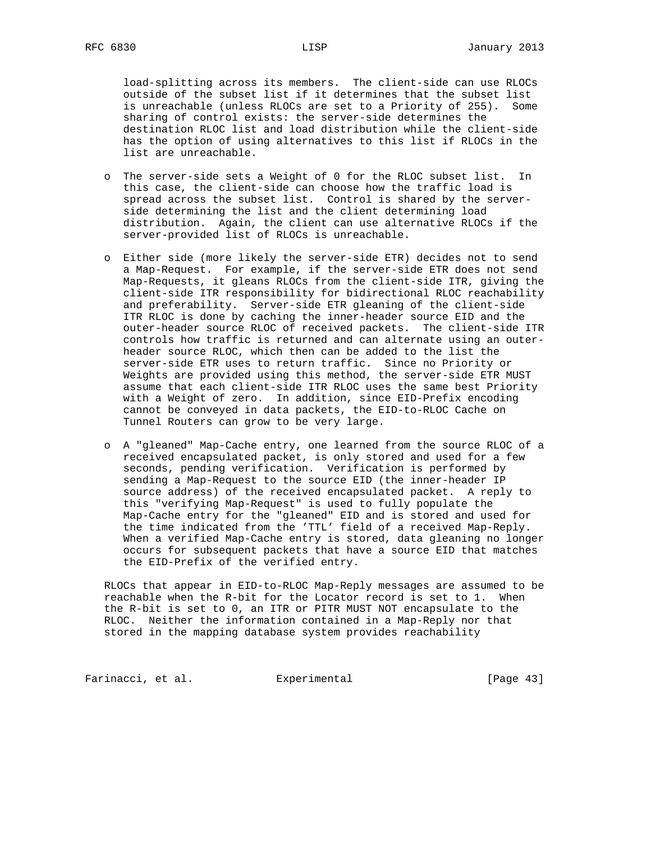load-splitting across its members. The client-side can use RLOCs outside of the subset list if it determines that the subset list is unreachable (unless RLOCs are set to a Priority of 255). Some sharing of control exists: the server-side determines the destination RLOC list and load distribution while the client-side has the option of using alternatives to this list if RLOCs in the list are unreachable.

- o The server-side sets a Weight of 0 for the RLOC subset list. In this case, the client-side can choose how the traffic load is spread across the subset list. Control is shared by the server side determining the list and the client determining load distribution. Again, the client can use alternative RLOCs if the server-provided list of RLOCs is unreachable.
- o Either side (more likely the server-side ETR) decides not to send a Map-Request. For example, if the server-side ETR does not send Map-Requests, it gleans RLOCs from the client-side ITR, giving the client-side ITR responsibility for bidirectional RLOC reachability and preferability. Server-side ETR gleaning of the client-side ITR RLOC is done by caching the inner-header source EID and the outer-header source RLOC of received packets. The client-side ITR controls how traffic is returned and can alternate using an outer header source RLOC, which then can be added to the list the server-side ETR uses to return traffic. Since no Priority or Weights are provided using this method, the server-side ETR MUST assume that each client-side ITR RLOC uses the same best Priority with a Weight of zero. In addition, since EID-Prefix encoding cannot be conveyed in data packets, the EID-to-RLOC Cache on Tunnel Routers can grow to be very large.
- o A "gleaned" Map-Cache entry, one learned from the source RLOC of a received encapsulated packet, is only stored and used for a few seconds, pending verification. Verification is performed by sending a Map-Request to the source EID (the inner-header IP source address) of the received encapsulated packet. A reply to this "verifying Map-Request" is used to fully populate the Map-Cache entry for the "gleaned" EID and is stored and used for the time indicated from the 'TTL' field of a received Map-Reply. When a verified Map-Cache entry is stored, data gleaning no longer occurs for subsequent packets that have a source EID that matches the EID-Prefix of the verified entry.

 RLOCs that appear in EID-to-RLOC Map-Reply messages are assumed to be reachable when the R-bit for the Locator record is set to 1. When the R-bit is set to 0, an ITR or PITR MUST NOT encapsulate to the RLOC. Neither the information contained in a Map-Reply nor that stored in the mapping database system provides reachability

Farinacci, et al. Experimental [Page 43]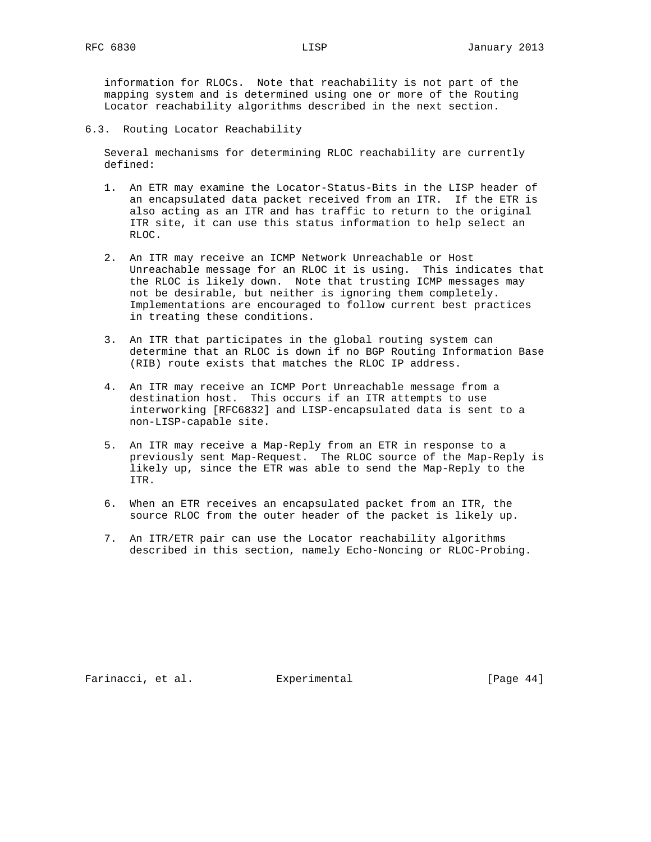information for RLOCs. Note that reachability is not part of the mapping system and is determined using one or more of the Routing Locator reachability algorithms described in the next section.

6.3. Routing Locator Reachability

 Several mechanisms for determining RLOC reachability are currently defined:

- 1. An ETR may examine the Locator-Status-Bits in the LISP header of an encapsulated data packet received from an ITR. If the ETR is also acting as an ITR and has traffic to return to the original ITR site, it can use this status information to help select an RLOC.
- 2. An ITR may receive an ICMP Network Unreachable or Host Unreachable message for an RLOC it is using. This indicates that the RLOC is likely down. Note that trusting ICMP messages may not be desirable, but neither is ignoring them completely. Implementations are encouraged to follow current best practices in treating these conditions.
- 3. An ITR that participates in the global routing system can determine that an RLOC is down if no BGP Routing Information Base (RIB) route exists that matches the RLOC IP address.
- 4. An ITR may receive an ICMP Port Unreachable message from a destination host. This occurs if an ITR attempts to use interworking [RFC6832] and LISP-encapsulated data is sent to a non-LISP-capable site.
- 5. An ITR may receive a Map-Reply from an ETR in response to a previously sent Map-Request. The RLOC source of the Map-Reply is likely up, since the ETR was able to send the Map-Reply to the ITR.
- 6. When an ETR receives an encapsulated packet from an ITR, the source RLOC from the outer header of the packet is likely up.
- 7. An ITR/ETR pair can use the Locator reachability algorithms described in this section, namely Echo-Noncing or RLOC-Probing.

Farinacci, et al. Experimental [Page 44]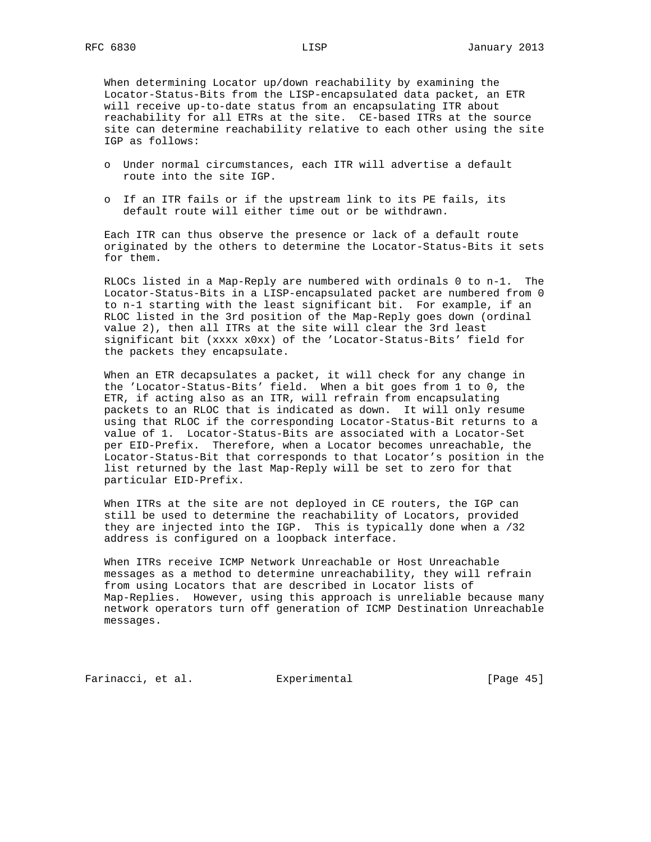When determining Locator up/down reachability by examining the Locator-Status-Bits from the LISP-encapsulated data packet, an ETR will receive up-to-date status from an encapsulating ITR about reachability for all ETRs at the site. CE-based ITRs at the source site can determine reachability relative to each other using the site IGP as follows:

- o Under normal circumstances, each ITR will advertise a default route into the site IGP.
- o If an ITR fails or if the upstream link to its PE fails, its default route will either time out or be withdrawn.

 Each ITR can thus observe the presence or lack of a default route originated by the others to determine the Locator-Status-Bits it sets for them.

 RLOCs listed in a Map-Reply are numbered with ordinals 0 to n-1. The Locator-Status-Bits in a LISP-encapsulated packet are numbered from 0 to n-1 starting with the least significant bit. For example, if an RLOC listed in the 3rd position of the Map-Reply goes down (ordinal value 2), then all ITRs at the site will clear the 3rd least significant bit (xxxx x0xx) of the 'Locator-Status-Bits' field for the packets they encapsulate.

 When an ETR decapsulates a packet, it will check for any change in the 'Locator-Status-Bits' field. When a bit goes from 1 to 0, the ETR, if acting also as an ITR, will refrain from encapsulating packets to an RLOC that is indicated as down. It will only resume using that RLOC if the corresponding Locator-Status-Bit returns to a value of 1. Locator-Status-Bits are associated with a Locator-Set per EID-Prefix. Therefore, when a Locator becomes unreachable, the Locator-Status-Bit that corresponds to that Locator's position in the list returned by the last Map-Reply will be set to zero for that particular EID-Prefix.

 When ITRs at the site are not deployed in CE routers, the IGP can still be used to determine the reachability of Locators, provided they are injected into the IGP. This is typically done when a /32 address is configured on a loopback interface.

 When ITRs receive ICMP Network Unreachable or Host Unreachable messages as a method to determine unreachability, they will refrain from using Locators that are described in Locator lists of Map-Replies. However, using this approach is unreliable because many network operators turn off generation of ICMP Destination Unreachable messages.

Farinacci, et al. Experimental [Page 45]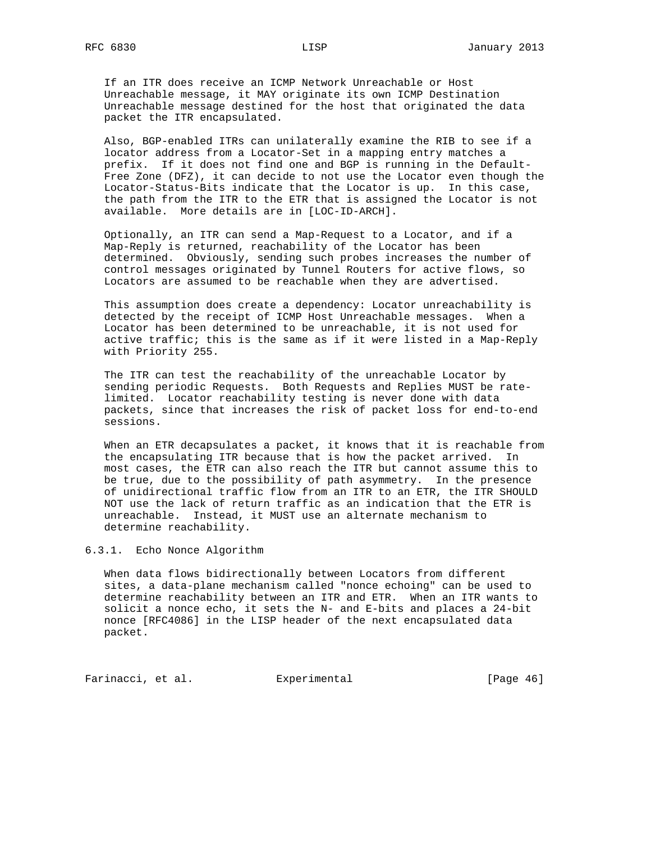If an ITR does receive an ICMP Network Unreachable or Host Unreachable message, it MAY originate its own ICMP Destination Unreachable message destined for the host that originated the data packet the ITR encapsulated.

 Also, BGP-enabled ITRs can unilaterally examine the RIB to see if a locator address from a Locator-Set in a mapping entry matches a prefix. If it does not find one and BGP is running in the Default- Free Zone (DFZ), it can decide to not use the Locator even though the Locator-Status-Bits indicate that the Locator is up. In this case, the path from the ITR to the ETR that is assigned the Locator is not available. More details are in [LOC-ID-ARCH].

 Optionally, an ITR can send a Map-Request to a Locator, and if a Map-Reply is returned, reachability of the Locator has been determined. Obviously, sending such probes increases the number of control messages originated by Tunnel Routers for active flows, so Locators are assumed to be reachable when they are advertised.

 This assumption does create a dependency: Locator unreachability is detected by the receipt of ICMP Host Unreachable messages. When a Locator has been determined to be unreachable, it is not used for active traffic; this is the same as if it were listed in a Map-Reply with Priority 255.

 The ITR can test the reachability of the unreachable Locator by sending periodic Requests. Both Requests and Replies MUST be rate limited. Locator reachability testing is never done with data packets, since that increases the risk of packet loss for end-to-end sessions.

 When an ETR decapsulates a packet, it knows that it is reachable from the encapsulating ITR because that is how the packet arrived. In most cases, the ETR can also reach the ITR but cannot assume this to be true, due to the possibility of path asymmetry. In the presence of unidirectional traffic flow from an ITR to an ETR, the ITR SHOULD NOT use the lack of return traffic as an indication that the ETR is unreachable. Instead, it MUST use an alternate mechanism to determine reachability.

6.3.1. Echo Nonce Algorithm

 When data flows bidirectionally between Locators from different sites, a data-plane mechanism called "nonce echoing" can be used to determine reachability between an ITR and ETR. When an ITR wants to solicit a nonce echo, it sets the N- and E-bits and places a 24-bit nonce [RFC4086] in the LISP header of the next encapsulated data packet.

Farinacci, et al. Experimental [Page 46]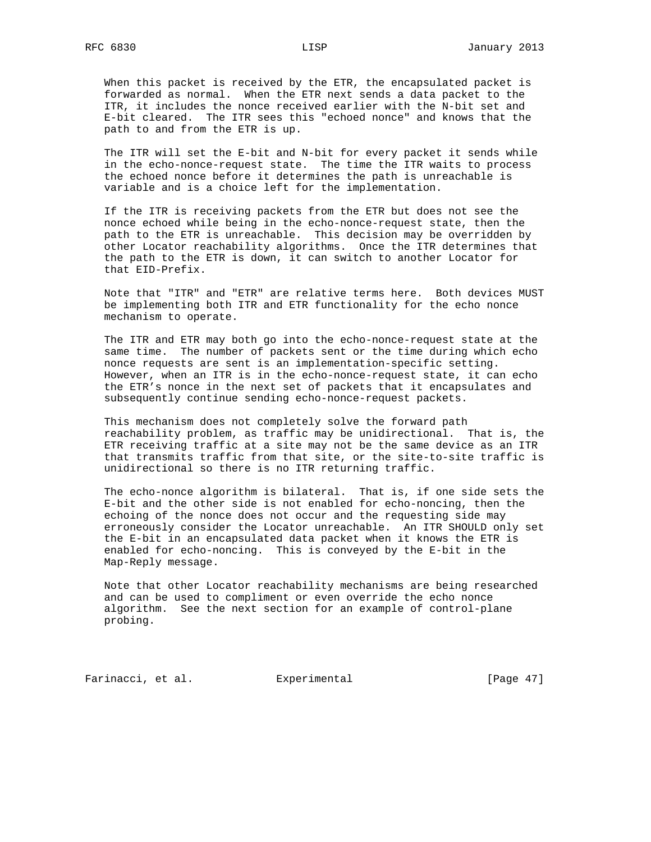When this packet is received by the ETR, the encapsulated packet is forwarded as normal. When the ETR next sends a data packet to the ITR, it includes the nonce received earlier with the N-bit set and E-bit cleared. The ITR sees this "echoed nonce" and knows that the path to and from the ETR is up.

 The ITR will set the E-bit and N-bit for every packet it sends while in the echo-nonce-request state. The time the ITR waits to process the echoed nonce before it determines the path is unreachable is variable and is a choice left for the implementation.

 If the ITR is receiving packets from the ETR but does not see the nonce echoed while being in the echo-nonce-request state, then the path to the ETR is unreachable. This decision may be overridden by other Locator reachability algorithms. Once the ITR determines that the path to the ETR is down, it can switch to another Locator for that EID-Prefix.

 Note that "ITR" and "ETR" are relative terms here. Both devices MUST be implementing both ITR and ETR functionality for the echo nonce mechanism to operate.

 The ITR and ETR may both go into the echo-nonce-request state at the same time. The number of packets sent or the time during which echo nonce requests are sent is an implementation-specific setting. However, when an ITR is in the echo-nonce-request state, it can echo the ETR's nonce in the next set of packets that it encapsulates and subsequently continue sending echo-nonce-request packets.

 This mechanism does not completely solve the forward path reachability problem, as traffic may be unidirectional. That is, the ETR receiving traffic at a site may not be the same device as an ITR that transmits traffic from that site, or the site-to-site traffic is unidirectional so there is no ITR returning traffic.

 The echo-nonce algorithm is bilateral. That is, if one side sets the E-bit and the other side is not enabled for echo-noncing, then the echoing of the nonce does not occur and the requesting side may erroneously consider the Locator unreachable. An ITR SHOULD only set the E-bit in an encapsulated data packet when it knows the ETR is enabled for echo-noncing. This is conveyed by the E-bit in the Map-Reply message.

 Note that other Locator reachability mechanisms are being researched and can be used to compliment or even override the echo nonce algorithm. See the next section for an example of control-plane probing.

Farinacci, et al. Experimental [Page 47]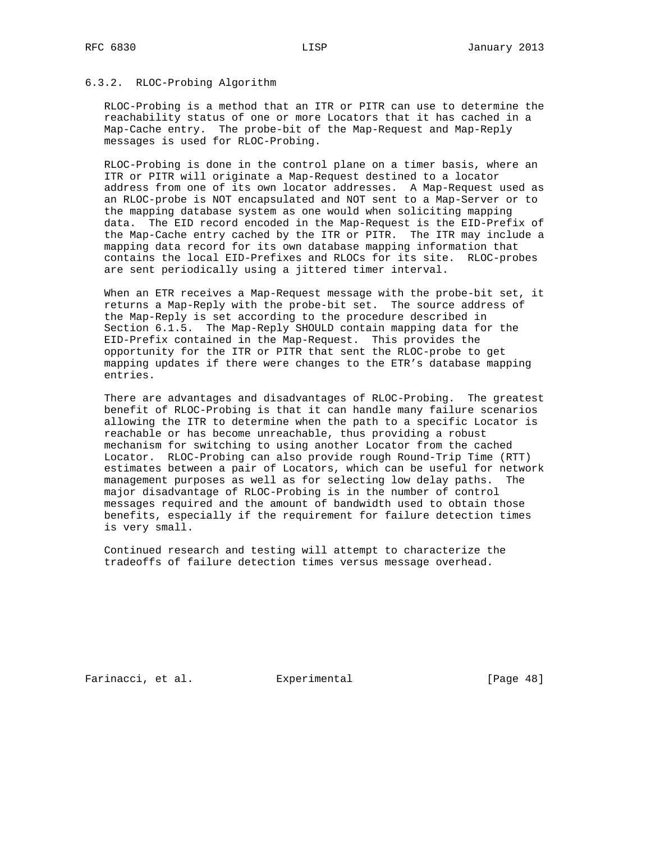## 6.3.2. RLOC-Probing Algorithm

 RLOC-Probing is a method that an ITR or PITR can use to determine the reachability status of one or more Locators that it has cached in a Map-Cache entry. The probe-bit of the Map-Request and Map-Reply messages is used for RLOC-Probing.

 RLOC-Probing is done in the control plane on a timer basis, where an ITR or PITR will originate a Map-Request destined to a locator address from one of its own locator addresses. A Map-Request used as an RLOC-probe is NOT encapsulated and NOT sent to a Map-Server or to the mapping database system as one would when soliciting mapping data. The EID record encoded in the Map-Request is the EID-Prefix of the Map-Cache entry cached by the ITR or PITR. The ITR may include a mapping data record for its own database mapping information that contains the local EID-Prefixes and RLOCs for its site. RLOC-probes are sent periodically using a jittered timer interval.

 When an ETR receives a Map-Request message with the probe-bit set, it returns a Map-Reply with the probe-bit set. The source address of the Map-Reply is set according to the procedure described in Section 6.1.5. The Map-Reply SHOULD contain mapping data for the EID-Prefix contained in the Map-Request. This provides the opportunity for the ITR or PITR that sent the RLOC-probe to get mapping updates if there were changes to the ETR's database mapping entries.

 There are advantages and disadvantages of RLOC-Probing. The greatest benefit of RLOC-Probing is that it can handle many failure scenarios allowing the ITR to determine when the path to a specific Locator is reachable or has become unreachable, thus providing a robust mechanism for switching to using another Locator from the cached Locator. RLOC-Probing can also provide rough Round-Trip Time (RTT) estimates between a pair of Locators, which can be useful for network management purposes as well as for selecting low delay paths. The major disadvantage of RLOC-Probing is in the number of control messages required and the amount of bandwidth used to obtain those benefits, especially if the requirement for failure detection times is very small.

 Continued research and testing will attempt to characterize the tradeoffs of failure detection times versus message overhead.

Farinacci, et al. Experimental [Page 48]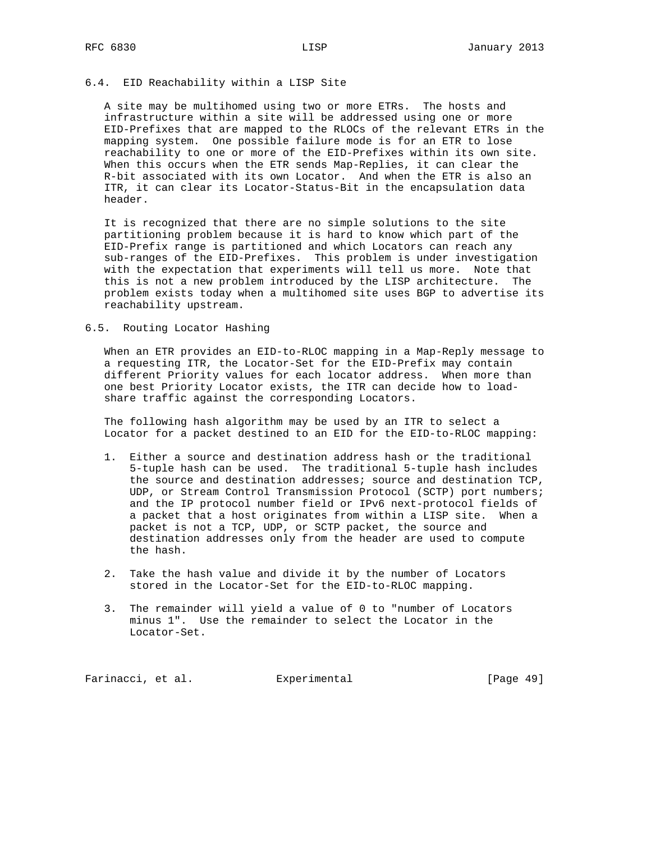## 6.4. EID Reachability within a LISP Site

 A site may be multihomed using two or more ETRs. The hosts and infrastructure within a site will be addressed using one or more EID-Prefixes that are mapped to the RLOCs of the relevant ETRs in the mapping system. One possible failure mode is for an ETR to lose reachability to one or more of the EID-Prefixes within its own site. When this occurs when the ETR sends Map-Replies, it can clear the R-bit associated with its own Locator. And when the ETR is also an ITR, it can clear its Locator-Status-Bit in the encapsulation data header.

 It is recognized that there are no simple solutions to the site partitioning problem because it is hard to know which part of the EID-Prefix range is partitioned and which Locators can reach any sub-ranges of the EID-Prefixes. This problem is under investigation with the expectation that experiments will tell us more. Note that this is not a new problem introduced by the LISP architecture. The problem exists today when a multihomed site uses BGP to advertise its reachability upstream.

## 6.5. Routing Locator Hashing

 When an ETR provides an EID-to-RLOC mapping in a Map-Reply message to a requesting ITR, the Locator-Set for the EID-Prefix may contain different Priority values for each locator address. When more than one best Priority Locator exists, the ITR can decide how to load share traffic against the corresponding Locators.

 The following hash algorithm may be used by an ITR to select a Locator for a packet destined to an EID for the EID-to-RLOC mapping:

- 1. Either a source and destination address hash or the traditional 5-tuple hash can be used. The traditional 5-tuple hash includes the source and destination addresses; source and destination TCP, UDP, or Stream Control Transmission Protocol (SCTP) port numbers; and the IP protocol number field or IPv6 next-protocol fields of a packet that a host originates from within a LISP site. When a packet is not a TCP, UDP, or SCTP packet, the source and destination addresses only from the header are used to compute the hash.
- 2. Take the hash value and divide it by the number of Locators stored in the Locator-Set for the EID-to-RLOC mapping.
- 3. The remainder will yield a value of 0 to "number of Locators minus 1". Use the remainder to select the Locator in the Locator-Set.

Farinacci, et al. Experimental [Page 49]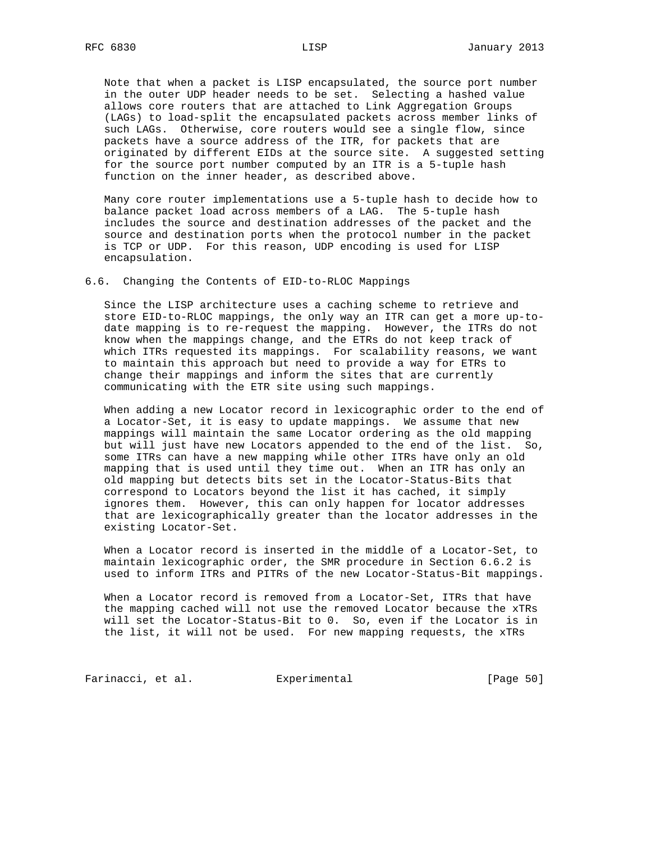Note that when a packet is LISP encapsulated, the source port number in the outer UDP header needs to be set. Selecting a hashed value allows core routers that are attached to Link Aggregation Groups (LAGs) to load-split the encapsulated packets across member links of such LAGs. Otherwise, core routers would see a single flow, since packets have a source address of the ITR, for packets that are originated by different EIDs at the source site. A suggested setting for the source port number computed by an ITR is a 5-tuple hash function on the inner header, as described above.

 Many core router implementations use a 5-tuple hash to decide how to balance packet load across members of a LAG. The 5-tuple hash includes the source and destination addresses of the packet and the source and destination ports when the protocol number in the packet is TCP or UDP. For this reason, UDP encoding is used for LISP encapsulation.

6.6. Changing the Contents of EID-to-RLOC Mappings

 Since the LISP architecture uses a caching scheme to retrieve and store EID-to-RLOC mappings, the only way an ITR can get a more up-to date mapping is to re-request the mapping. However, the ITRs do not know when the mappings change, and the ETRs do not keep track of which ITRs requested its mappings. For scalability reasons, we want to maintain this approach but need to provide a way for ETRs to change their mappings and inform the sites that are currently communicating with the ETR site using such mappings.

 When adding a new Locator record in lexicographic order to the end of a Locator-Set, it is easy to update mappings. We assume that new mappings will maintain the same Locator ordering as the old mapping but will just have new Locators appended to the end of the list. So, some ITRs can have a new mapping while other ITRs have only an old mapping that is used until they time out. When an ITR has only an old mapping but detects bits set in the Locator-Status-Bits that correspond to Locators beyond the list it has cached, it simply ignores them. However, this can only happen for locator addresses that are lexicographically greater than the locator addresses in the existing Locator-Set.

 When a Locator record is inserted in the middle of a Locator-Set, to maintain lexicographic order, the SMR procedure in Section 6.6.2 is used to inform ITRs and PITRs of the new Locator-Status-Bit mappings.

 When a Locator record is removed from a Locator-Set, ITRs that have the mapping cached will not use the removed Locator because the xTRs will set the Locator-Status-Bit to 0. So, even if the Locator is in the list, it will not be used. For new mapping requests, the xTRs

Farinacci, et al. Experimental [Page 50]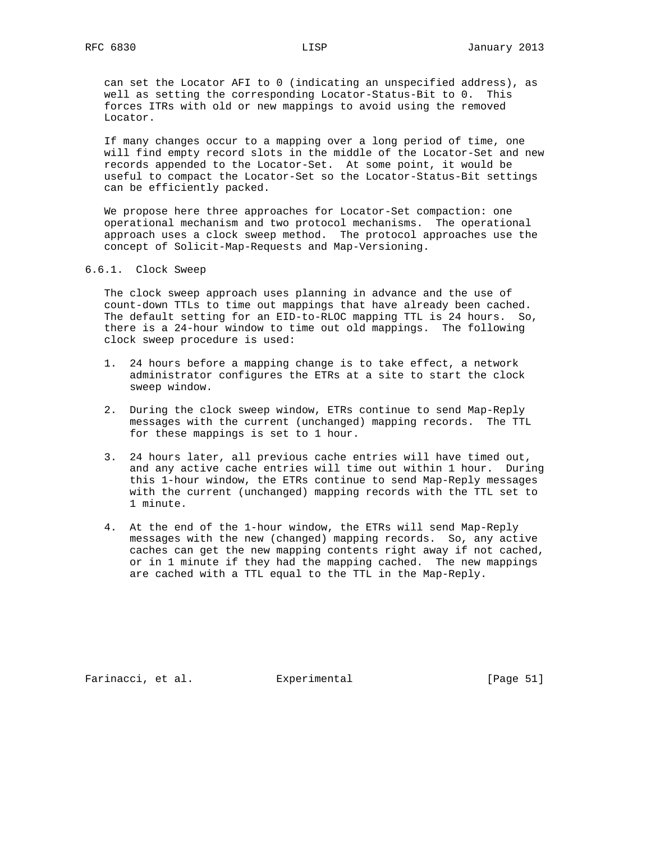can set the Locator AFI to 0 (indicating an unspecified address), as well as setting the corresponding Locator-Status-Bit to 0. This forces ITRs with old or new mappings to avoid using the removed Locator.

 If many changes occur to a mapping over a long period of time, one will find empty record slots in the middle of the Locator-Set and new records appended to the Locator-Set. At some point, it would be useful to compact the Locator-Set so the Locator-Status-Bit settings can be efficiently packed.

 We propose here three approaches for Locator-Set compaction: one operational mechanism and two protocol mechanisms. The operational approach uses a clock sweep method. The protocol approaches use the concept of Solicit-Map-Requests and Map-Versioning.

6.6.1. Clock Sweep

 The clock sweep approach uses planning in advance and the use of count-down TTLs to time out mappings that have already been cached. The default setting for an EID-to-RLOC mapping TTL is 24 hours. So, there is a 24-hour window to time out old mappings. The following clock sweep procedure is used:

- 1. 24 hours before a mapping change is to take effect, a network administrator configures the ETRs at a site to start the clock sweep window.
- 2. During the clock sweep window, ETRs continue to send Map-Reply messages with the current (unchanged) mapping records. The TTL for these mappings is set to 1 hour.
- 3. 24 hours later, all previous cache entries will have timed out, and any active cache entries will time out within 1 hour. During this 1-hour window, the ETRs continue to send Map-Reply messages with the current (unchanged) mapping records with the TTL set to 1 minute.
- 4. At the end of the 1-hour window, the ETRs will send Map-Reply messages with the new (changed) mapping records. So, any active caches can get the new mapping contents right away if not cached, or in 1 minute if they had the mapping cached. The new mappings are cached with a TTL equal to the TTL in the Map-Reply.

Farinacci, et al. Experimental [Page 51]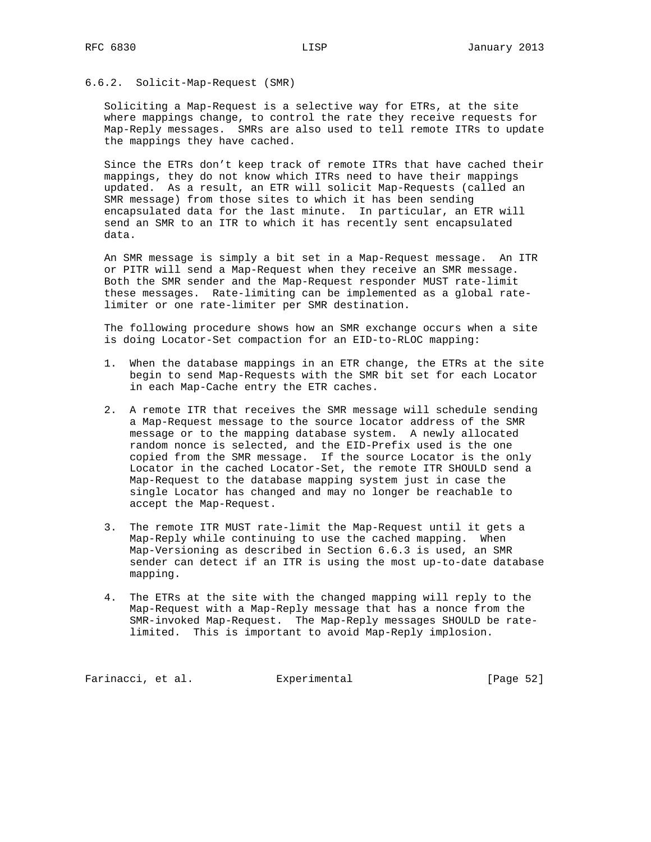#### 6.6.2. Solicit-Map-Request (SMR)

 Soliciting a Map-Request is a selective way for ETRs, at the site where mappings change, to control the rate they receive requests for Map-Reply messages. SMRs are also used to tell remote ITRs to update the mappings they have cached.

 Since the ETRs don't keep track of remote ITRs that have cached their mappings, they do not know which ITRs need to have their mappings updated. As a result, an ETR will solicit Map-Requests (called an SMR message) from those sites to which it has been sending encapsulated data for the last minute. In particular, an ETR will send an SMR to an ITR to which it has recently sent encapsulated data.

 An SMR message is simply a bit set in a Map-Request message. An ITR or PITR will send a Map-Request when they receive an SMR message. Both the SMR sender and the Map-Request responder MUST rate-limit these messages. Rate-limiting can be implemented as a global rate limiter or one rate-limiter per SMR destination.

 The following procedure shows how an SMR exchange occurs when a site is doing Locator-Set compaction for an EID-to-RLOC mapping:

- 1. When the database mappings in an ETR change, the ETRs at the site begin to send Map-Requests with the SMR bit set for each Locator in each Map-Cache entry the ETR caches.
- 2. A remote ITR that receives the SMR message will schedule sending a Map-Request message to the source locator address of the SMR message or to the mapping database system. A newly allocated random nonce is selected, and the EID-Prefix used is the one copied from the SMR message. If the source Locator is the only Locator in the cached Locator-Set, the remote ITR SHOULD send a Map-Request to the database mapping system just in case the single Locator has changed and may no longer be reachable to accept the Map-Request.
- 3. The remote ITR MUST rate-limit the Map-Request until it gets a Map-Reply while continuing to use the cached mapping. When Map-Versioning as described in Section 6.6.3 is used, an SMR sender can detect if an ITR is using the most up-to-date database mapping.
- 4. The ETRs at the site with the changed mapping will reply to the Map-Request with a Map-Reply message that has a nonce from the SMR-invoked Map-Request. The Map-Reply messages SHOULD be rate limited. This is important to avoid Map-Reply implosion.

Farinacci, et al. Experimental [Page 52]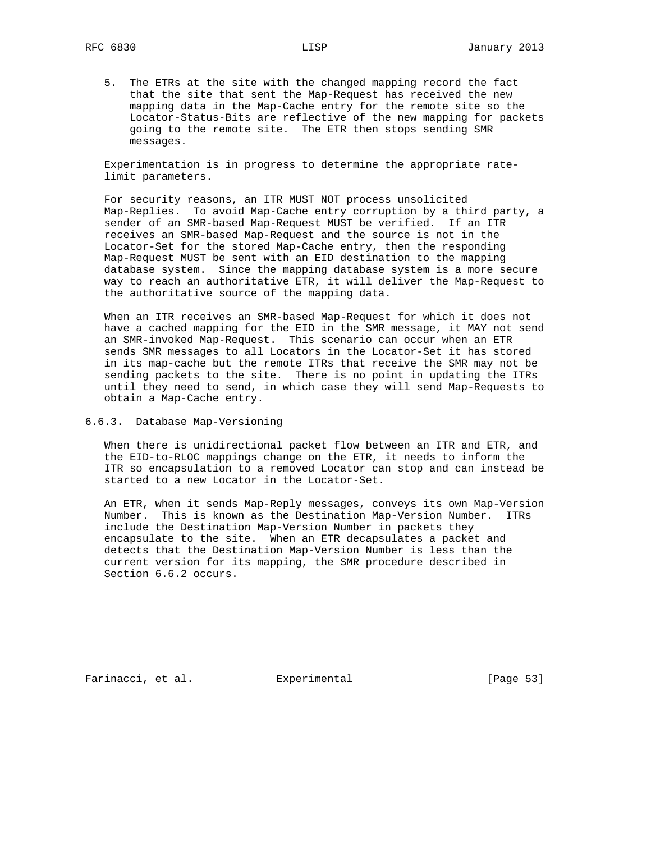5. The ETRs at the site with the changed mapping record the fact that the site that sent the Map-Request has received the new mapping data in the Map-Cache entry for the remote site so the Locator-Status-Bits are reflective of the new mapping for packets going to the remote site. The ETR then stops sending SMR messages.

 Experimentation is in progress to determine the appropriate rate limit parameters.

 For security reasons, an ITR MUST NOT process unsolicited Map-Replies. To avoid Map-Cache entry corruption by a third party, a sender of an SMR-based Map-Request MUST be verified. If an ITR receives an SMR-based Map-Request and the source is not in the Locator-Set for the stored Map-Cache entry, then the responding Map-Request MUST be sent with an EID destination to the mapping database system. Since the mapping database system is a more secure way to reach an authoritative ETR, it will deliver the Map-Request to the authoritative source of the mapping data.

 When an ITR receives an SMR-based Map-Request for which it does not have a cached mapping for the EID in the SMR message, it MAY not send an SMR-invoked Map-Request. This scenario can occur when an ETR sends SMR messages to all Locators in the Locator-Set it has stored in its map-cache but the remote ITRs that receive the SMR may not be sending packets to the site. There is no point in updating the ITRs until they need to send, in which case they will send Map-Requests to obtain a Map-Cache entry.

6.6.3. Database Map-Versioning

 When there is unidirectional packet flow between an ITR and ETR, and the EID-to-RLOC mappings change on the ETR, it needs to inform the ITR so encapsulation to a removed Locator can stop and can instead be started to a new Locator in the Locator-Set.

 An ETR, when it sends Map-Reply messages, conveys its own Map-Version Number. This is known as the Destination Map-Version Number. ITRs include the Destination Map-Version Number in packets they encapsulate to the site. When an ETR decapsulates a packet and detects that the Destination Map-Version Number is less than the current version for its mapping, the SMR procedure described in Section 6.6.2 occurs.

Farinacci, et al. Experimental [Page 53]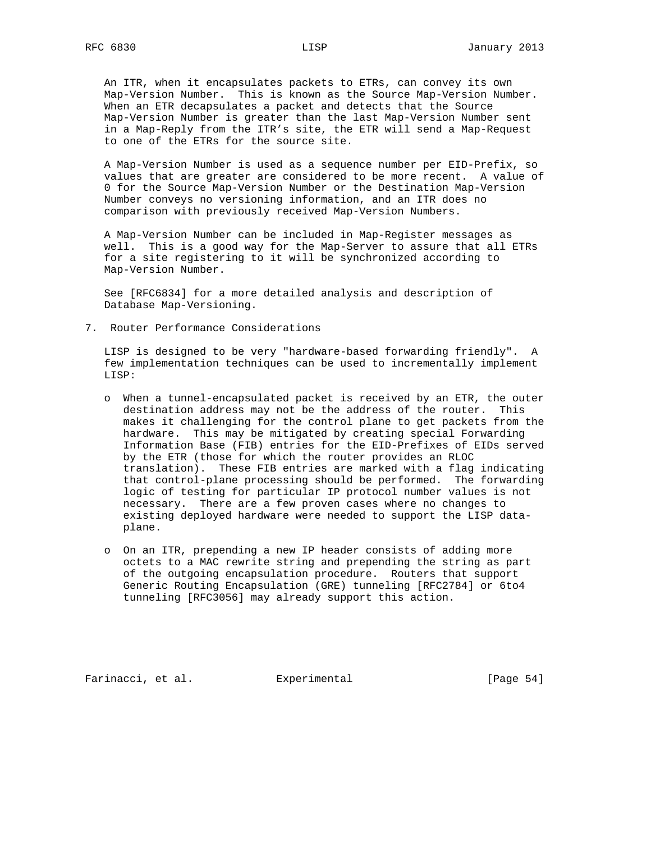An ITR, when it encapsulates packets to ETRs, can convey its own Map-Version Number. This is known as the Source Map-Version Number. When an ETR decapsulates a packet and detects that the Source Map-Version Number is greater than the last Map-Version Number sent in a Map-Reply from the ITR's site, the ETR will send a Map-Request to one of the ETRs for the source site.

 A Map-Version Number is used as a sequence number per EID-Prefix, so values that are greater are considered to be more recent. A value of 0 for the Source Map-Version Number or the Destination Map-Version Number conveys no versioning information, and an ITR does no comparison with previously received Map-Version Numbers.

 A Map-Version Number can be included in Map-Register messages as well. This is a good way for the Map-Server to assure that all ETRs for a site registering to it will be synchronized according to Map-Version Number.

 See [RFC6834] for a more detailed analysis and description of Database Map-Versioning.

7. Router Performance Considerations

 LISP is designed to be very "hardware-based forwarding friendly". A few implementation techniques can be used to incrementally implement LISP:

- o When a tunnel-encapsulated packet is received by an ETR, the outer destination address may not be the address of the router. This makes it challenging for the control plane to get packets from the hardware. This may be mitigated by creating special Forwarding Information Base (FIB) entries for the EID-Prefixes of EIDs served by the ETR (those for which the router provides an RLOC translation). These FIB entries are marked with a flag indicating that control-plane processing should be performed. The forwarding logic of testing for particular IP protocol number values is not necessary. There are a few proven cases where no changes to existing deployed hardware were needed to support the LISP data plane.
- o On an ITR, prepending a new IP header consists of adding more octets to a MAC rewrite string and prepending the string as part of the outgoing encapsulation procedure. Routers that support Generic Routing Encapsulation (GRE) tunneling [RFC2784] or 6to4 tunneling [RFC3056] may already support this action.

Farinacci, et al. Experimental [Page 54]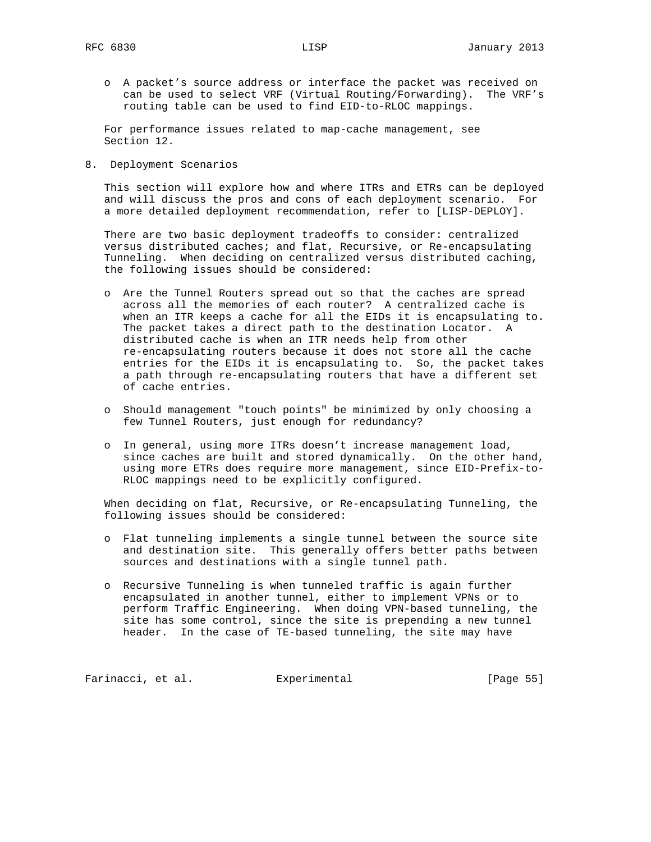o A packet's source address or interface the packet was received on can be used to select VRF (Virtual Routing/Forwarding). The VRF's routing table can be used to find EID-to-RLOC mappings.

 For performance issues related to map-cache management, see Section 12.

8. Deployment Scenarios

 This section will explore how and where ITRs and ETRs can be deployed and will discuss the pros and cons of each deployment scenario. For a more detailed deployment recommendation, refer to [LISP-DEPLOY].

 There are two basic deployment tradeoffs to consider: centralized versus distributed caches; and flat, Recursive, or Re-encapsulating Tunneling. When deciding on centralized versus distributed caching, the following issues should be considered:

- o Are the Tunnel Routers spread out so that the caches are spread across all the memories of each router? A centralized cache is when an ITR keeps a cache for all the EIDs it is encapsulating to. The packet takes a direct path to the destination Locator. A distributed cache is when an ITR needs help from other re-encapsulating routers because it does not store all the cache entries for the EIDs it is encapsulating to. So, the packet takes a path through re-encapsulating routers that have a different set of cache entries.
- o Should management "touch points" be minimized by only choosing a few Tunnel Routers, just enough for redundancy?
- o In general, using more ITRs doesn't increase management load, since caches are built and stored dynamically. On the other hand, using more ETRs does require more management, since EID-Prefix-to- RLOC mappings need to be explicitly configured.

 When deciding on flat, Recursive, or Re-encapsulating Tunneling, the following issues should be considered:

- o Flat tunneling implements a single tunnel between the source site and destination site. This generally offers better paths between sources and destinations with a single tunnel path.
- o Recursive Tunneling is when tunneled traffic is again further encapsulated in another tunnel, either to implement VPNs or to perform Traffic Engineering. When doing VPN-based tunneling, the site has some control, since the site is prepending a new tunnel header. In the case of TE-based tunneling, the site may have

Farinacci, et al. Experimental [Page 55]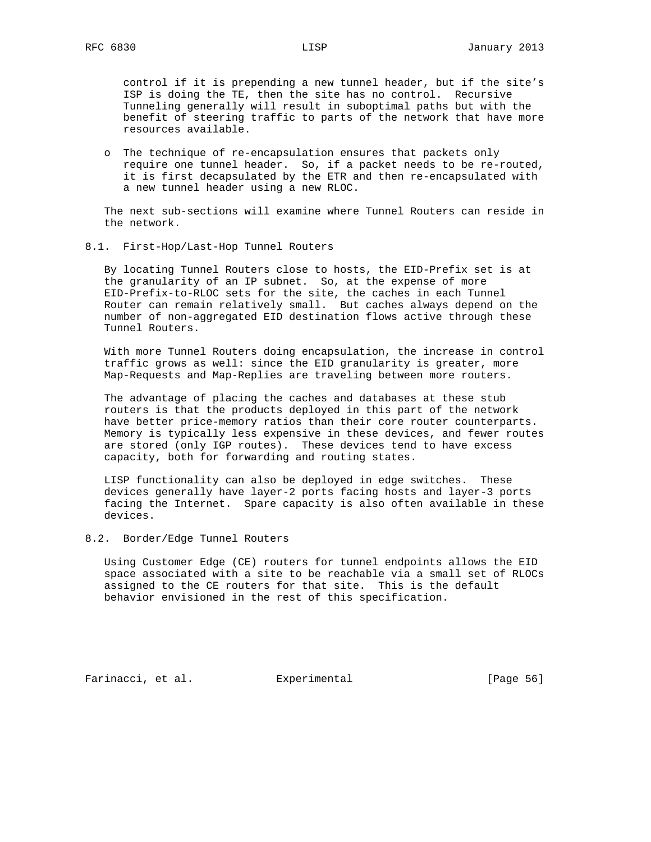control if it is prepending a new tunnel header, but if the site's ISP is doing the TE, then the site has no control. Recursive Tunneling generally will result in suboptimal paths but with the benefit of steering traffic to parts of the network that have more resources available.

 o The technique of re-encapsulation ensures that packets only require one tunnel header. So, if a packet needs to be re-routed, it is first decapsulated by the ETR and then re-encapsulated with a new tunnel header using a new RLOC.

 The next sub-sections will examine where Tunnel Routers can reside in the network.

8.1. First-Hop/Last-Hop Tunnel Routers

 By locating Tunnel Routers close to hosts, the EID-Prefix set is at the granularity of an IP subnet. So, at the expense of more EID-Prefix-to-RLOC sets for the site, the caches in each Tunnel Router can remain relatively small. But caches always depend on the number of non-aggregated EID destination flows active through these Tunnel Routers.

 With more Tunnel Routers doing encapsulation, the increase in control traffic grows as well: since the EID granularity is greater, more Map-Requests and Map-Replies are traveling between more routers.

 The advantage of placing the caches and databases at these stub routers is that the products deployed in this part of the network have better price-memory ratios than their core router counterparts. Memory is typically less expensive in these devices, and fewer routes are stored (only IGP routes). These devices tend to have excess capacity, both for forwarding and routing states.

 LISP functionality can also be deployed in edge switches. These devices generally have layer-2 ports facing hosts and layer-3 ports facing the Internet. Spare capacity is also often available in these devices.

## 8.2. Border/Edge Tunnel Routers

 Using Customer Edge (CE) routers for tunnel endpoints allows the EID space associated with a site to be reachable via a small set of RLOCs assigned to the CE routers for that site. This is the default behavior envisioned in the rest of this specification.

Farinacci, et al. Experimental [Page 56]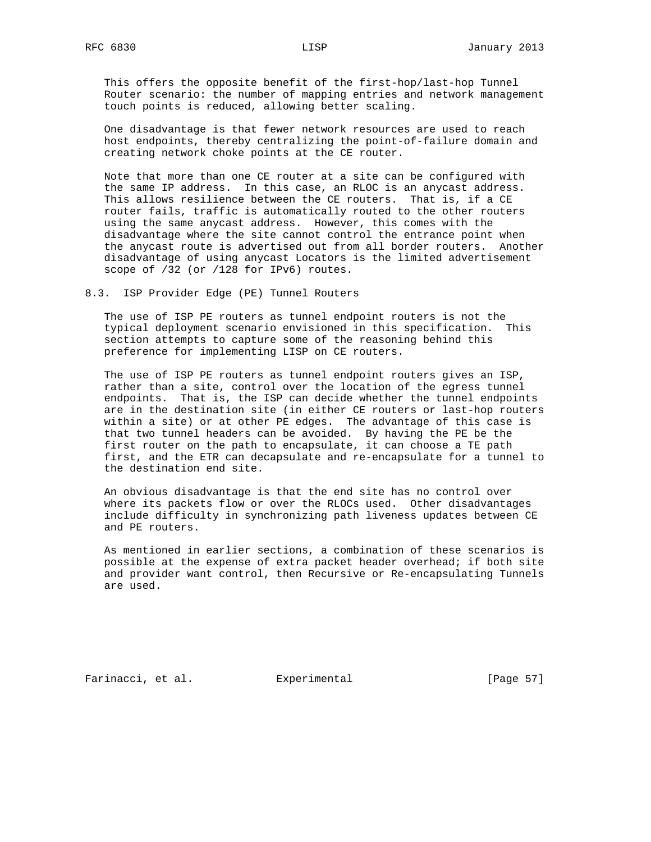This offers the opposite benefit of the first-hop/last-hop Tunnel Router scenario: the number of mapping entries and network management touch points is reduced, allowing better scaling.

 One disadvantage is that fewer network resources are used to reach host endpoints, thereby centralizing the point-of-failure domain and creating network choke points at the CE router.

 Note that more than one CE router at a site can be configured with the same IP address. In this case, an RLOC is an anycast address. This allows resilience between the CE routers. That is, if a CE router fails, traffic is automatically routed to the other routers using the same anycast address. However, this comes with the disadvantage where the site cannot control the entrance point when the anycast route is advertised out from all border routers. Another disadvantage of using anycast Locators is the limited advertisement scope of /32 (or /128 for IPv6) routes.

8.3. ISP Provider Edge (PE) Tunnel Routers

 The use of ISP PE routers as tunnel endpoint routers is not the typical deployment scenario envisioned in this specification. This section attempts to capture some of the reasoning behind this preference for implementing LISP on CE routers.

 The use of ISP PE routers as tunnel endpoint routers gives an ISP, rather than a site, control over the location of the egress tunnel endpoints. That is, the ISP can decide whether the tunnel endpoints are in the destination site (in either CE routers or last-hop routers within a site) or at other PE edges. The advantage of this case is that two tunnel headers can be avoided. By having the PE be the first router on the path to encapsulate, it can choose a TE path first, and the ETR can decapsulate and re-encapsulate for a tunnel to the destination end site.

 An obvious disadvantage is that the end site has no control over where its packets flow or over the RLOCs used. Other disadvantages include difficulty in synchronizing path liveness updates between CE and PE routers.

 As mentioned in earlier sections, a combination of these scenarios is possible at the expense of extra packet header overhead; if both site and provider want control, then Recursive or Re-encapsulating Tunnels are used.

Farinacci, et al. Experimental [Page 57]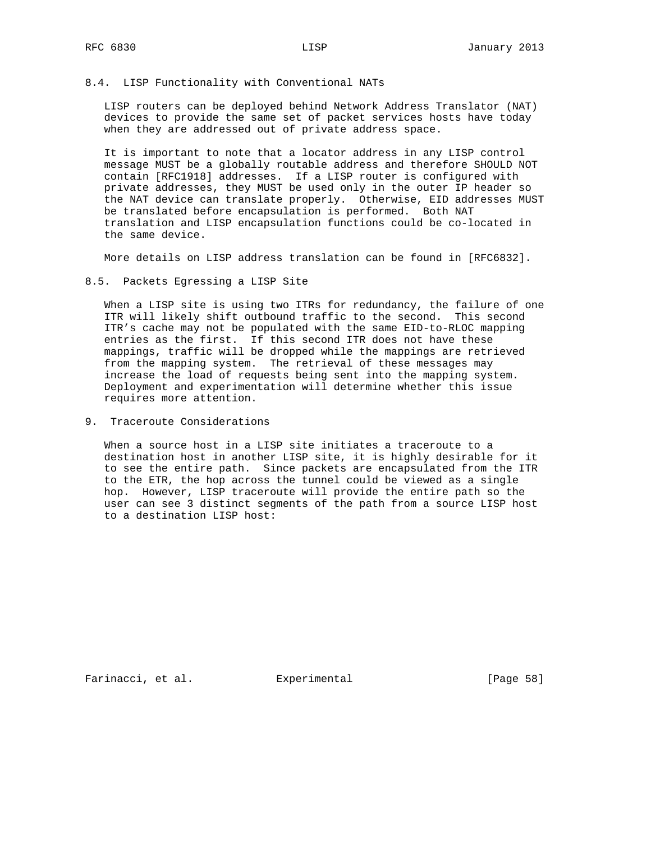#### 8.4. LISP Functionality with Conventional NATs

 LISP routers can be deployed behind Network Address Translator (NAT) devices to provide the same set of packet services hosts have today when they are addressed out of private address space.

 It is important to note that a locator address in any LISP control message MUST be a globally routable address and therefore SHOULD NOT contain [RFC1918] addresses. If a LISP router is configured with private addresses, they MUST be used only in the outer IP header so the NAT device can translate properly. Otherwise, EID addresses MUST be translated before encapsulation is performed. Both NAT translation and LISP encapsulation functions could be co-located in the same device.

More details on LISP address translation can be found in [RFC6832].

8.5. Packets Egressing a LISP Site

 When a LISP site is using two ITRs for redundancy, the failure of one ITR will likely shift outbound traffic to the second. This second ITR's cache may not be populated with the same EID-to-RLOC mapping entries as the first. If this second ITR does not have these mappings, traffic will be dropped while the mappings are retrieved from the mapping system. The retrieval of these messages may increase the load of requests being sent into the mapping system. Deployment and experimentation will determine whether this issue requires more attention.

9. Traceroute Considerations

 When a source host in a LISP site initiates a traceroute to a destination host in another LISP site, it is highly desirable for it to see the entire path. Since packets are encapsulated from the ITR to the ETR, the hop across the tunnel could be viewed as a single hop. However, LISP traceroute will provide the entire path so the user can see 3 distinct segments of the path from a source LISP host to a destination LISP host:

Farinacci, et al. Experimental [Page 58]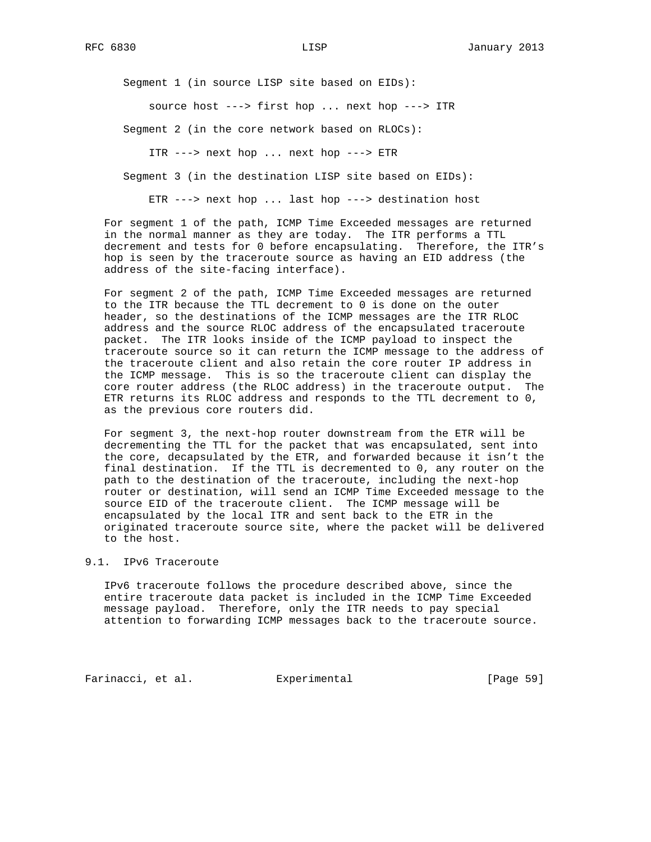Segment 1 (in source LISP site based on EIDs):

source host ---> first hop ... next hop ---> ITR

Segment 2 (in the core network based on RLOCs):

ITR ---> next hop ... next hop ---> ETR

Segment 3 (in the destination LISP site based on EIDs):

ETR ---> next hop ... last hop ---> destination host

 For segment 1 of the path, ICMP Time Exceeded messages are returned in the normal manner as they are today. The ITR performs a TTL decrement and tests for 0 before encapsulating. Therefore, the ITR's hop is seen by the traceroute source as having an EID address (the address of the site-facing interface).

 For segment 2 of the path, ICMP Time Exceeded messages are returned to the ITR because the TTL decrement to 0 is done on the outer header, so the destinations of the ICMP messages are the ITR RLOC address and the source RLOC address of the encapsulated traceroute packet. The ITR looks inside of the ICMP payload to inspect the traceroute source so it can return the ICMP message to the address of the traceroute client and also retain the core router IP address in the ICMP message. This is so the traceroute client can display the core router address (the RLOC address) in the traceroute output. The ETR returns its RLOC address and responds to the TTL decrement to 0, as the previous core routers did.

 For segment 3, the next-hop router downstream from the ETR will be decrementing the TTL for the packet that was encapsulated, sent into the core, decapsulated by the ETR, and forwarded because it isn't the final destination. If the TTL is decremented to 0, any router on the path to the destination of the traceroute, including the next-hop router or destination, will send an ICMP Time Exceeded message to the source EID of the traceroute client. The ICMP message will be encapsulated by the local ITR and sent back to the ETR in the originated traceroute source site, where the packet will be delivered to the host.

# 9.1. IPv6 Traceroute

 IPv6 traceroute follows the procedure described above, since the entire traceroute data packet is included in the ICMP Time Exceeded message payload. Therefore, only the ITR needs to pay special attention to forwarding ICMP messages back to the traceroute source.

Farinacci, et al. Experimental [Page 59]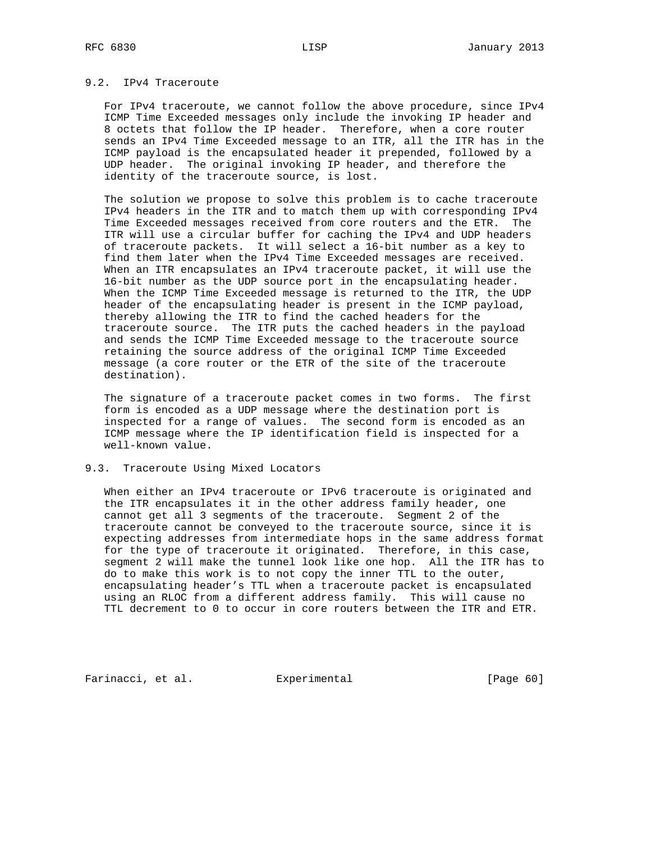# 9.2. IPv4 Traceroute

 For IPv4 traceroute, we cannot follow the above procedure, since IPv4 ICMP Time Exceeded messages only include the invoking IP header and 8 octets that follow the IP header. Therefore, when a core router sends an IPv4 Time Exceeded message to an ITR, all the ITR has in the ICMP payload is the encapsulated header it prepended, followed by a UDP header. The original invoking IP header, and therefore the identity of the traceroute source, is lost.

 The solution we propose to solve this problem is to cache traceroute IPv4 headers in the ITR and to match them up with corresponding IPv4 Time Exceeded messages received from core routers and the ETR. The ITR will use a circular buffer for caching the IPv4 and UDP headers of traceroute packets. It will select a 16-bit number as a key to find them later when the IPv4 Time Exceeded messages are received. When an ITR encapsulates an IPv4 traceroute packet, it will use the 16-bit number as the UDP source port in the encapsulating header. When the ICMP Time Exceeded message is returned to the ITR, the UDP header of the encapsulating header is present in the ICMP payload, thereby allowing the ITR to find the cached headers for the traceroute source. The ITR puts the cached headers in the payload and sends the ICMP Time Exceeded message to the traceroute source retaining the source address of the original ICMP Time Exceeded message (a core router or the ETR of the site of the traceroute destination).

 The signature of a traceroute packet comes in two forms. The first form is encoded as a UDP message where the destination port is inspected for a range of values. The second form is encoded as an ICMP message where the IP identification field is inspected for a well-known value.

# 9.3. Traceroute Using Mixed Locators

 When either an IPv4 traceroute or IPv6 traceroute is originated and the ITR encapsulates it in the other address family header, one cannot get all 3 segments of the traceroute. Segment 2 of the traceroute cannot be conveyed to the traceroute source, since it is expecting addresses from intermediate hops in the same address format for the type of traceroute it originated. Therefore, in this case, segment 2 will make the tunnel look like one hop. All the ITR has to do to make this work is to not copy the inner TTL to the outer, encapsulating header's TTL when a traceroute packet is encapsulated using an RLOC from a different address family. This will cause no TTL decrement to 0 to occur in core routers between the ITR and ETR.

Farinacci, et al. Experimental [Page 60]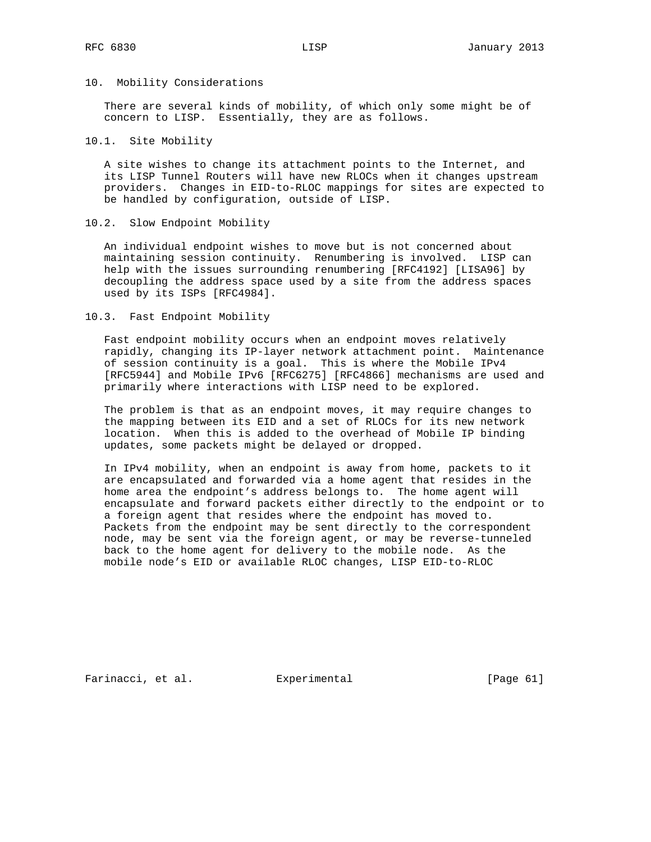#### 10. Mobility Considerations

 There are several kinds of mobility, of which only some might be of concern to LISP. Essentially, they are as follows.

## 10.1. Site Mobility

 A site wishes to change its attachment points to the Internet, and its LISP Tunnel Routers will have new RLOCs when it changes upstream providers. Changes in EID-to-RLOC mappings for sites are expected to be handled by configuration, outside of LISP.

## 10.2. Slow Endpoint Mobility

 An individual endpoint wishes to move but is not concerned about maintaining session continuity. Renumbering is involved. LISP can help with the issues surrounding renumbering [RFC4192] [LISA96] by decoupling the address space used by a site from the address spaces used by its ISPs [RFC4984].

#### 10.3. Fast Endpoint Mobility

 Fast endpoint mobility occurs when an endpoint moves relatively rapidly, changing its IP-layer network attachment point. Maintenance of session continuity is a goal. This is where the Mobile IPv4 [RFC5944] and Mobile IPv6 [RFC6275] [RFC4866] mechanisms are used and primarily where interactions with LISP need to be explored.

 The problem is that as an endpoint moves, it may require changes to the mapping between its EID and a set of RLOCs for its new network location. When this is added to the overhead of Mobile IP binding updates, some packets might be delayed or dropped.

 In IPv4 mobility, when an endpoint is away from home, packets to it are encapsulated and forwarded via a home agent that resides in the home area the endpoint's address belongs to. The home agent will encapsulate and forward packets either directly to the endpoint or to a foreign agent that resides where the endpoint has moved to. Packets from the endpoint may be sent directly to the correspondent node, may be sent via the foreign agent, or may be reverse-tunneled back to the home agent for delivery to the mobile node. As the mobile node's EID or available RLOC changes, LISP EID-to-RLOC

Farinacci, et al. Experimental [Page 61]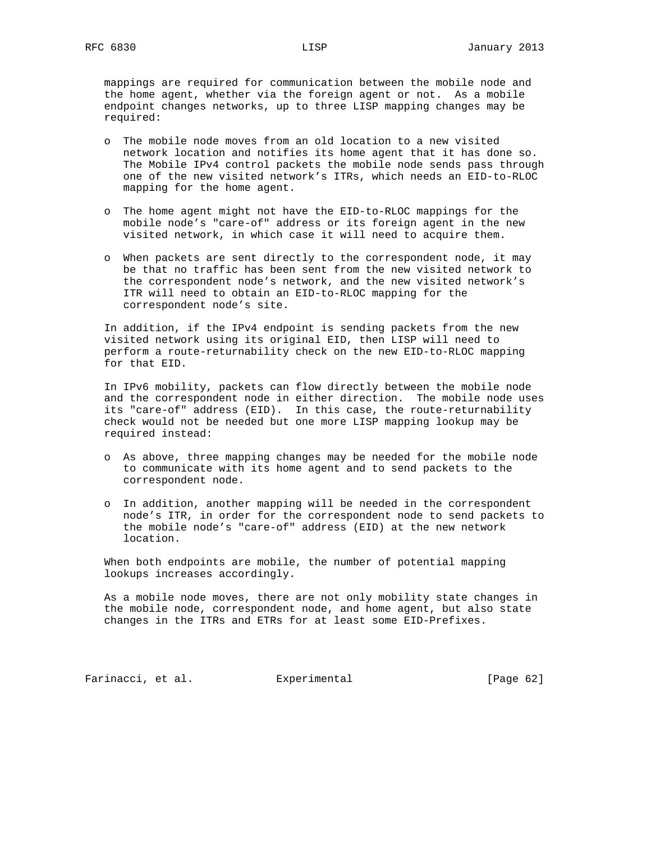mappings are required for communication between the mobile node and the home agent, whether via the foreign agent or not. As a mobile endpoint changes networks, up to three LISP mapping changes may be required:

- o The mobile node moves from an old location to a new visited network location and notifies its home agent that it has done so. The Mobile IPv4 control packets the mobile node sends pass through one of the new visited network's ITRs, which needs an EID-to-RLOC mapping for the home agent.
- o The home agent might not have the EID-to-RLOC mappings for the mobile node's "care-of" address or its foreign agent in the new visited network, in which case it will need to acquire them.
- o When packets are sent directly to the correspondent node, it may be that no traffic has been sent from the new visited network to the correspondent node's network, and the new visited network's ITR will need to obtain an EID-to-RLOC mapping for the correspondent node's site.

 In addition, if the IPv4 endpoint is sending packets from the new visited network using its original EID, then LISP will need to perform a route-returnability check on the new EID-to-RLOC mapping for that EID.

 In IPv6 mobility, packets can flow directly between the mobile node and the correspondent node in either direction. The mobile node uses its "care-of" address (EID). In this case, the route-returnability check would not be needed but one more LISP mapping lookup may be required instead:

- o As above, three mapping changes may be needed for the mobile node to communicate with its home agent and to send packets to the correspondent node.
- o In addition, another mapping will be needed in the correspondent node's ITR, in order for the correspondent node to send packets to the mobile node's "care-of" address (EID) at the new network location.

 When both endpoints are mobile, the number of potential mapping lookups increases accordingly.

 As a mobile node moves, there are not only mobility state changes in the mobile node, correspondent node, and home agent, but also state changes in the ITRs and ETRs for at least some EID-Prefixes.

Farinacci, et al. Experimental [Page 62]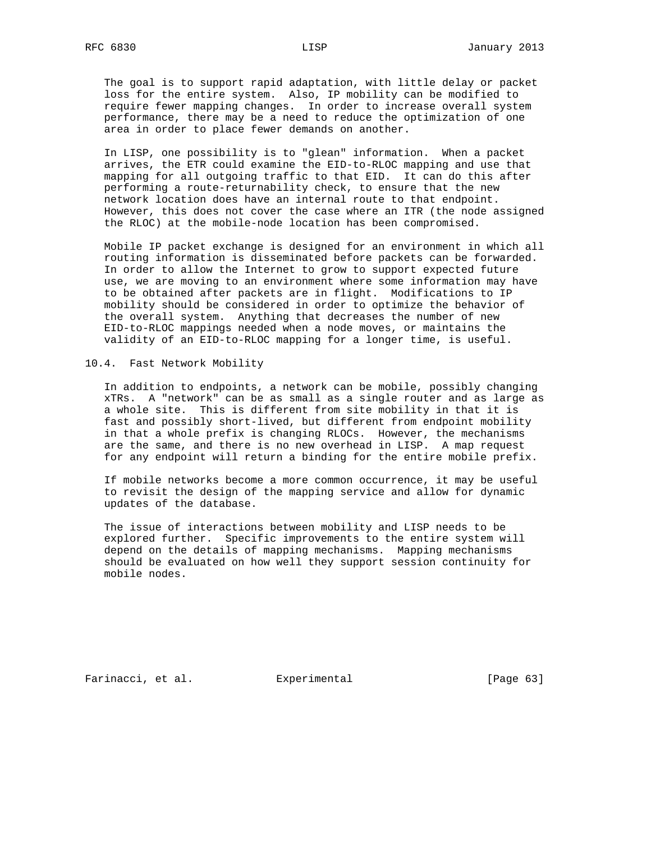The goal is to support rapid adaptation, with little delay or packet loss for the entire system. Also, IP mobility can be modified to require fewer mapping changes. In order to increase overall system performance, there may be a need to reduce the optimization of one area in order to place fewer demands on another.

 In LISP, one possibility is to "glean" information. When a packet arrives, the ETR could examine the EID-to-RLOC mapping and use that mapping for all outgoing traffic to that EID. It can do this after performing a route-returnability check, to ensure that the new network location does have an internal route to that endpoint. However, this does not cover the case where an ITR (the node assigned the RLOC) at the mobile-node location has been compromised.

 Mobile IP packet exchange is designed for an environment in which all routing information is disseminated before packets can be forwarded. In order to allow the Internet to grow to support expected future use, we are moving to an environment where some information may have to be obtained after packets are in flight. Modifications to IP mobility should be considered in order to optimize the behavior of the overall system. Anything that decreases the number of new EID-to-RLOC mappings needed when a node moves, or maintains the validity of an EID-to-RLOC mapping for a longer time, is useful.

10.4. Fast Network Mobility

 In addition to endpoints, a network can be mobile, possibly changing xTRs. A "network" can be as small as a single router and as large as a whole site. This is different from site mobility in that it is fast and possibly short-lived, but different from endpoint mobility in that a whole prefix is changing RLOCs. However, the mechanisms are the same, and there is no new overhead in LISP. A map request for any endpoint will return a binding for the entire mobile prefix.

 If mobile networks become a more common occurrence, it may be useful to revisit the design of the mapping service and allow for dynamic updates of the database.

 The issue of interactions between mobility and LISP needs to be explored further. Specific improvements to the entire system will depend on the details of mapping mechanisms. Mapping mechanisms should be evaluated on how well they support session continuity for mobile nodes.

Farinacci, et al. Experimental [Page 63]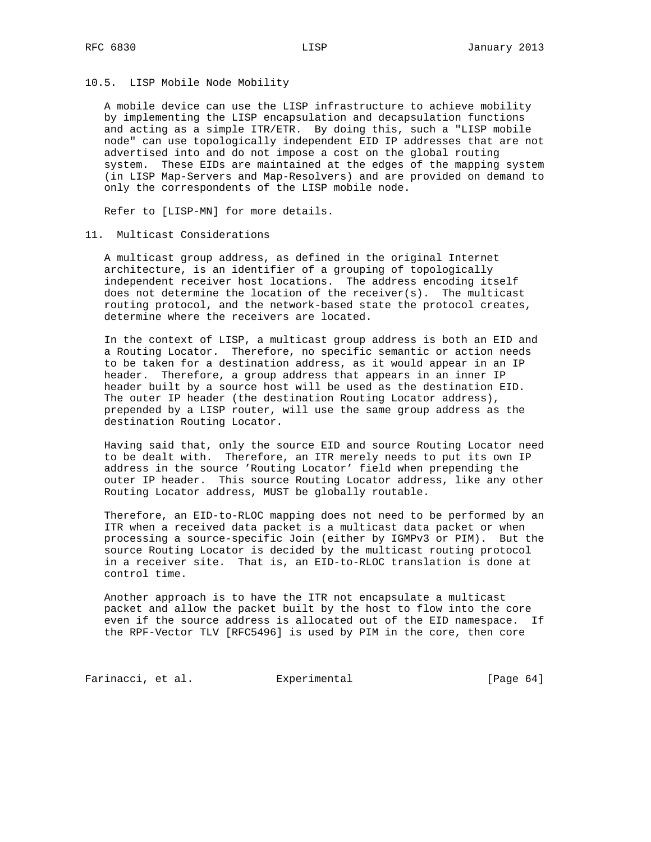#### 10.5. LISP Mobile Node Mobility

 A mobile device can use the LISP infrastructure to achieve mobility by implementing the LISP encapsulation and decapsulation functions and acting as a simple ITR/ETR. By doing this, such a "LISP mobile node" can use topologically independent EID IP addresses that are not advertised into and do not impose a cost on the global routing system. These EIDs are maintained at the edges of the mapping system (in LISP Map-Servers and Map-Resolvers) and are provided on demand to only the correspondents of the LISP mobile node.

Refer to [LISP-MN] for more details.

## 11. Multicast Considerations

 A multicast group address, as defined in the original Internet architecture, is an identifier of a grouping of topologically independent receiver host locations. The address encoding itself does not determine the location of the receiver(s). The multicast routing protocol, and the network-based state the protocol creates, determine where the receivers are located.

 In the context of LISP, a multicast group address is both an EID and a Routing Locator. Therefore, no specific semantic or action needs to be taken for a destination address, as it would appear in an IP header. Therefore, a group address that appears in an inner IP header built by a source host will be used as the destination EID. The outer IP header (the destination Routing Locator address), prepended by a LISP router, will use the same group address as the destination Routing Locator.

 Having said that, only the source EID and source Routing Locator need to be dealt with. Therefore, an ITR merely needs to put its own IP address in the source 'Routing Locator' field when prepending the outer IP header. This source Routing Locator address, like any other Routing Locator address, MUST be globally routable.

 Therefore, an EID-to-RLOC mapping does not need to be performed by an ITR when a received data packet is a multicast data packet or when processing a source-specific Join (either by IGMPv3 or PIM). But the source Routing Locator is decided by the multicast routing protocol in a receiver site. That is, an EID-to-RLOC translation is done at control time.

 Another approach is to have the ITR not encapsulate a multicast packet and allow the packet built by the host to flow into the core even if the source address is allocated out of the EID namespace. If the RPF-Vector TLV [RFC5496] is used by PIM in the core, then core

Farinacci, et al. Experimental [Page 64]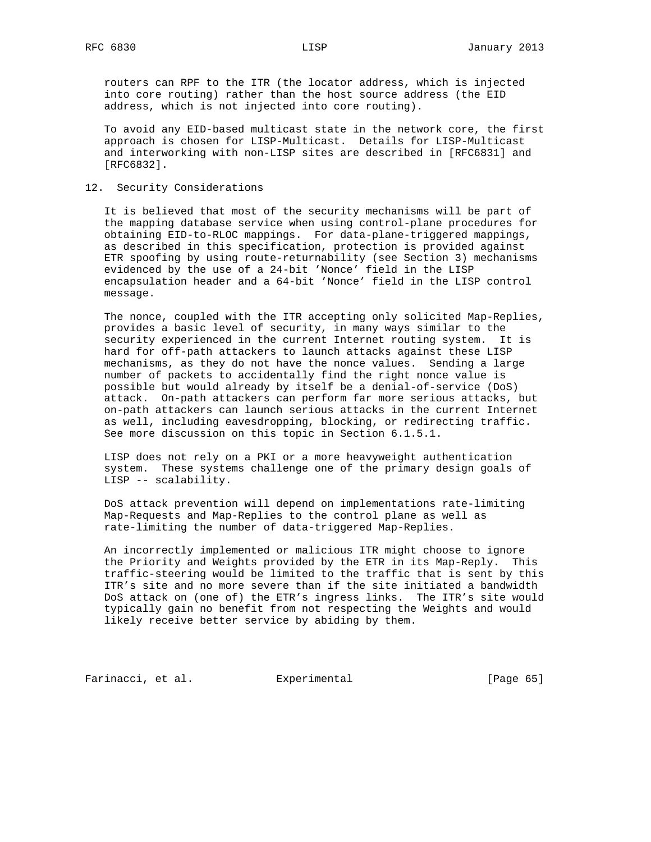routers can RPF to the ITR (the locator address, which is injected into core routing) rather than the host source address (the EID address, which is not injected into core routing).

 To avoid any EID-based multicast state in the network core, the first approach is chosen for LISP-Multicast. Details for LISP-Multicast and interworking with non-LISP sites are described in [RFC6831] and [RFC6832].

# 12. Security Considerations

 It is believed that most of the security mechanisms will be part of the mapping database service when using control-plane procedures for obtaining EID-to-RLOC mappings. For data-plane-triggered mappings, as described in this specification, protection is provided against ETR spoofing by using route-returnability (see Section 3) mechanisms evidenced by the use of a 24-bit 'Nonce' field in the LISP encapsulation header and a 64-bit 'Nonce' field in the LISP control message.

 The nonce, coupled with the ITR accepting only solicited Map-Replies, provides a basic level of security, in many ways similar to the security experienced in the current Internet routing system. It is hard for off-path attackers to launch attacks against these LISP mechanisms, as they do not have the nonce values. Sending a large number of packets to accidentally find the right nonce value is possible but would already by itself be a denial-of-service (DoS) attack. On-path attackers can perform far more serious attacks, but on-path attackers can launch serious attacks in the current Internet as well, including eavesdropping, blocking, or redirecting traffic. See more discussion on this topic in Section 6.1.5.1.

 LISP does not rely on a PKI or a more heavyweight authentication system. These systems challenge one of the primary design goals of LISP -- scalability.

 DoS attack prevention will depend on implementations rate-limiting Map-Requests and Map-Replies to the control plane as well as rate-limiting the number of data-triggered Map-Replies.

 An incorrectly implemented or malicious ITR might choose to ignore the Priority and Weights provided by the ETR in its Map-Reply. This traffic-steering would be limited to the traffic that is sent by this ITR's site and no more severe than if the site initiated a bandwidth DoS attack on (one of) the ETR's ingress links. The ITR's site would typically gain no benefit from not respecting the Weights and would likely receive better service by abiding by them.

Farinacci, et al. Experimental Farinacci [Page 65]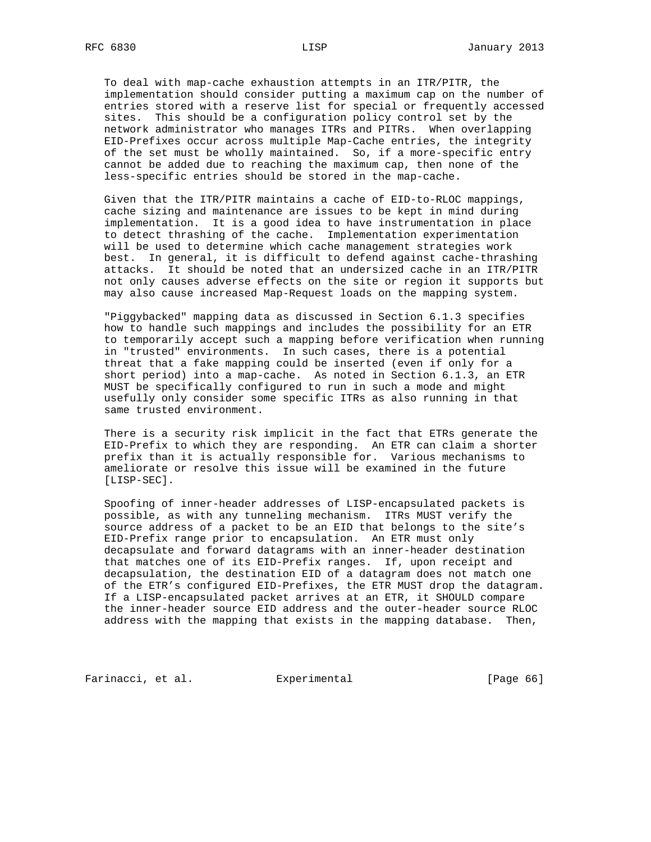To deal with map-cache exhaustion attempts in an ITR/PITR, the implementation should consider putting a maximum cap on the number of entries stored with a reserve list for special or frequently accessed sites. This should be a configuration policy control set by the network administrator who manages ITRs and PITRs. When overlapping EID-Prefixes occur across multiple Map-Cache entries, the integrity of the set must be wholly maintained. So, if a more-specific entry cannot be added due to reaching the maximum cap, then none of the less-specific entries should be stored in the map-cache.

 Given that the ITR/PITR maintains a cache of EID-to-RLOC mappings, cache sizing and maintenance are issues to be kept in mind during implementation. It is a good idea to have instrumentation in place to detect thrashing of the cache. Implementation experimentation will be used to determine which cache management strategies work best. In general, it is difficult to defend against cache-thrashing attacks. It should be noted that an undersized cache in an ITR/PITR not only causes adverse effects on the site or region it supports but may also cause increased Map-Request loads on the mapping system.

 "Piggybacked" mapping data as discussed in Section 6.1.3 specifies how to handle such mappings and includes the possibility for an ETR to temporarily accept such a mapping before verification when running in "trusted" environments. In such cases, there is a potential threat that a fake mapping could be inserted (even if only for a short period) into a map-cache. As noted in Section 6.1.3, an ETR MUST be specifically configured to run in such a mode and might usefully only consider some specific ITRs as also running in that same trusted environment.

 There is a security risk implicit in the fact that ETRs generate the EID-Prefix to which they are responding. An ETR can claim a shorter prefix than it is actually responsible for. Various mechanisms to ameliorate or resolve this issue will be examined in the future [LISP-SEC].

 Spoofing of inner-header addresses of LISP-encapsulated packets is possible, as with any tunneling mechanism. ITRs MUST verify the source address of a packet to be an EID that belongs to the site's EID-Prefix range prior to encapsulation. An ETR must only decapsulate and forward datagrams with an inner-header destination that matches one of its EID-Prefix ranges. If, upon receipt and decapsulation, the destination EID of a datagram does not match one of the ETR's configured EID-Prefixes, the ETR MUST drop the datagram. If a LISP-encapsulated packet arrives at an ETR, it SHOULD compare the inner-header source EID address and the outer-header source RLOC address with the mapping that exists in the mapping database. Then,

Farinacci, et al. Experimental [Page 66]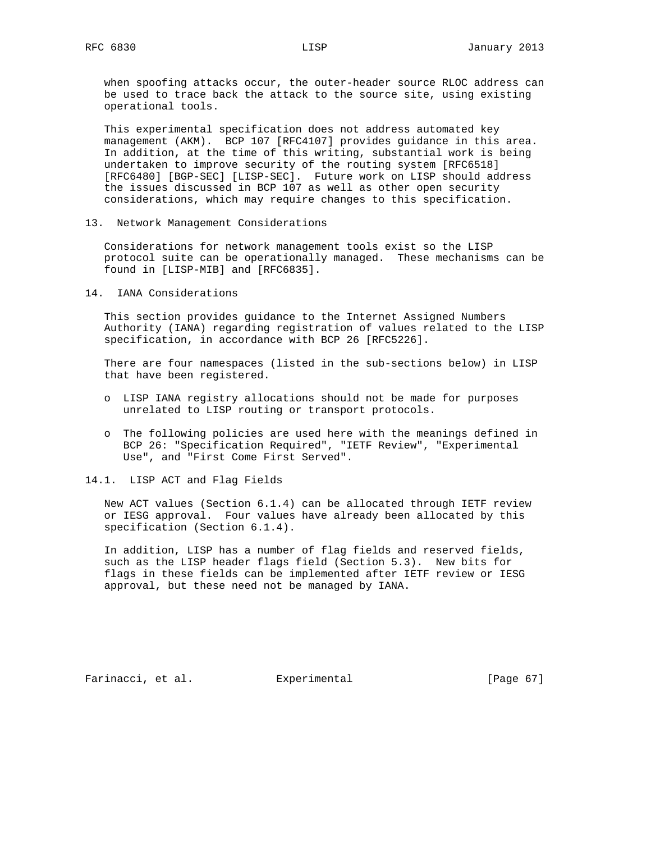when spoofing attacks occur, the outer-header source RLOC address can be used to trace back the attack to the source site, using existing operational tools.

 This experimental specification does not address automated key management (AKM). BCP 107 [RFC4107] provides guidance in this area. In addition, at the time of this writing, substantial work is being undertaken to improve security of the routing system [RFC6518] [RFC6480] [BGP-SEC] [LISP-SEC]. Future work on LISP should address the issues discussed in BCP 107 as well as other open security considerations, which may require changes to this specification.

13. Network Management Considerations

 Considerations for network management tools exist so the LISP protocol suite can be operationally managed. These mechanisms can be found in [LISP-MIB] and [RFC6835].

14. IANA Considerations

 This section provides guidance to the Internet Assigned Numbers Authority (IANA) regarding registration of values related to the LISP specification, in accordance with BCP 26 [RFC5226].

 There are four namespaces (listed in the sub-sections below) in LISP that have been registered.

- o LISP IANA registry allocations should not be made for purposes unrelated to LISP routing or transport protocols.
- o The following policies are used here with the meanings defined in BCP 26: "Specification Required", "IETF Review", "Experimental Use", and "First Come First Served".
- 14.1. LISP ACT and Flag Fields

 New ACT values (Section 6.1.4) can be allocated through IETF review or IESG approval. Four values have already been allocated by this specification (Section 6.1.4).

 In addition, LISP has a number of flag fields and reserved fields, such as the LISP header flags field (Section 5.3). New bits for flags in these fields can be implemented after IETF review or IESG approval, but these need not be managed by IANA.

Farinacci, et al. Experimental [Page 67]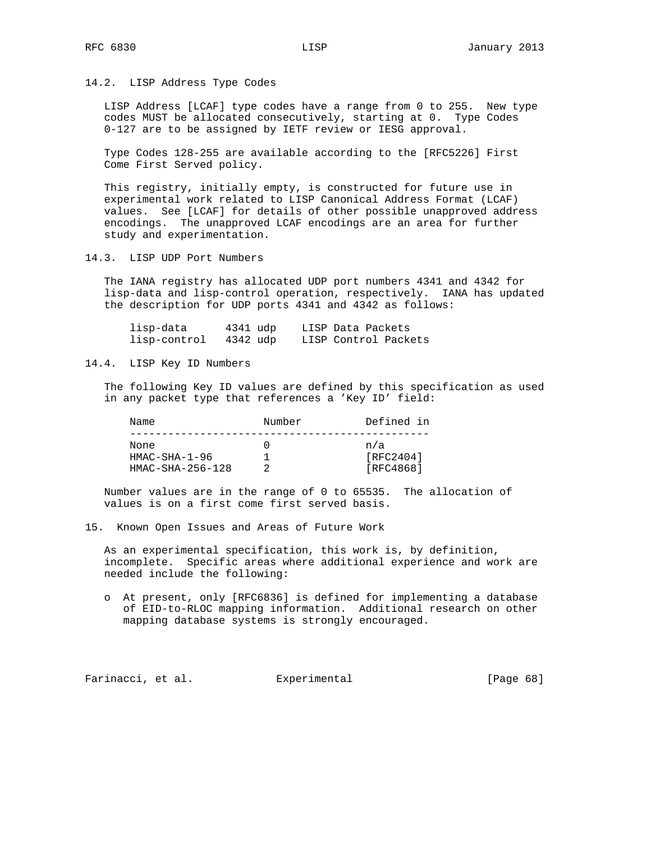14.2. LISP Address Type Codes

 LISP Address [LCAF] type codes have a range from 0 to 255. New type codes MUST be allocated consecutively, starting at 0. Type Codes 0-127 are to be assigned by IETF review or IESG approval.

 Type Codes 128-255 are available according to the [RFC5226] First Come First Served policy.

 This registry, initially empty, is constructed for future use in experimental work related to LISP Canonical Address Format (LCAF) values. See [LCAF] for details of other possible unapproved address encodings. The unapproved LCAF encodings are an area for further study and experimentation.

14.3. LISP UDP Port Numbers

 The IANA registry has allocated UDP port numbers 4341 and 4342 for lisp-data and lisp-control operation, respectively. IANA has updated the description for UDP ports 4341 and 4342 as follows:

| lisp-data    | 4341 udp | LISP Data Packets    |
|--------------|----------|----------------------|
| lisp-control | 4342 udp | LISP Control Packets |

14.4. LISP Key ID Numbers

 The following Key ID values are defined by this specification as used in any packet type that references a 'Key ID' field:

| Name               | Number | Defined in |
|--------------------|--------|------------|
| None               |        | n/a        |
| $HMAC-SHA-1-96$    |        | [RTC2404]  |
| $HMAC-SHA-256-128$ |        | [RFC4868]  |

 Number values are in the range of 0 to 65535. The allocation of values is on a first come first served basis.

15. Known Open Issues and Areas of Future Work

 As an experimental specification, this work is, by definition, incomplete. Specific areas where additional experience and work are needed include the following:

 o At present, only [RFC6836] is defined for implementing a database of EID-to-RLOC mapping information. Additional research on other mapping database systems is strongly encouraged.

Farinacci, et al. Experimental [Page 68]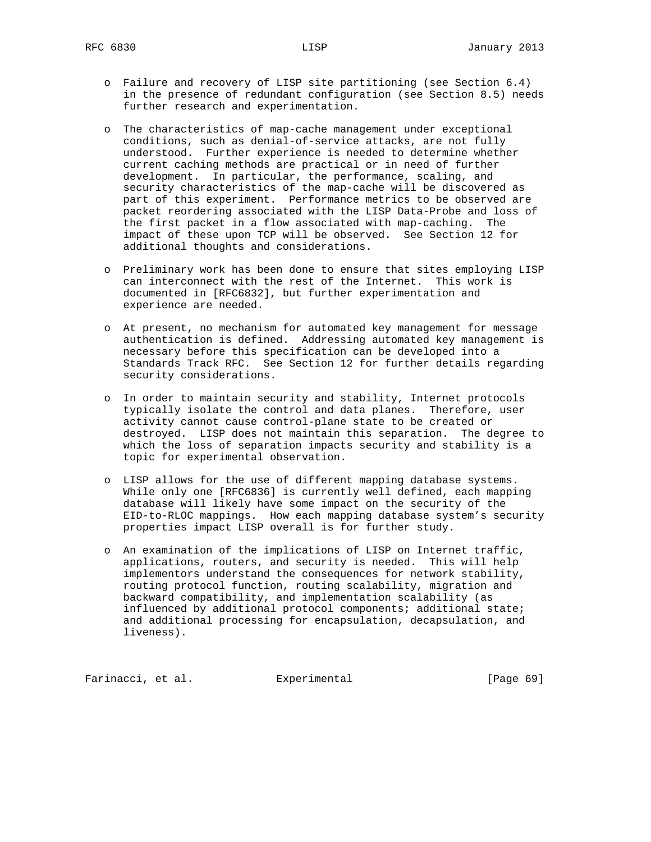- o Failure and recovery of LISP site partitioning (see Section 6.4) in the presence of redundant configuration (see Section 8.5) needs further research and experimentation.
- o The characteristics of map-cache management under exceptional conditions, such as denial-of-service attacks, are not fully understood. Further experience is needed to determine whether current caching methods are practical or in need of further development. In particular, the performance, scaling, and security characteristics of the map-cache will be discovered as part of this experiment. Performance metrics to be observed are packet reordering associated with the LISP Data-Probe and loss of the first packet in a flow associated with map-caching. The impact of these upon TCP will be observed. See Section 12 for additional thoughts and considerations.
- o Preliminary work has been done to ensure that sites employing LISP can interconnect with the rest of the Internet. This work is documented in [RFC6832], but further experimentation and experience are needed.
- o At present, no mechanism for automated key management for message authentication is defined. Addressing automated key management is necessary before this specification can be developed into a Standards Track RFC. See Section 12 for further details regarding security considerations.
- o In order to maintain security and stability, Internet protocols typically isolate the control and data planes. Therefore, user activity cannot cause control-plane state to be created or destroyed. LISP does not maintain this separation. The degree to which the loss of separation impacts security and stability is a topic for experimental observation.
- o LISP allows for the use of different mapping database systems. While only one [RFC6836] is currently well defined, each mapping database will likely have some impact on the security of the EID-to-RLOC mappings. How each mapping database system's security properties impact LISP overall is for further study.
- o An examination of the implications of LISP on Internet traffic, applications, routers, and security is needed. This will help implementors understand the consequences for network stability, routing protocol function, routing scalability, migration and backward compatibility, and implementation scalability (as influenced by additional protocol components; additional state; and additional processing for encapsulation, decapsulation, and liveness).

Farinacci, et al. Experimental [Page 69]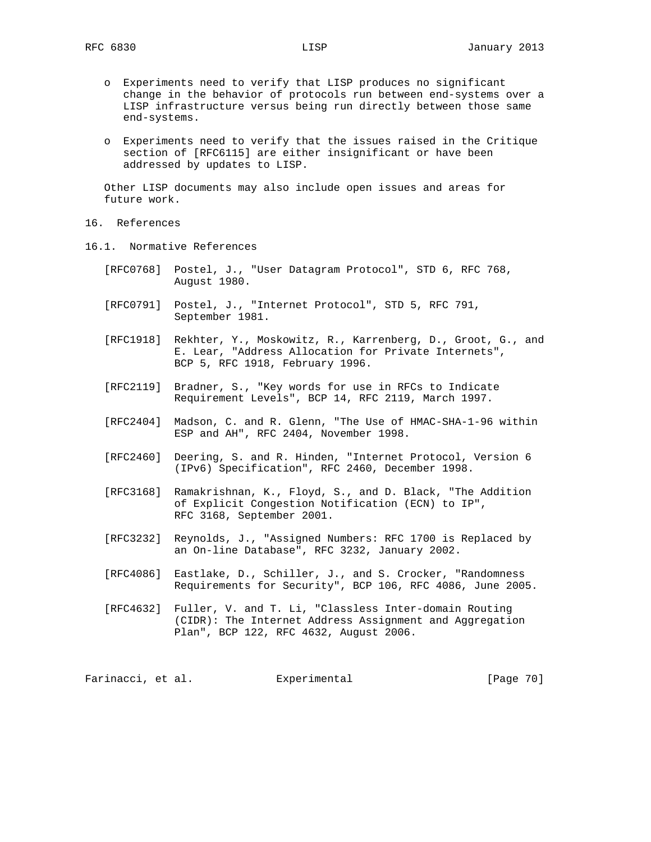- o Experiments need to verify that LISP produces no significant change in the behavior of protocols run between end-systems over a LISP infrastructure versus being run directly between those same end-systems.
- o Experiments need to verify that the issues raised in the Critique section of [RFC6115] are either insignificant or have been addressed by updates to LISP.

 Other LISP documents may also include open issues and areas for future work.

- 16. References
- 16.1. Normative References
	- [RFC0768] Postel, J., "User Datagram Protocol", STD 6, RFC 768, August 1980.
	- [RFC0791] Postel, J., "Internet Protocol", STD 5, RFC 791, September 1981.
	- [RFC1918] Rekhter, Y., Moskowitz, R., Karrenberg, D., Groot, G., and E. Lear, "Address Allocation for Private Internets", BCP 5, RFC 1918, February 1996.
	- [RFC2119] Bradner, S., "Key words for use in RFCs to Indicate Requirement Levels", BCP 14, RFC 2119, March 1997.
	- [RFC2404] Madson, C. and R. Glenn, "The Use of HMAC-SHA-1-96 within ESP and AH", RFC 2404, November 1998.
	- [RFC2460] Deering, S. and R. Hinden, "Internet Protocol, Version 6 (IPv6) Specification", RFC 2460, December 1998.
	- [RFC3168] Ramakrishnan, K., Floyd, S., and D. Black, "The Addition of Explicit Congestion Notification (ECN) to IP", RFC 3168, September 2001.
	- [RFC3232] Reynolds, J., "Assigned Numbers: RFC 1700 is Replaced by an On-line Database", RFC 3232, January 2002.
	- [RFC4086] Eastlake, D., Schiller, J., and S. Crocker, "Randomness Requirements for Security", BCP 106, RFC 4086, June 2005.
	- [RFC4632] Fuller, V. and T. Li, "Classless Inter-domain Routing (CIDR): The Internet Address Assignment and Aggregation Plan", BCP 122, RFC 4632, August 2006.

Farinacci, et al. Experimental [Page 70]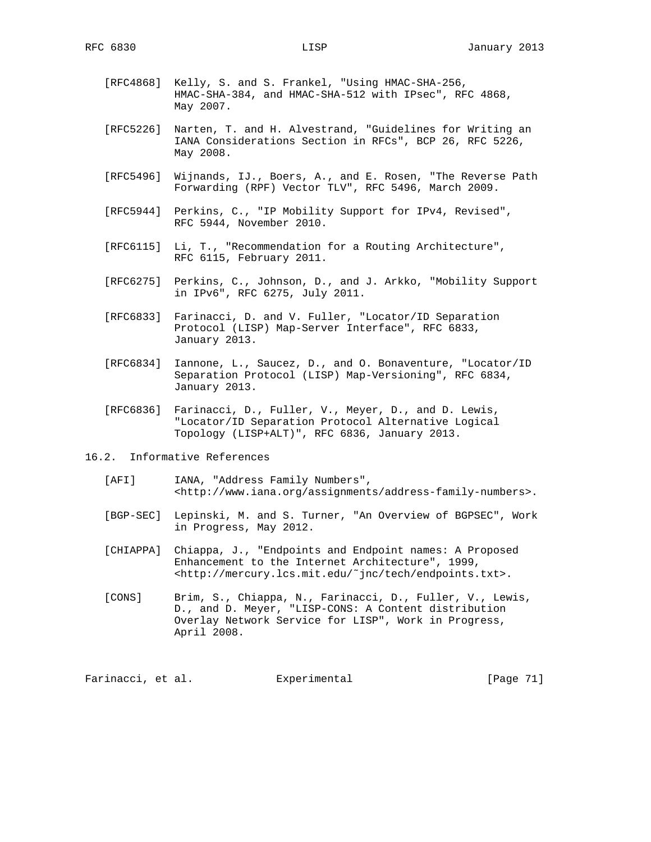- [RFC4868] Kelly, S. and S. Frankel, "Using HMAC-SHA-256, HMAC-SHA-384, and HMAC-SHA-512 with IPsec", RFC 4868, May 2007.
- [RFC5226] Narten, T. and H. Alvestrand, "Guidelines for Writing an IANA Considerations Section in RFCs", BCP 26, RFC 5226, May 2008.
- [RFC5496] Wijnands, IJ., Boers, A., and E. Rosen, "The Reverse Path Forwarding (RPF) Vector TLV", RFC 5496, March 2009.
- [RFC5944] Perkins, C., "IP Mobility Support for IPv4, Revised", RFC 5944, November 2010.
- [RFC6115] Li, T., "Recommendation for a Routing Architecture", RFC 6115, February 2011.
- [RFC6275] Perkins, C., Johnson, D., and J. Arkko, "Mobility Support in IPv6", RFC 6275, July 2011.
- [RFC6833] Farinacci, D. and V. Fuller, "Locator/ID Separation Protocol (LISP) Map-Server Interface", RFC 6833, January 2013.
- [RFC6834] Iannone, L., Saucez, D., and O. Bonaventure, "Locator/ID Separation Protocol (LISP) Map-Versioning", RFC 6834, January 2013.
- [RFC6836] Farinacci, D., Fuller, V., Meyer, D., and D. Lewis, "Locator/ID Separation Protocol Alternative Logical Topology (LISP+ALT)", RFC 6836, January 2013.
- 16.2. Informative References
	- [AFI] IANA, "Address Family Numbers", <http://www.iana.org/assignments/address-family-numbers>.
	- [BGP-SEC] Lepinski, M. and S. Turner, "An Overview of BGPSEC", Work in Progress, May 2012.
	- [CHIAPPA] Chiappa, J., "Endpoints and Endpoint names: A Proposed Enhancement to the Internet Architecture", 1999, <http://mercury.lcs.mit.edu/˜jnc/tech/endpoints.txt>.
	- [CONS] Brim, S., Chiappa, N., Farinacci, D., Fuller, V., Lewis, D., and D. Meyer, "LISP-CONS: A Content distribution Overlay Network Service for LISP", Work in Progress, April 2008.

Farinacci, et al. Experimental [Page 71]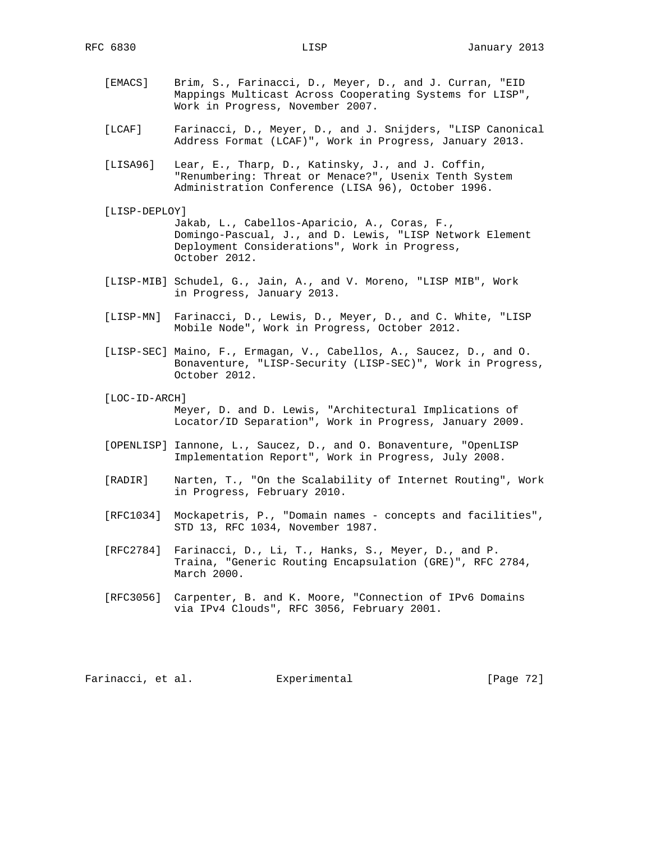- [EMACS] Brim, S., Farinacci, D., Meyer, D., and J. Curran, "EID Mappings Multicast Across Cooperating Systems for LISP", Work in Progress, November 2007.
- [LCAF] Farinacci, D., Meyer, D., and J. Snijders, "LISP Canonical Address Format (LCAF)", Work in Progress, January 2013.
- [LISA96] Lear, E., Tharp, D., Katinsky, J., and J. Coffin, "Renumbering: Threat or Menace?", Usenix Tenth System Administration Conference (LISA 96), October 1996.
- [LISP-DEPLOY] Jakab, L., Cabellos-Aparicio, A., Coras, F., Domingo-Pascual, J., and D. Lewis, "LISP Network Element Deployment Considerations", Work in Progress, October 2012.
- [LISP-MIB] Schudel, G., Jain, A., and V. Moreno, "LISP MIB", Work in Progress, January 2013.
- [LISP-MN] Farinacci, D., Lewis, D., Meyer, D., and C. White, "LISP Mobile Node", Work in Progress, October 2012.
- [LISP-SEC] Maino, F., Ermagan, V., Cabellos, A., Saucez, D., and O. Bonaventure, "LISP-Security (LISP-SEC)", Work in Progress, October 2012.
- [LOC-ID-ARCH]

 Meyer, D. and D. Lewis, "Architectural Implications of Locator/ID Separation", Work in Progress, January 2009.

- [OPENLISP] Iannone, L., Saucez, D., and O. Bonaventure, "OpenLISP Implementation Report", Work in Progress, July 2008.
- [RADIR] Narten, T., "On the Scalability of Internet Routing", Work in Progress, February 2010.
- [RFC1034] Mockapetris, P., "Domain names concepts and facilities", STD 13, RFC 1034, November 1987.
	- [RFC2784] Farinacci, D., Li, T., Hanks, S., Meyer, D., and P. Traina, "Generic Routing Encapsulation (GRE)", RFC 2784, March 2000.
	- [RFC3056] Carpenter, B. and K. Moore, "Connection of IPv6 Domains via IPv4 Clouds", RFC 3056, February 2001.

Farinacci, et al. Experimental [Page 72]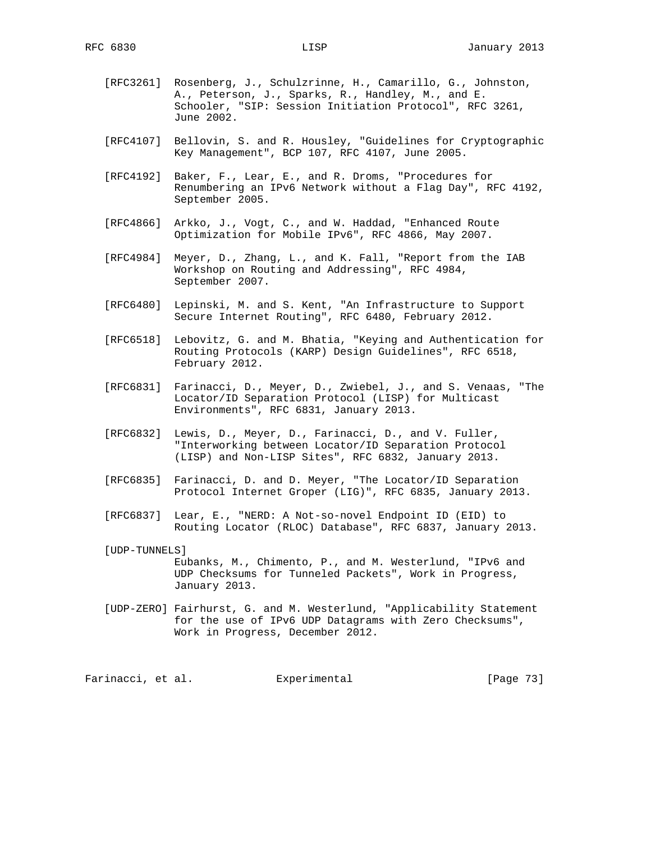- [RFC3261] Rosenberg, J., Schulzrinne, H., Camarillo, G., Johnston, A., Peterson, J., Sparks, R., Handley, M., and E. Schooler, "SIP: Session Initiation Protocol", RFC 3261, June 2002.
- [RFC4107] Bellovin, S. and R. Housley, "Guidelines for Cryptographic Key Management", BCP 107, RFC 4107, June 2005.
- [RFC4192] Baker, F., Lear, E., and R. Droms, "Procedures for Renumbering an IPv6 Network without a Flag Day", RFC 4192, September 2005.
- [RFC4866] Arkko, J., Vogt, C., and W. Haddad, "Enhanced Route Optimization for Mobile IPv6", RFC 4866, May 2007.
- [RFC4984] Meyer, D., Zhang, L., and K. Fall, "Report from the IAB Workshop on Routing and Addressing", RFC 4984, September 2007.
- [RFC6480] Lepinski, M. and S. Kent, "An Infrastructure to Support Secure Internet Routing", RFC 6480, February 2012.
- [RFC6518] Lebovitz, G. and M. Bhatia, "Keying and Authentication for Routing Protocols (KARP) Design Guidelines", RFC 6518, February 2012.
- [RFC6831] Farinacci, D., Meyer, D., Zwiebel, J., and S. Venaas, "The Locator/ID Separation Protocol (LISP) for Multicast Environments", RFC 6831, January 2013.
- [RFC6832] Lewis, D., Meyer, D., Farinacci, D., and V. Fuller, "Interworking between Locator/ID Separation Protocol (LISP) and Non-LISP Sites", RFC 6832, January 2013.
- [RFC6835] Farinacci, D. and D. Meyer, "The Locator/ID Separation Protocol Internet Groper (LIG)", RFC 6835, January 2013.
- [RFC6837] Lear, E., "NERD: A Not-so-novel Endpoint ID (EID) to Routing Locator (RLOC) Database", RFC 6837, January 2013.
- [UDP-TUNNELS] Eubanks, M., Chimento, P., and M. Westerlund, "IPv6 and UDP Checksums for Tunneled Packets", Work in Progress, January 2013.
- [UDP-ZERO] Fairhurst, G. and M. Westerlund, "Applicability Statement for the use of IPv6 UDP Datagrams with Zero Checksums", Work in Progress, December 2012.

Farinacci, et al. Experimental [Page 73]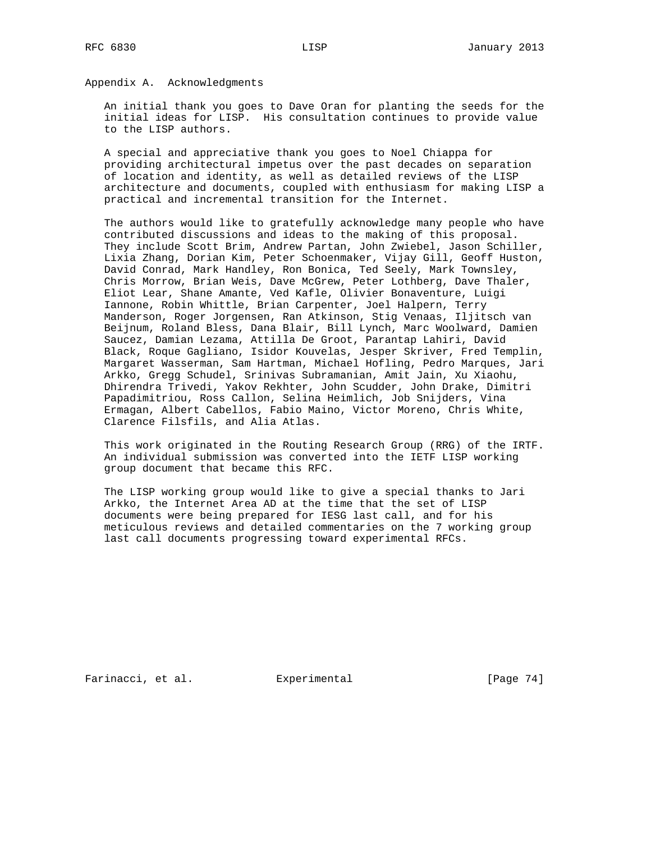Appendix A. Acknowledgments

 An initial thank you goes to Dave Oran for planting the seeds for the initial ideas for LISP. His consultation continues to provide value to the LISP authors.

 A special and appreciative thank you goes to Noel Chiappa for providing architectural impetus over the past decades on separation of location and identity, as well as detailed reviews of the LISP architecture and documents, coupled with enthusiasm for making LISP a practical and incremental transition for the Internet.

 The authors would like to gratefully acknowledge many people who have contributed discussions and ideas to the making of this proposal. They include Scott Brim, Andrew Partan, John Zwiebel, Jason Schiller, Lixia Zhang, Dorian Kim, Peter Schoenmaker, Vijay Gill, Geoff Huston, David Conrad, Mark Handley, Ron Bonica, Ted Seely, Mark Townsley, Chris Morrow, Brian Weis, Dave McGrew, Peter Lothberg, Dave Thaler, Eliot Lear, Shane Amante, Ved Kafle, Olivier Bonaventure, Luigi Iannone, Robin Whittle, Brian Carpenter, Joel Halpern, Terry Manderson, Roger Jorgensen, Ran Atkinson, Stig Venaas, Iljitsch van Beijnum, Roland Bless, Dana Blair, Bill Lynch, Marc Woolward, Damien Saucez, Damian Lezama, Attilla De Groot, Parantap Lahiri, David Black, Roque Gagliano, Isidor Kouvelas, Jesper Skriver, Fred Templin, Margaret Wasserman, Sam Hartman, Michael Hofling, Pedro Marques, Jari Arkko, Gregg Schudel, Srinivas Subramanian, Amit Jain, Xu Xiaohu, Dhirendra Trivedi, Yakov Rekhter, John Scudder, John Drake, Dimitri Papadimitriou, Ross Callon, Selina Heimlich, Job Snijders, Vina Ermagan, Albert Cabellos, Fabio Maino, Victor Moreno, Chris White, Clarence Filsfils, and Alia Atlas.

 This work originated in the Routing Research Group (RRG) of the IRTF. An individual submission was converted into the IETF LISP working group document that became this RFC.

 The LISP working group would like to give a special thanks to Jari Arkko, the Internet Area AD at the time that the set of LISP documents were being prepared for IESG last call, and for his meticulous reviews and detailed commentaries on the 7 working group last call documents progressing toward experimental RFCs.

Farinacci, et al. Experimental [Page 74]